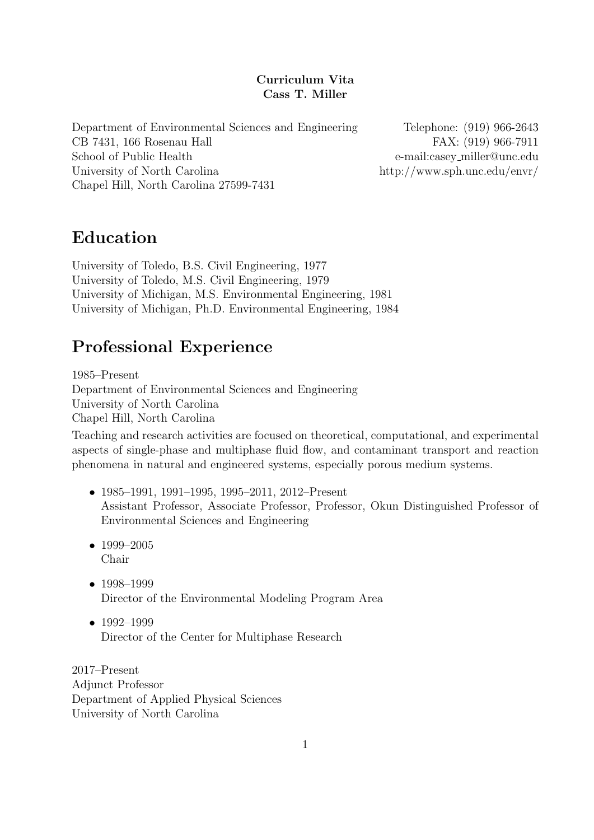### Curriculum Vita Cass T. Miller

Department of Environmental Sciences and Engineering Telephone: (919) 966-2643 CB 7431, 166 Rosenau Hall FAX: (919) 966-7911 School of Public Health e-mail:casey miller@unc.edu University of North Carolina http://www.sph.unc.edu/envr/ Chapel Hill, North Carolina 27599-7431

# Education

University of Toledo, B.S. Civil Engineering, 1977 University of Toledo, M.S. Civil Engineering, 1979 University of Michigan, M.S. Environmental Engineering, 1981 University of Michigan, Ph.D. Environmental Engineering, 1984

# Professional Experience

1985–Present Department of Environmental Sciences and Engineering University of North Carolina Chapel Hill, North Carolina

Teaching and research activities are focused on theoretical, computational, and experimental aspects of single-phase and multiphase fluid flow, and contaminant transport and reaction phenomena in natural and engineered systems, especially porous medium systems.

- 1985–1991, 1991–1995, 1995–2011, 2012–Present Assistant Professor, Associate Professor, Professor, Okun Distinguished Professor of Environmental Sciences and Engineering
- 1999–2005 Chair
- 1998–1999 Director of the Environmental Modeling Program Area
- 1992–1999 Director of the Center for Multiphase Research

2017–Present Adjunct Professor Department of Applied Physical Sciences University of North Carolina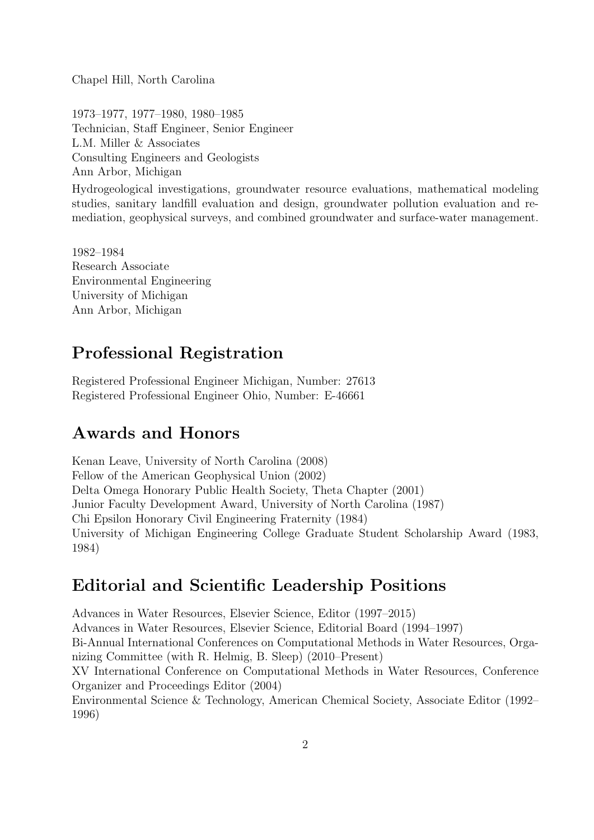Chapel Hill, North Carolina

1973–1977, 1977–1980, 1980–1985 Technician, Staff Engineer, Senior Engineer L.M. Miller & Associates Consulting Engineers and Geologists Ann Arbor, Michigan

Hydrogeological investigations, groundwater resource evaluations, mathematical modeling studies, sanitary landfill evaluation and design, groundwater pollution evaluation and remediation, geophysical surveys, and combined groundwater and surface-water management.

1982–1984 Research Associate Environmental Engineering University of Michigan Ann Arbor, Michigan

# Professional Registration

Registered Professional Engineer Michigan, Number: 27613 Registered Professional Engineer Ohio, Number: E-46661

# Awards and Honors

Kenan Leave, University of North Carolina (2008) Fellow of the American Geophysical Union (2002) Delta Omega Honorary Public Health Society, Theta Chapter (2001) Junior Faculty Development Award, University of North Carolina (1987) Chi Epsilon Honorary Civil Engineering Fraternity (1984) University of Michigan Engineering College Graduate Student Scholarship Award (1983, 1984)

# Editorial and Scientific Leadership Positions

Advances in Water Resources, Elsevier Science, Editor (1997–2015) Advances in Water Resources, Elsevier Science, Editorial Board (1994–1997) Bi-Annual International Conferences on Computational Methods in Water Resources, Organizing Committee (with R. Helmig, B. Sleep) (2010–Present) XV International Conference on Computational Methods in Water Resources, Conference Organizer and Proceedings Editor (2004) Environmental Science & Technology, American Chemical Society, Associate Editor (1992– 1996)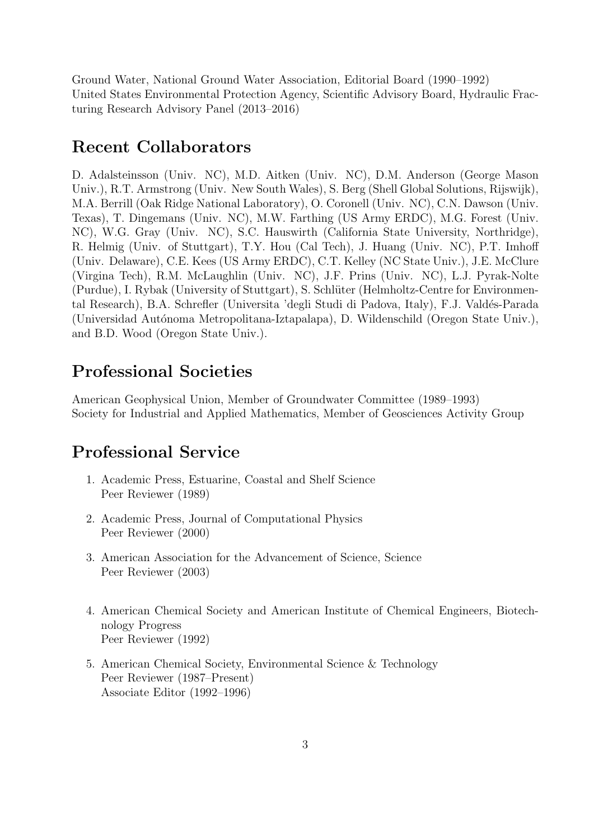Ground Water, National Ground Water Association, Editorial Board (1990–1992) United States Environmental Protection Agency, Scientific Advisory Board, Hydraulic Fracturing Research Advisory Panel (2013–2016)

### Recent Collaborators

D. Adalsteinsson (Univ. NC), M.D. Aitken (Univ. NC), D.M. Anderson (George Mason Univ.), R.T. Armstrong (Univ. New South Wales), S. Berg (Shell Global Solutions, Rijswijk), M.A. Berrill (Oak Ridge National Laboratory), O. Coronell (Univ. NC), C.N. Dawson (Univ. Texas), T. Dingemans (Univ. NC), M.W. Farthing (US Army ERDC), M.G. Forest (Univ. NC), W.G. Gray (Univ. NC), S.C. Hauswirth (California State University, Northridge), R. Helmig (Univ. of Stuttgart), T.Y. Hou (Cal Tech), J. Huang (Univ. NC), P.T. Imhoff (Univ. Delaware), C.E. Kees (US Army ERDC), C.T. Kelley (NC State Univ.), J.E. McClure (Virgina Tech), R.M. McLaughlin (Univ. NC), J.F. Prins (Univ. NC), L.J. Pyrak-Nolte (Purdue), I. Rybak (University of Stuttgart), S. Schlüter (Helmholtz-Centre for Environmental Research), B.A. Schrefler (Universita 'degli Studi di Padova, Italy), F.J. Valdés-Parada (Universidad Autónoma Metropolitana-Iztapalapa), D. Wildenschild (Oregon State Univ.), and B.D. Wood (Oregon State Univ.).

## Professional Societies

American Geophysical Union, Member of Groundwater Committee (1989–1993) Society for Industrial and Applied Mathematics, Member of Geosciences Activity Group

# Professional Service

- 1. Academic Press, Estuarine, Coastal and Shelf Science Peer Reviewer (1989)
- 2. Academic Press, Journal of Computational Physics Peer Reviewer (2000)
- 3. American Association for the Advancement of Science, Science Peer Reviewer (2003)
- 4. American Chemical Society and American Institute of Chemical Engineers, Biotechnology Progress Peer Reviewer (1992)
- 5. American Chemical Society, Environmental Science & Technology Peer Reviewer (1987–Present) Associate Editor (1992–1996)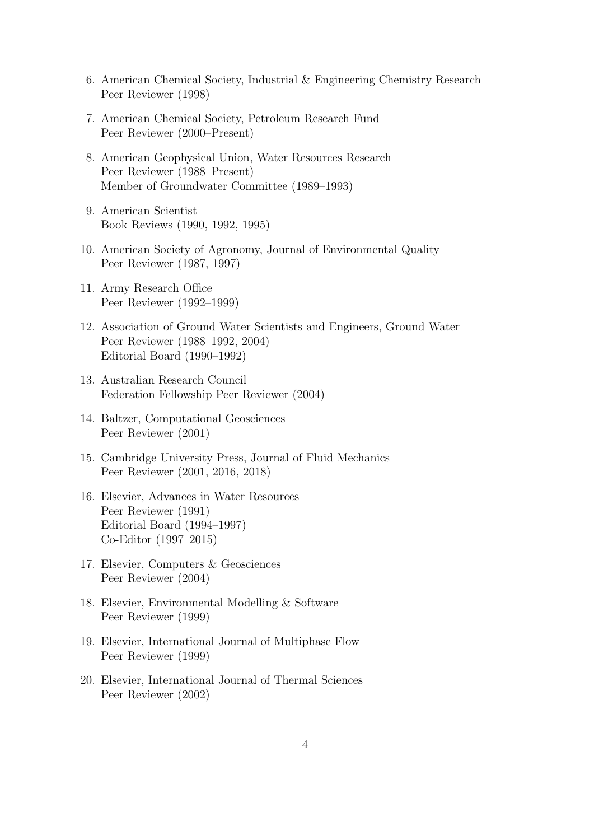- 6. American Chemical Society, Industrial & Engineering Chemistry Research Peer Reviewer (1998)
- 7. American Chemical Society, Petroleum Research Fund Peer Reviewer (2000–Present)
- 8. American Geophysical Union, Water Resources Research Peer Reviewer (1988–Present) Member of Groundwater Committee (1989–1993)
- 9. American Scientist Book Reviews (1990, 1992, 1995)
- 10. American Society of Agronomy, Journal of Environmental Quality Peer Reviewer (1987, 1997)
- 11. Army Research Office Peer Reviewer (1992–1999)
- 12. Association of Ground Water Scientists and Engineers, Ground Water Peer Reviewer (1988–1992, 2004) Editorial Board (1990–1992)
- 13. Australian Research Council Federation Fellowship Peer Reviewer (2004)
- 14. Baltzer, Computational Geosciences Peer Reviewer (2001)
- 15. Cambridge University Press, Journal of Fluid Mechanics Peer Reviewer (2001, 2016, 2018)
- 16. Elsevier, Advances in Water Resources Peer Reviewer (1991) Editorial Board (1994–1997) Co-Editor (1997–2015)
- 17. Elsevier, Computers & Geosciences Peer Reviewer (2004)
- 18. Elsevier, Environmental Modelling & Software Peer Reviewer (1999)
- 19. Elsevier, International Journal of Multiphase Flow Peer Reviewer (1999)
- 20. Elsevier, International Journal of Thermal Sciences Peer Reviewer (2002)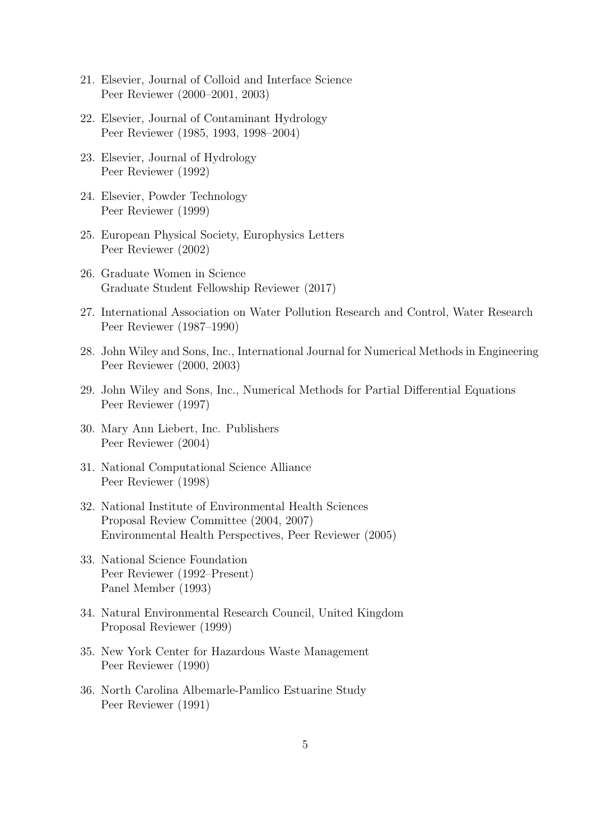- 21. Elsevier, Journal of Colloid and Interface Science Peer Reviewer (2000–2001, 2003)
- 22. Elsevier, Journal of Contaminant Hydrology Peer Reviewer (1985, 1993, 1998–2004)
- 23. Elsevier, Journal of Hydrology Peer Reviewer (1992)
- 24. Elsevier, Powder Technology Peer Reviewer (1999)
- 25. European Physical Society, Europhysics Letters Peer Reviewer (2002)
- 26. Graduate Women in Science Graduate Student Fellowship Reviewer (2017)
- 27. International Association on Water Pollution Research and Control, Water Research Peer Reviewer (1987–1990)
- 28. John Wiley and Sons, Inc., International Journal for Numerical Methods in Engineering Peer Reviewer (2000, 2003)
- 29. John Wiley and Sons, Inc., Numerical Methods for Partial Differential Equations Peer Reviewer (1997)
- 30. Mary Ann Liebert, Inc. Publishers Peer Reviewer (2004)
- 31. National Computational Science Alliance Peer Reviewer (1998)
- 32. National Institute of Environmental Health Sciences Proposal Review Committee (2004, 2007) Environmental Health Perspectives, Peer Reviewer (2005)
- 33. National Science Foundation Peer Reviewer (1992–Present) Panel Member (1993)
- 34. Natural Environmental Research Council, United Kingdom Proposal Reviewer (1999)
- 35. New York Center for Hazardous Waste Management Peer Reviewer (1990)
- 36. North Carolina Albemarle-Pamlico Estuarine Study Peer Reviewer (1991)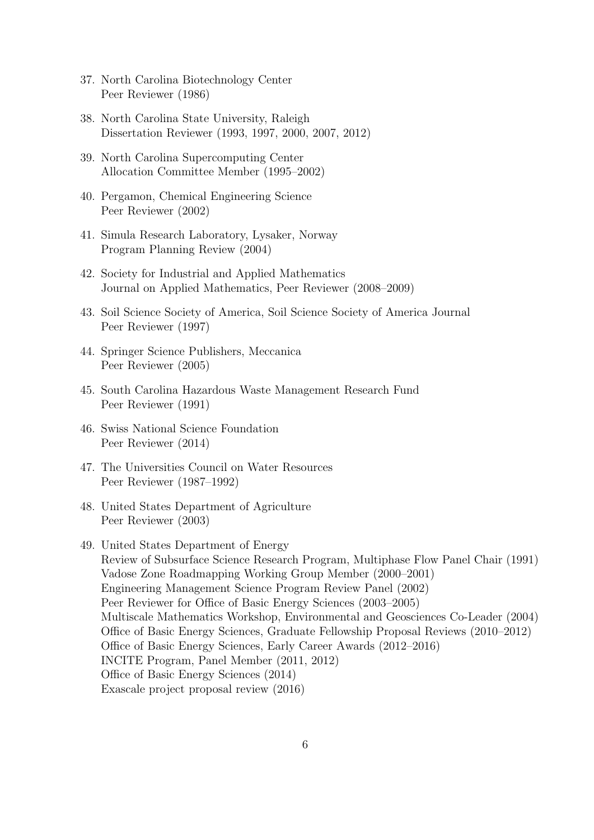- 37. North Carolina Biotechnology Center Peer Reviewer (1986)
- 38. North Carolina State University, Raleigh Dissertation Reviewer (1993, 1997, 2000, 2007, 2012)
- 39. North Carolina Supercomputing Center Allocation Committee Member (1995–2002)
- 40. Pergamon, Chemical Engineering Science Peer Reviewer (2002)
- 41. Simula Research Laboratory, Lysaker, Norway Program Planning Review (2004)
- 42. Society for Industrial and Applied Mathematics Journal on Applied Mathematics, Peer Reviewer (2008–2009)
- 43. Soil Science Society of America, Soil Science Society of America Journal Peer Reviewer (1997)
- 44. Springer Science Publishers, Meccanica Peer Reviewer (2005)
- 45. South Carolina Hazardous Waste Management Research Fund Peer Reviewer (1991)
- 46. Swiss National Science Foundation Peer Reviewer (2014)
- 47. The Universities Council on Water Resources Peer Reviewer (1987–1992)
- 48. United States Department of Agriculture Peer Reviewer (2003)
- 49. United States Department of Energy Review of Subsurface Science Research Program, Multiphase Flow Panel Chair (1991) Vadose Zone Roadmapping Working Group Member (2000–2001) Engineering Management Science Program Review Panel (2002) Peer Reviewer for Office of Basic Energy Sciences (2003–2005) Multiscale Mathematics Workshop, Environmental and Geosciences Co-Leader (2004) Office of Basic Energy Sciences, Graduate Fellowship Proposal Reviews (2010–2012) Office of Basic Energy Sciences, Early Career Awards (2012–2016) INCITE Program, Panel Member (2011, 2012) Office of Basic Energy Sciences (2014) Exascale project proposal review (2016)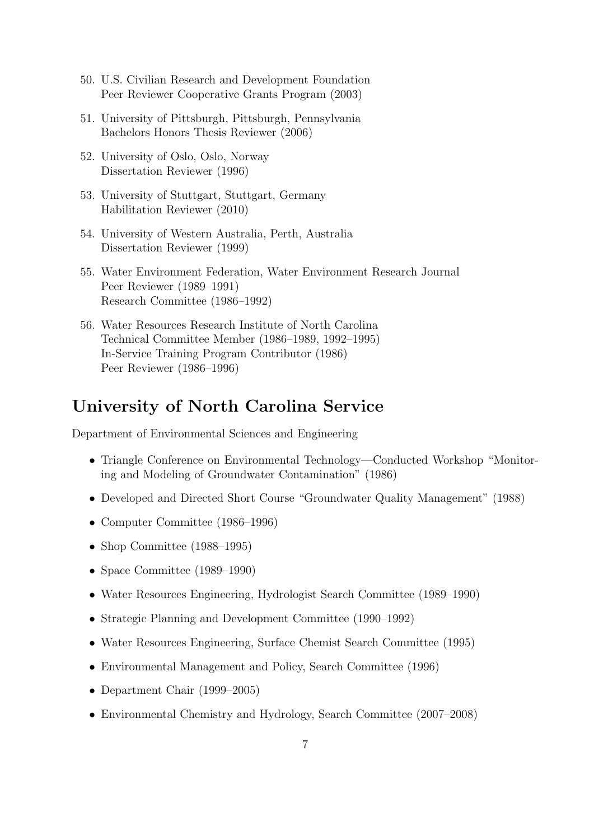- 50. U.S. Civilian Research and Development Foundation Peer Reviewer Cooperative Grants Program (2003)
- 51. University of Pittsburgh, Pittsburgh, Pennsylvania Bachelors Honors Thesis Reviewer (2006)
- 52. University of Oslo, Oslo, Norway Dissertation Reviewer (1996)
- 53. University of Stuttgart, Stuttgart, Germany Habilitation Reviewer (2010)
- 54. University of Western Australia, Perth, Australia Dissertation Reviewer (1999)
- 55. Water Environment Federation, Water Environment Research Journal Peer Reviewer (1989–1991) Research Committee (1986–1992)
- 56. Water Resources Research Institute of North Carolina Technical Committee Member (1986–1989, 1992–1995) In-Service Training Program Contributor (1986) Peer Reviewer (1986–1996)

## University of North Carolina Service

Department of Environmental Sciences and Engineering

- Triangle Conference on Environmental Technology—Conducted Workshop "Monitoring and Modeling of Groundwater Contamination" (1986)
- Developed and Directed Short Course "Groundwater Quality Management" (1988)
- Computer Committee (1986–1996)
- Shop Committee (1988–1995)
- Space Committee (1989–1990)
- Water Resources Engineering, Hydrologist Search Committee (1989–1990)
- Strategic Planning and Development Committee (1990–1992)
- Water Resources Engineering, Surface Chemist Search Committee (1995)
- Environmental Management and Policy, Search Committee (1996)
- Department Chair (1999–2005)
- Environmental Chemistry and Hydrology, Search Committee (2007–2008)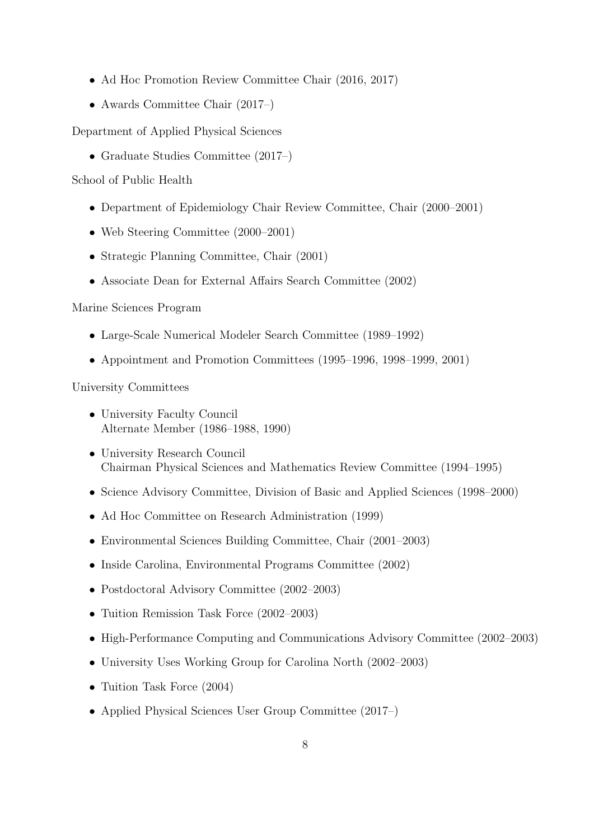- Ad Hoc Promotion Review Committee Chair (2016, 2017)
- Awards Committee Chair (2017–)

Department of Applied Physical Sciences

• Graduate Studies Committee (2017–)

School of Public Health

- Department of Epidemiology Chair Review Committee, Chair (2000–2001)
- Web Steering Committee (2000–2001)
- Strategic Planning Committee, Chair (2001)
- Associate Dean for External Affairs Search Committee (2002)

#### Marine Sciences Program

- Large-Scale Numerical Modeler Search Committee (1989–1992)
- Appointment and Promotion Committees (1995–1996, 1998–1999, 2001)

University Committees

- University Faculty Council Alternate Member (1986–1988, 1990)
- University Research Council Chairman Physical Sciences and Mathematics Review Committee (1994–1995)
- Science Advisory Committee, Division of Basic and Applied Sciences (1998–2000)
- Ad Hoc Committee on Research Administration (1999)
- Environmental Sciences Building Committee, Chair (2001–2003)
- Inside Carolina, Environmental Programs Committee (2002)
- Postdoctoral Advisory Committee (2002–2003)
- Tuition Remission Task Force (2002–2003)
- High-Performance Computing and Communications Advisory Committee (2002–2003)
- University Uses Working Group for Carolina North (2002–2003)
- Tuition Task Force (2004)
- Applied Physical Sciences User Group Committee (2017–)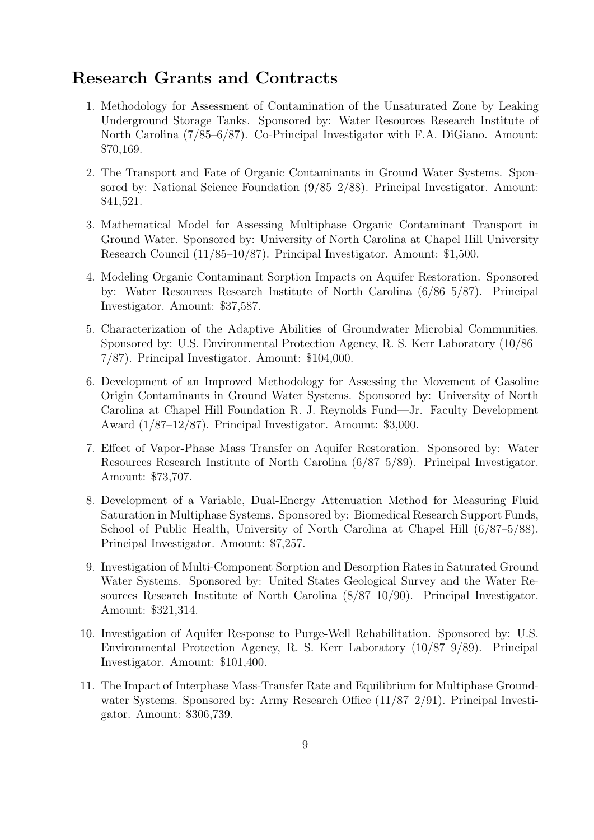### Research Grants and Contracts

- 1. Methodology for Assessment of Contamination of the Unsaturated Zone by Leaking Underground Storage Tanks. Sponsored by: Water Resources Research Institute of North Carolina (7/85–6/87). Co-Principal Investigator with F.A. DiGiano. Amount: \$70,169.
- 2. The Transport and Fate of Organic Contaminants in Ground Water Systems. Sponsored by: National Science Foundation (9/85–2/88). Principal Investigator. Amount: \$41,521.
- 3. Mathematical Model for Assessing Multiphase Organic Contaminant Transport in Ground Water. Sponsored by: University of North Carolina at Chapel Hill University Research Council (11/85–10/87). Principal Investigator. Amount: \$1,500.
- 4. Modeling Organic Contaminant Sorption Impacts on Aquifer Restoration. Sponsored by: Water Resources Research Institute of North Carolina (6/86–5/87). Principal Investigator. Amount: \$37,587.
- 5. Characterization of the Adaptive Abilities of Groundwater Microbial Communities. Sponsored by: U.S. Environmental Protection Agency, R. S. Kerr Laboratory (10/86– 7/87). Principal Investigator. Amount: \$104,000.
- 6. Development of an Improved Methodology for Assessing the Movement of Gasoline Origin Contaminants in Ground Water Systems. Sponsored by: University of North Carolina at Chapel Hill Foundation R. J. Reynolds Fund—Jr. Faculty Development Award (1/87–12/87). Principal Investigator. Amount: \$3,000.
- 7. Effect of Vapor-Phase Mass Transfer on Aquifer Restoration. Sponsored by: Water Resources Research Institute of North Carolina (6/87–5/89). Principal Investigator. Amount: \$73,707.
- 8. Development of a Variable, Dual-Energy Attenuation Method for Measuring Fluid Saturation in Multiphase Systems. Sponsored by: Biomedical Research Support Funds, School of Public Health, University of North Carolina at Chapel Hill (6/87–5/88). Principal Investigator. Amount: \$7,257.
- 9. Investigation of Multi-Component Sorption and Desorption Rates in Saturated Ground Water Systems. Sponsored by: United States Geological Survey and the Water Resources Research Institute of North Carolina (8/87–10/90). Principal Investigator. Amount: \$321,314.
- 10. Investigation of Aquifer Response to Purge-Well Rehabilitation. Sponsored by: U.S. Environmental Protection Agency, R. S. Kerr Laboratory (10/87–9/89). Principal Investigator. Amount: \$101,400.
- 11. The Impact of Interphase Mass-Transfer Rate and Equilibrium for Multiphase Groundwater Systems. Sponsored by: Army Research Office (11/87–2/91). Principal Investigator. Amount: \$306,739.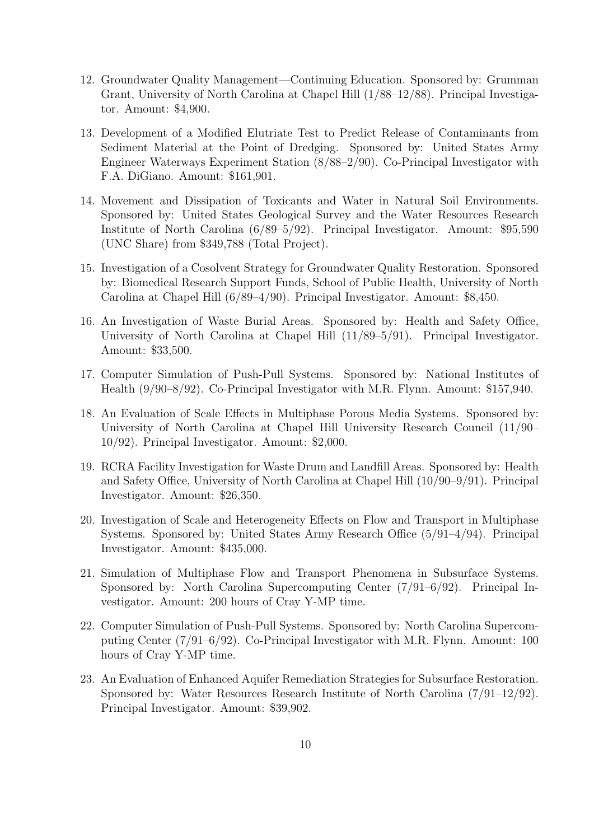- 12. Groundwater Quality Management—Continuing Education. Sponsored by: Grumman Grant, University of North Carolina at Chapel Hill (1/88–12/88). Principal Investigator. Amount: \$4,900.
- 13. Development of a Modified Elutriate Test to Predict Release of Contaminants from Sediment Material at the Point of Dredging. Sponsored by: United States Army Engineer Waterways Experiment Station (8/88–2/90). Co-Principal Investigator with F.A. DiGiano. Amount: \$161,901.
- 14. Movement and Dissipation of Toxicants and Water in Natural Soil Environments. Sponsored by: United States Geological Survey and the Water Resources Research Institute of North Carolina (6/89–5/92). Principal Investigator. Amount: \$95,590 (UNC Share) from \$349,788 (Total Project).
- 15. Investigation of a Cosolvent Strategy for Groundwater Quality Restoration. Sponsored by: Biomedical Research Support Funds, School of Public Health, University of North Carolina at Chapel Hill (6/89–4/90). Principal Investigator. Amount: \$8,450.
- 16. An Investigation of Waste Burial Areas. Sponsored by: Health and Safety Office, University of North Carolina at Chapel Hill (11/89–5/91). Principal Investigator. Amount: \$33,500.
- 17. Computer Simulation of Push-Pull Systems. Sponsored by: National Institutes of Health (9/90–8/92). Co-Principal Investigator with M.R. Flynn. Amount: \$157,940.
- 18. An Evaluation of Scale Effects in Multiphase Porous Media Systems. Sponsored by: University of North Carolina at Chapel Hill University Research Council (11/90– 10/92). Principal Investigator. Amount: \$2,000.
- 19. RCRA Facility Investigation for Waste Drum and Landfill Areas. Sponsored by: Health and Safety Office, University of North Carolina at Chapel Hill (10/90–9/91). Principal Investigator. Amount: \$26,350.
- 20. Investigation of Scale and Heterogeneity Effects on Flow and Transport in Multiphase Systems. Sponsored by: United States Army Research Office (5/91–4/94). Principal Investigator. Amount: \$435,000.
- 21. Simulation of Multiphase Flow and Transport Phenomena in Subsurface Systems. Sponsored by: North Carolina Supercomputing Center (7/91–6/92). Principal Investigator. Amount: 200 hours of Cray Y-MP time.
- 22. Computer Simulation of Push-Pull Systems. Sponsored by: North Carolina Supercomputing Center (7/91–6/92). Co-Principal Investigator with M.R. Flynn. Amount: 100 hours of Cray Y-MP time.
- 23. An Evaluation of Enhanced Aquifer Remediation Strategies for Subsurface Restoration. Sponsored by: Water Resources Research Institute of North Carolina (7/91–12/92). Principal Investigator. Amount: \$39,902.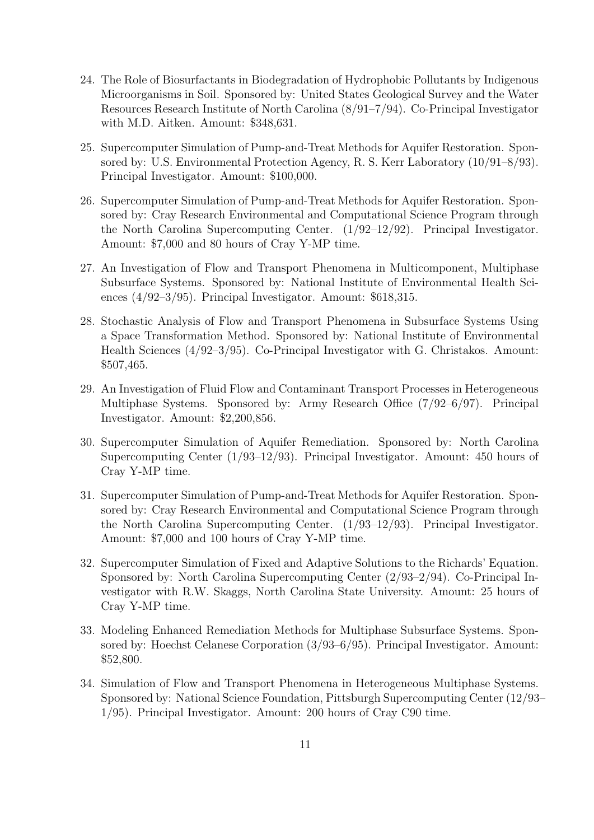- 24. The Role of Biosurfactants in Biodegradation of Hydrophobic Pollutants by Indigenous Microorganisms in Soil. Sponsored by: United States Geological Survey and the Water Resources Research Institute of North Carolina (8/91–7/94). Co-Principal Investigator with M.D. Aitken. Amount: \$348,631.
- 25. Supercomputer Simulation of Pump-and-Treat Methods for Aquifer Restoration. Sponsored by: U.S. Environmental Protection Agency, R. S. Kerr Laboratory (10/91–8/93). Principal Investigator. Amount: \$100,000.
- 26. Supercomputer Simulation of Pump-and-Treat Methods for Aquifer Restoration. Sponsored by: Cray Research Environmental and Computational Science Program through the North Carolina Supercomputing Center. (1/92–12/92). Principal Investigator. Amount: \$7,000 and 80 hours of Cray Y-MP time.
- 27. An Investigation of Flow and Transport Phenomena in Multicomponent, Multiphase Subsurface Systems. Sponsored by: National Institute of Environmental Health Sciences (4/92–3/95). Principal Investigator. Amount: \$618,315.
- 28. Stochastic Analysis of Flow and Transport Phenomena in Subsurface Systems Using a Space Transformation Method. Sponsored by: National Institute of Environmental Health Sciences (4/92–3/95). Co-Principal Investigator with G. Christakos. Amount: \$507,465.
- 29. An Investigation of Fluid Flow and Contaminant Transport Processes in Heterogeneous Multiphase Systems. Sponsored by: Army Research Office (7/92–6/97). Principal Investigator. Amount: \$2,200,856.
- 30. Supercomputer Simulation of Aquifer Remediation. Sponsored by: North Carolina Supercomputing Center (1/93–12/93). Principal Investigator. Amount: 450 hours of Cray Y-MP time.
- 31. Supercomputer Simulation of Pump-and-Treat Methods for Aquifer Restoration. Sponsored by: Cray Research Environmental and Computational Science Program through the North Carolina Supercomputing Center. (1/93–12/93). Principal Investigator. Amount: \$7,000 and 100 hours of Cray Y-MP time.
- 32. Supercomputer Simulation of Fixed and Adaptive Solutions to the Richards' Equation. Sponsored by: North Carolina Supercomputing Center (2/93–2/94). Co-Principal Investigator with R.W. Skaggs, North Carolina State University. Amount: 25 hours of Cray Y-MP time.
- 33. Modeling Enhanced Remediation Methods for Multiphase Subsurface Systems. Sponsored by: Hoechst Celanese Corporation (3/93–6/95). Principal Investigator. Amount: \$52,800.
- 34. Simulation of Flow and Transport Phenomena in Heterogeneous Multiphase Systems. Sponsored by: National Science Foundation, Pittsburgh Supercomputing Center (12/93– 1/95). Principal Investigator. Amount: 200 hours of Cray C90 time.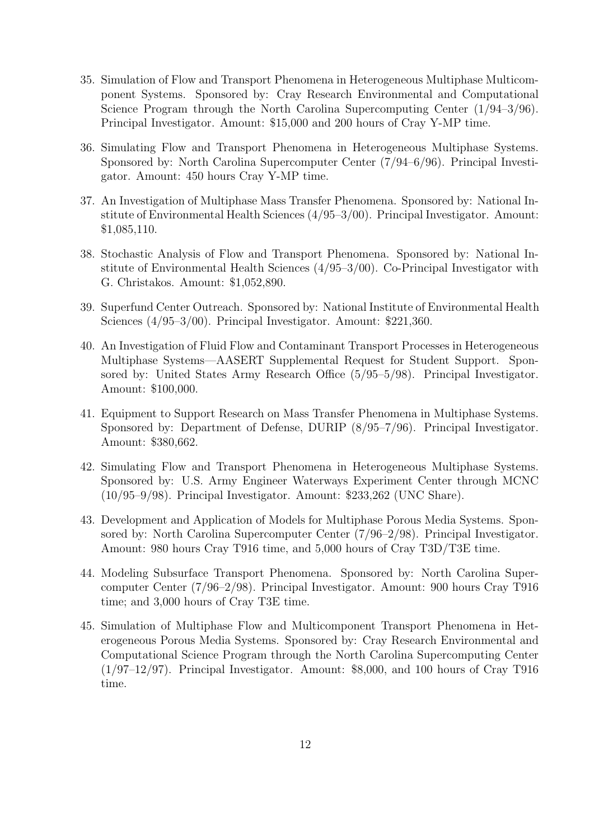- 35. Simulation of Flow and Transport Phenomena in Heterogeneous Multiphase Multicomponent Systems. Sponsored by: Cray Research Environmental and Computational Science Program through the North Carolina Supercomputing Center (1/94–3/96). Principal Investigator. Amount: \$15,000 and 200 hours of Cray Y-MP time.
- 36. Simulating Flow and Transport Phenomena in Heterogeneous Multiphase Systems. Sponsored by: North Carolina Supercomputer Center (7/94–6/96). Principal Investigator. Amount: 450 hours Cray Y-MP time.
- 37. An Investigation of Multiphase Mass Transfer Phenomena. Sponsored by: National Institute of Environmental Health Sciences (4/95–3/00). Principal Investigator. Amount: \$1,085,110.
- 38. Stochastic Analysis of Flow and Transport Phenomena. Sponsored by: National Institute of Environmental Health Sciences (4/95–3/00). Co-Principal Investigator with G. Christakos. Amount: \$1,052,890.
- 39. Superfund Center Outreach. Sponsored by: National Institute of Environmental Health Sciences (4/95–3/00). Principal Investigator. Amount: \$221,360.
- 40. An Investigation of Fluid Flow and Contaminant Transport Processes in Heterogeneous Multiphase Systems—AASERT Supplemental Request for Student Support. Sponsored by: United States Army Research Office (5/95–5/98). Principal Investigator. Amount: \$100,000.
- 41. Equipment to Support Research on Mass Transfer Phenomena in Multiphase Systems. Sponsored by: Department of Defense, DURIP (8/95–7/96). Principal Investigator. Amount: \$380,662.
- 42. Simulating Flow and Transport Phenomena in Heterogeneous Multiphase Systems. Sponsored by: U.S. Army Engineer Waterways Experiment Center through MCNC (10/95–9/98). Principal Investigator. Amount: \$233,262 (UNC Share).
- 43. Development and Application of Models for Multiphase Porous Media Systems. Sponsored by: North Carolina Supercomputer Center (7/96–2/98). Principal Investigator. Amount: 980 hours Cray T916 time, and 5,000 hours of Cray T3D/T3E time.
- 44. Modeling Subsurface Transport Phenomena. Sponsored by: North Carolina Supercomputer Center (7/96–2/98). Principal Investigator. Amount: 900 hours Cray T916 time; and 3,000 hours of Cray T3E time.
- 45. Simulation of Multiphase Flow and Multicomponent Transport Phenomena in Heterogeneous Porous Media Systems. Sponsored by: Cray Research Environmental and Computational Science Program through the North Carolina Supercomputing Center  $(1/97-12/97)$ . Principal Investigator. Amount: \$8,000, and 100 hours of Cray T916 time.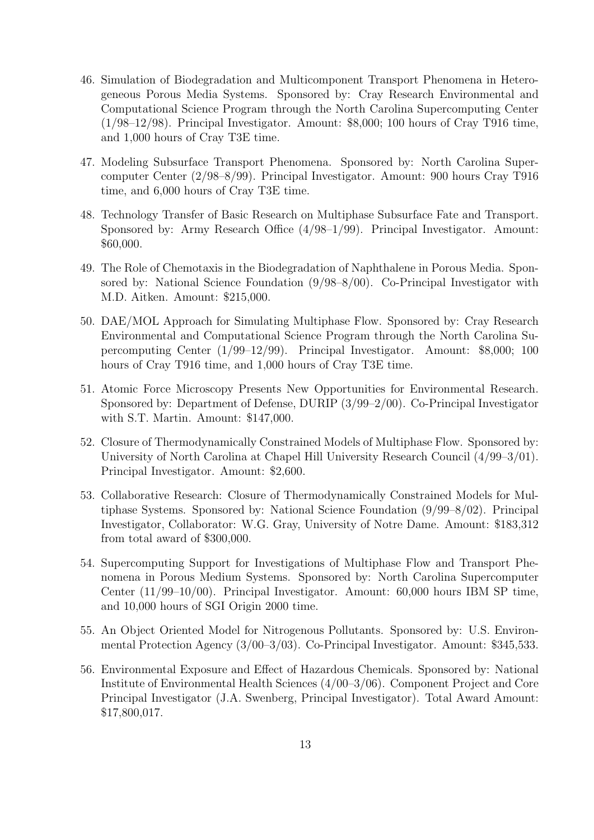- 46. Simulation of Biodegradation and Multicomponent Transport Phenomena in Heterogeneous Porous Media Systems. Sponsored by: Cray Research Environmental and Computational Science Program through the North Carolina Supercomputing Center (1/98–12/98). Principal Investigator. Amount: \$8,000; 100 hours of Cray T916 time, and 1,000 hours of Cray T3E time.
- 47. Modeling Subsurface Transport Phenomena. Sponsored by: North Carolina Supercomputer Center (2/98–8/99). Principal Investigator. Amount: 900 hours Cray T916 time, and 6,000 hours of Cray T3E time.
- 48. Technology Transfer of Basic Research on Multiphase Subsurface Fate and Transport. Sponsored by: Army Research Office (4/98–1/99). Principal Investigator. Amount: \$60,000.
- 49. The Role of Chemotaxis in the Biodegradation of Naphthalene in Porous Media. Sponsored by: National Science Foundation (9/98–8/00). Co-Principal Investigator with M.D. Aitken. Amount: \$215,000.
- 50. DAE/MOL Approach for Simulating Multiphase Flow. Sponsored by: Cray Research Environmental and Computational Science Program through the North Carolina Supercomputing Center (1/99–12/99). Principal Investigator. Amount: \$8,000; 100 hours of Cray T916 time, and 1,000 hours of Cray T3E time.
- 51. Atomic Force Microscopy Presents New Opportunities for Environmental Research. Sponsored by: Department of Defense, DURIP (3/99–2/00). Co-Principal Investigator with S.T. Martin. Amount: \$147,000.
- 52. Closure of Thermodynamically Constrained Models of Multiphase Flow. Sponsored by: University of North Carolina at Chapel Hill University Research Council (4/99–3/01). Principal Investigator. Amount: \$2,600.
- 53. Collaborative Research: Closure of Thermodynamically Constrained Models for Multiphase Systems. Sponsored by: National Science Foundation (9/99–8/02). Principal Investigator, Collaborator: W.G. Gray, University of Notre Dame. Amount: \$183,312 from total award of \$300,000.
- 54. Supercomputing Support for Investigations of Multiphase Flow and Transport Phenomena in Porous Medium Systems. Sponsored by: North Carolina Supercomputer Center (11/99–10/00). Principal Investigator. Amount: 60,000 hours IBM SP time, and 10,000 hours of SGI Origin 2000 time.
- 55. An Object Oriented Model for Nitrogenous Pollutants. Sponsored by: U.S. Environmental Protection Agency (3/00–3/03). Co-Principal Investigator. Amount: \$345,533.
- 56. Environmental Exposure and Effect of Hazardous Chemicals. Sponsored by: National Institute of Environmental Health Sciences (4/00–3/06). Component Project and Core Principal Investigator (J.A. Swenberg, Principal Investigator). Total Award Amount: \$17,800,017.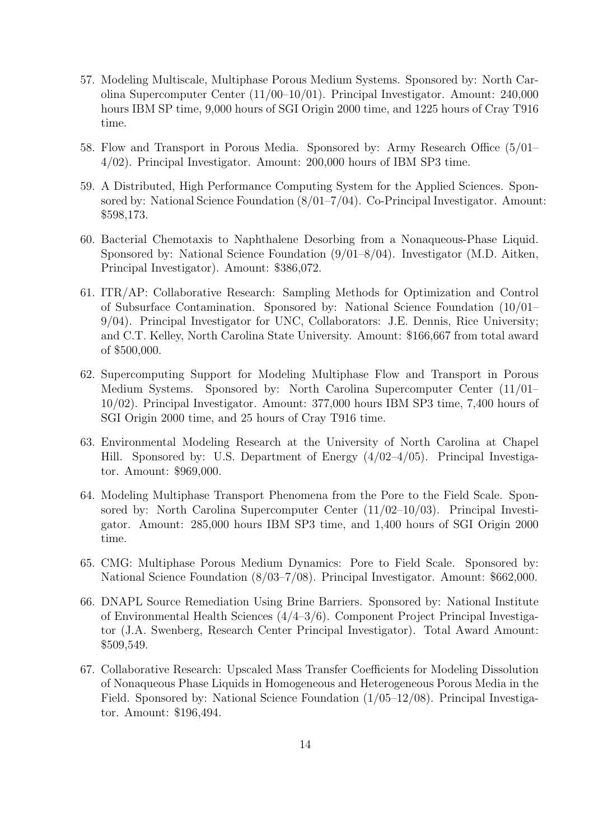- 57. Modeling Multiscale, Multiphase Porous Medium Systems. Sponsored by: North Carolina Supercomputer Center (11/00–10/01). Principal Investigator. Amount: 240,000 hours IBM SP time, 9,000 hours of SGI Origin 2000 time, and 1225 hours of Cray T916 time.
- 58. Flow and Transport in Porous Media. Sponsored by: Army Research Office (5/01– 4/02). Principal Investigator. Amount: 200,000 hours of IBM SP3 time.
- 59. A Distributed, High Performance Computing System for the Applied Sciences. Sponsored by: National Science Foundation (8/01–7/04). Co-Principal Investigator. Amount: \$598,173.
- 60. Bacterial Chemotaxis to Naphthalene Desorbing from a Nonaqueous-Phase Liquid. Sponsored by: National Science Foundation (9/01–8/04). Investigator (M.D. Aitken, Principal Investigator). Amount: \$386,072.
- 61. ITR/AP: Collaborative Research: Sampling Methods for Optimization and Control of Subsurface Contamination. Sponsored by: National Science Foundation (10/01– 9/04). Principal Investigator for UNC, Collaborators: J.E. Dennis, Rice University; and C.T. Kelley, North Carolina State University. Amount: \$166,667 from total award of \$500,000.
- 62. Supercomputing Support for Modeling Multiphase Flow and Transport in Porous Medium Systems. Sponsored by: North Carolina Supercomputer Center (11/01– 10/02). Principal Investigator. Amount: 377,000 hours IBM SP3 time, 7,400 hours of SGI Origin 2000 time, and 25 hours of Cray T916 time.
- 63. Environmental Modeling Research at the University of North Carolina at Chapel Hill. Sponsored by: U.S. Department of Energy (4/02–4/05). Principal Investigator. Amount: \$969,000.
- 64. Modeling Multiphase Transport Phenomena from the Pore to the Field Scale. Sponsored by: North Carolina Supercomputer Center (11/02–10/03). Principal Investigator. Amount: 285,000 hours IBM SP3 time, and 1,400 hours of SGI Origin 2000 time.
- 65. CMG: Multiphase Porous Medium Dynamics: Pore to Field Scale. Sponsored by: National Science Foundation (8/03–7/08). Principal Investigator. Amount: \$662,000.
- 66. DNAPL Source Remediation Using Brine Barriers. Sponsored by: National Institute of Environmental Health Sciences (4/4–3/6). Component Project Principal Investigator (J.A. Swenberg, Research Center Principal Investigator). Total Award Amount: \$509,549.
- 67. Collaborative Research: Upscaled Mass Transfer Coefficients for Modeling Dissolution of Nonaqueous Phase Liquids in Homogeneous and Heterogeneous Porous Media in the Field. Sponsored by: National Science Foundation (1/05–12/08). Principal Investigator. Amount: \$196,494.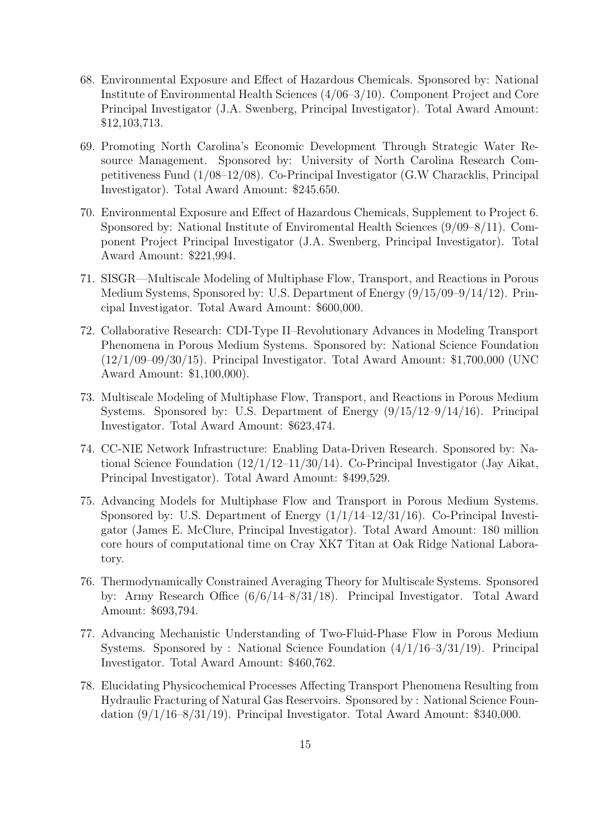- 68. Environmental Exposure and Effect of Hazardous Chemicals. Sponsored by: National Institute of Environmental Health Sciences (4/06–3/10). Component Project and Core Principal Investigator (J.A. Swenberg, Principal Investigator). Total Award Amount: \$12,103,713.
- 69. Promoting North Carolina's Economic Development Through Strategic Water Resource Management. Sponsored by: University of North Carolina Research Competitiveness Fund (1/08–12/08). Co-Principal Investigator (G.W Characklis, Principal Investigator). Total Award Amount: \$245,650.
- 70. Environmental Exposure and Effect of Hazardous Chemicals, Supplement to Project 6. Sponsored by: National Institute of Enviromental Health Sciences (9/09–8/11). Component Project Principal Investigator (J.A. Swenberg, Principal Investigator). Total Award Amount: \$221,994.
- 71. SISGR—Multiscale Modeling of Multiphase Flow, Transport, and Reactions in Porous Medium Systems, Sponsored by: U.S. Department of Energy (9/15/09–9/14/12). Principal Investigator. Total Award Amount: \$600,000.
- 72. Collaborative Research: CDI-Type II–Revolutionary Advances in Modeling Transport Phenomena in Porous Medium Systems. Sponsored by: National Science Foundation (12/1/09–09/30/15). Principal Investigator. Total Award Amount: \$1,700,000 (UNC Award Amount: \$1,100,000).
- 73. Multiscale Modeling of Multiphase Flow, Transport, and Reactions in Porous Medium Systems. Sponsored by: U.S. Department of Energy (9/15/12–9/14/16). Principal Investigator. Total Award Amount: \$623,474.
- 74. CC-NIE Network Infrastructure: Enabling Data-Driven Research. Sponsored by: National Science Foundation (12/1/12–11/30/14). Co-Principal Investigator (Jay Aikat, Principal Investigator). Total Award Amount: \$499,529.
- 75. Advancing Models for Multiphase Flow and Transport in Porous Medium Systems. Sponsored by: U.S. Department of Energy  $(1/1/14-12/31/16)$ . Co-Principal Investigator (James E. McClure, Principal Investigator). Total Award Amount: 180 million core hours of computational time on Cray XK7 Titan at Oak Ridge National Laboratory.
- 76. Thermodynamically Constrained Averaging Theory for Multiscale Systems. Sponsored by: Army Research Office (6/6/14–8/31/18). Principal Investigator. Total Award Amount: \$693,794.
- 77. Advancing Mechanistic Understanding of Two-Fluid-Phase Flow in Porous Medium Systems. Sponsored by : National Science Foundation (4/1/16–3/31/19). Principal Investigator. Total Award Amount: \$460,762.
- 78. Elucidating Physicochemical Processes Affecting Transport Phenomena Resulting from Hydraulic Fracturing of Natural Gas Reservoirs. Sponsored by : National Science Foundation (9/1/16–8/31/19). Principal Investigator. Total Award Amount: \$340,000.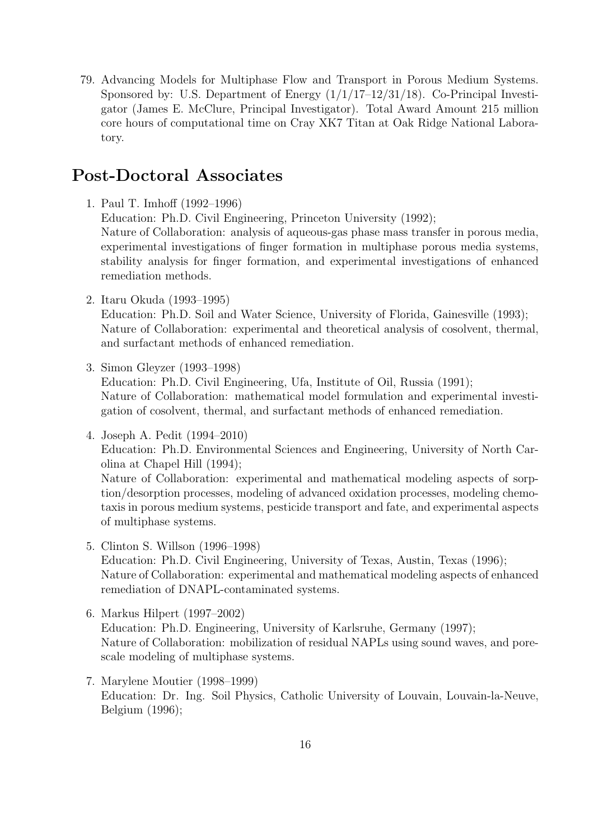79. Advancing Models for Multiphase Flow and Transport in Porous Medium Systems. Sponsored by: U.S. Department of Energy  $(1/1/17-12/31/18)$ . Co-Principal Investigator (James E. McClure, Principal Investigator). Total Award Amount 215 million core hours of computational time on Cray XK7 Titan at Oak Ridge National Laboratory.

### Post-Doctoral Associates

- 1. Paul T. Imhoff (1992–1996) Education: Ph.D. Civil Engineering, Princeton University (1992); Nature of Collaboration: analysis of aqueous-gas phase mass transfer in porous media, experimental investigations of finger formation in multiphase porous media systems, stability analysis for finger formation, and experimental investigations of enhanced remediation methods.
- 2. Itaru Okuda (1993–1995)

Education: Ph.D. Soil and Water Science, University of Florida, Gainesville (1993); Nature of Collaboration: experimental and theoretical analysis of cosolvent, thermal, and surfactant methods of enhanced remediation.

3. Simon Gleyzer (1993–1998)

Education: Ph.D. Civil Engineering, Ufa, Institute of Oil, Russia (1991); Nature of Collaboration: mathematical model formulation and experimental investigation of cosolvent, thermal, and surfactant methods of enhanced remediation.

4. Joseph A. Pedit (1994–2010) Education: Ph.D. Environmental Sciences and Engineering, University of North Carolina at Chapel Hill (1994);

Nature of Collaboration: experimental and mathematical modeling aspects of sorption/desorption processes, modeling of advanced oxidation processes, modeling chemotaxis in porous medium systems, pesticide transport and fate, and experimental aspects of multiphase systems.

- 5. Clinton S. Willson (1996–1998) Education: Ph.D. Civil Engineering, University of Texas, Austin, Texas (1996); Nature of Collaboration: experimental and mathematical modeling aspects of enhanced remediation of DNAPL-contaminated systems.
- 6. Markus Hilpert (1997–2002) Education: Ph.D. Engineering, University of Karlsruhe, Germany (1997); Nature of Collaboration: mobilization of residual NAPLs using sound waves, and porescale modeling of multiphase systems.
- 7. Marylene Moutier (1998–1999) Education: Dr. Ing. Soil Physics, Catholic University of Louvain, Louvain-la-Neuve, Belgium (1996);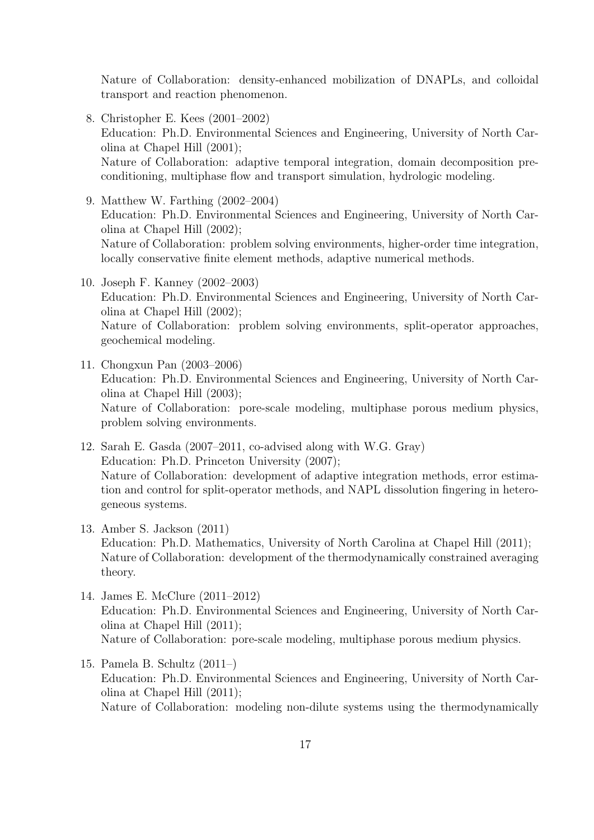Nature of Collaboration: density-enhanced mobilization of DNAPLs, and colloidal transport and reaction phenomenon.

8. Christopher E. Kees (2001–2002) Education: Ph.D. Environmental Sciences and Engineering, University of North Carolina at Chapel Hill (2001); Nature of Collaboration: adaptive temporal integration, domain decomposition preconditioning, multiphase flow and transport simulation, hydrologic modeling.

9. Matthew W. Farthing (2002–2004) Education: Ph.D. Environmental Sciences and Engineering, University of North Carolina at Chapel Hill (2002); Nature of Collaboration: problem solving environments, higher-order time integration, locally conservative finite element methods, adaptive numerical methods.

- 10. Joseph F. Kanney (2002–2003) Education: Ph.D. Environmental Sciences and Engineering, University of North Carolina at Chapel Hill (2002); Nature of Collaboration: problem solving environments, split-operator approaches, geochemical modeling.
- 11. Chongxun Pan (2003–2006) Education: Ph.D. Environmental Sciences and Engineering, University of North Carolina at Chapel Hill (2003); Nature of Collaboration: pore-scale modeling, multiphase porous medium physics, problem solving environments.
- 12. Sarah E. Gasda (2007–2011, co-advised along with W.G. Gray) Education: Ph.D. Princeton University (2007); Nature of Collaboration: development of adaptive integration methods, error estimation and control for split-operator methods, and NAPL dissolution fingering in heterogeneous systems.
- 13. Amber S. Jackson (2011) Education: Ph.D. Mathematics, University of North Carolina at Chapel Hill (2011); Nature of Collaboration: development of the thermodynamically constrained averaging theory.
- 14. James E. McClure (2011–2012) Education: Ph.D. Environmental Sciences and Engineering, University of North Carolina at Chapel Hill (2011); Nature of Collaboration: pore-scale modeling, multiphase porous medium physics.
- 15. Pamela B. Schultz (2011–) Education: Ph.D. Environmental Sciences and Engineering, University of North Carolina at Chapel Hill (2011); Nature of Collaboration: modeling non-dilute systems using the thermodynamically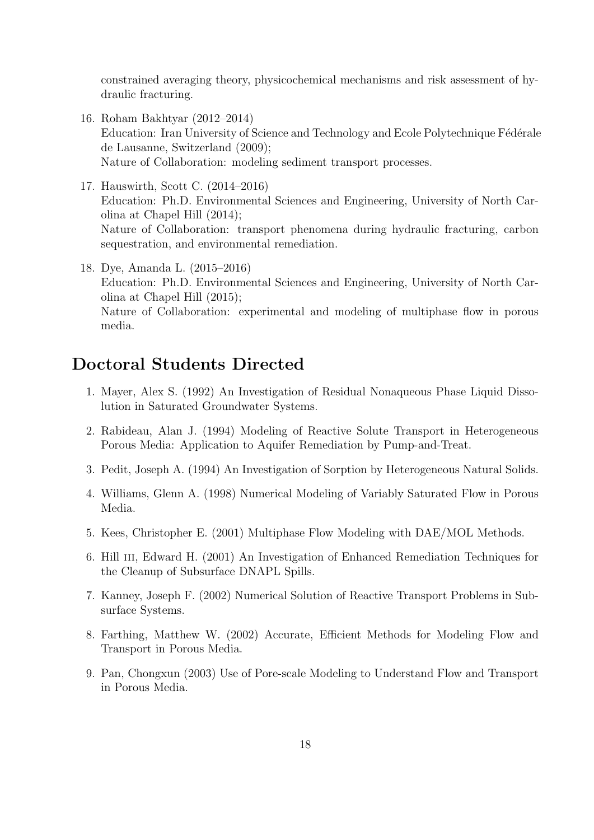constrained averaging theory, physicochemical mechanisms and risk assessment of hydraulic fracturing.

- 16. Roham Bakhtyar (2012–2014) Education: Iran University of Science and Technology and Ecole Polytechnique Fédérale de Lausanne, Switzerland (2009); Nature of Collaboration: modeling sediment transport processes.
- 17. Hauswirth, Scott C. (2014–2016) Education: Ph.D. Environmental Sciences and Engineering, University of North Carolina at Chapel Hill (2014); Nature of Collaboration: transport phenomena during hydraulic fracturing, carbon sequestration, and environmental remediation.
- 18. Dye, Amanda L. (2015–2016) Education: Ph.D. Environmental Sciences and Engineering, University of North Carolina at Chapel Hill (2015); Nature of Collaboration: experimental and modeling of multiphase flow in porous media.

## Doctoral Students Directed

- 1. Mayer, Alex S. (1992) An Investigation of Residual Nonaqueous Phase Liquid Dissolution in Saturated Groundwater Systems.
- 2. Rabideau, Alan J. (1994) Modeling of Reactive Solute Transport in Heterogeneous Porous Media: Application to Aquifer Remediation by Pump-and-Treat.
- 3. Pedit, Joseph A. (1994) An Investigation of Sorption by Heterogeneous Natural Solids.
- 4. Williams, Glenn A. (1998) Numerical Modeling of Variably Saturated Flow in Porous Media.
- 5. Kees, Christopher E. (2001) Multiphase Flow Modeling with DAE/MOL Methods.
- 6. Hill iii, Edward H. (2001) An Investigation of Enhanced Remediation Techniques for the Cleanup of Subsurface DNAPL Spills.
- 7. Kanney, Joseph F. (2002) Numerical Solution of Reactive Transport Problems in Subsurface Systems.
- 8. Farthing, Matthew W. (2002) Accurate, Efficient Methods for Modeling Flow and Transport in Porous Media.
- 9. Pan, Chongxun (2003) Use of Pore-scale Modeling to Understand Flow and Transport in Porous Media.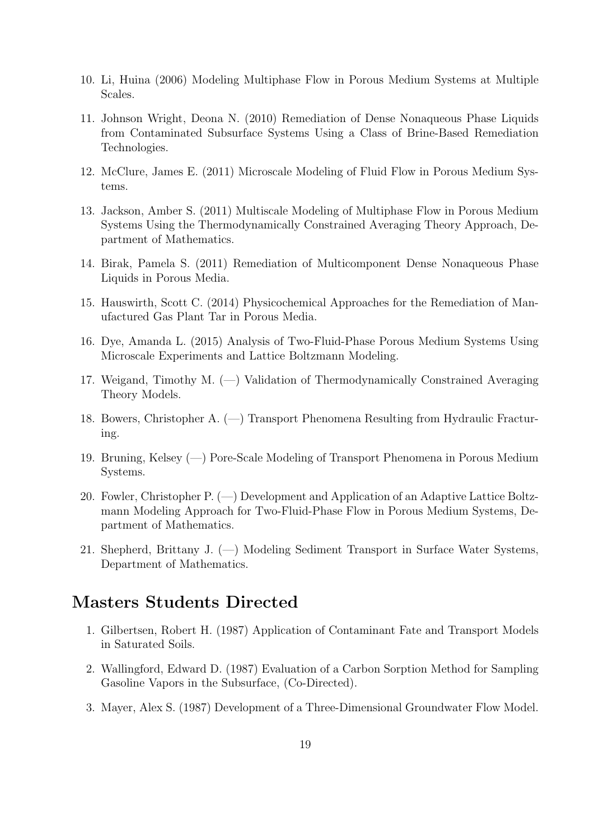- 10. Li, Huina (2006) Modeling Multiphase Flow in Porous Medium Systems at Multiple Scales.
- 11. Johnson Wright, Deona N. (2010) Remediation of Dense Nonaqueous Phase Liquids from Contaminated Subsurface Systems Using a Class of Brine-Based Remediation Technologies.
- 12. McClure, James E. (2011) Microscale Modeling of Fluid Flow in Porous Medium Systems.
- 13. Jackson, Amber S. (2011) Multiscale Modeling of Multiphase Flow in Porous Medium Systems Using the Thermodynamically Constrained Averaging Theory Approach, Department of Mathematics.
- 14. Birak, Pamela S. (2011) Remediation of Multicomponent Dense Nonaqueous Phase Liquids in Porous Media.
- 15. Hauswirth, Scott C. (2014) Physicochemical Approaches for the Remediation of Manufactured Gas Plant Tar in Porous Media.
- 16. Dye, Amanda L. (2015) Analysis of Two-Fluid-Phase Porous Medium Systems Using Microscale Experiments and Lattice Boltzmann Modeling.
- 17. Weigand, Timothy M. (—) Validation of Thermodynamically Constrained Averaging Theory Models.
- 18. Bowers, Christopher A. (—) Transport Phenomena Resulting from Hydraulic Fracturing.
- 19. Bruning, Kelsey (—) Pore-Scale Modeling of Transport Phenomena in Porous Medium Systems.
- 20. Fowler, Christopher P. (—) Development and Application of an Adaptive Lattice Boltzmann Modeling Approach for Two-Fluid-Phase Flow in Porous Medium Systems, Department of Mathematics.
- 21. Shepherd, Brittany J. (—) Modeling Sediment Transport in Surface Water Systems, Department of Mathematics.

## Masters Students Directed

- 1. Gilbertsen, Robert H. (1987) Application of Contaminant Fate and Transport Models in Saturated Soils.
- 2. Wallingford, Edward D. (1987) Evaluation of a Carbon Sorption Method for Sampling Gasoline Vapors in the Subsurface, (Co-Directed).
- 3. Mayer, Alex S. (1987) Development of a Three-Dimensional Groundwater Flow Model.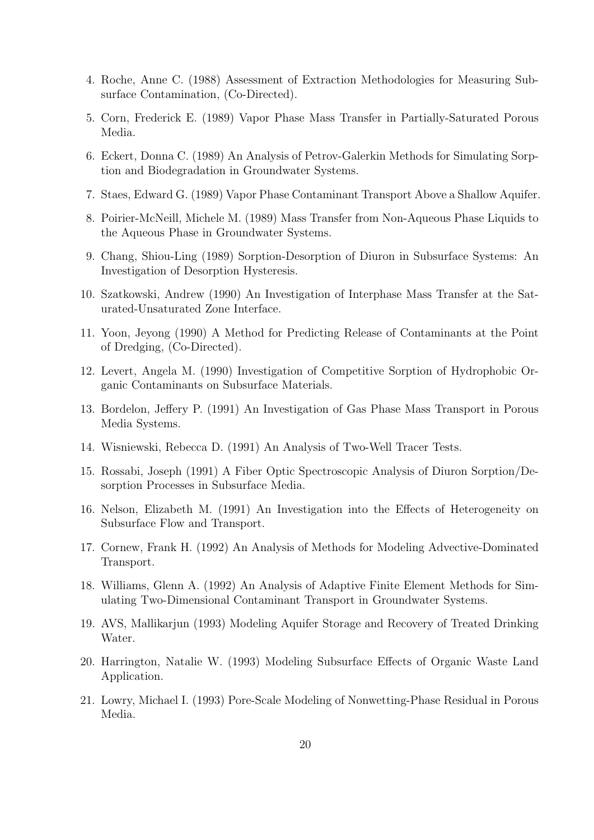- 4. Roche, Anne C. (1988) Assessment of Extraction Methodologies for Measuring Subsurface Contamination, (Co-Directed).
- 5. Corn, Frederick E. (1989) Vapor Phase Mass Transfer in Partially-Saturated Porous Media.
- 6. Eckert, Donna C. (1989) An Analysis of Petrov-Galerkin Methods for Simulating Sorption and Biodegradation in Groundwater Systems.
- 7. Staes, Edward G. (1989) Vapor Phase Contaminant Transport Above a Shallow Aquifer.
- 8. Poirier-McNeill, Michele M. (1989) Mass Transfer from Non-Aqueous Phase Liquids to the Aqueous Phase in Groundwater Systems.
- 9. Chang, Shiou-Ling (1989) Sorption-Desorption of Diuron in Subsurface Systems: An Investigation of Desorption Hysteresis.
- 10. Szatkowski, Andrew (1990) An Investigation of Interphase Mass Transfer at the Saturated-Unsaturated Zone Interface.
- 11. Yoon, Jeyong (1990) A Method for Predicting Release of Contaminants at the Point of Dredging, (Co-Directed).
- 12. Levert, Angela M. (1990) Investigation of Competitive Sorption of Hydrophobic Organic Contaminants on Subsurface Materials.
- 13. Bordelon, Jeffery P. (1991) An Investigation of Gas Phase Mass Transport in Porous Media Systems.
- 14. Wisniewski, Rebecca D. (1991) An Analysis of Two-Well Tracer Tests.
- 15. Rossabi, Joseph (1991) A Fiber Optic Spectroscopic Analysis of Diuron Sorption/Desorption Processes in Subsurface Media.
- 16. Nelson, Elizabeth M. (1991) An Investigation into the Effects of Heterogeneity on Subsurface Flow and Transport.
- 17. Cornew, Frank H. (1992) An Analysis of Methods for Modeling Advective-Dominated Transport.
- 18. Williams, Glenn A. (1992) An Analysis of Adaptive Finite Element Methods for Simulating Two-Dimensional Contaminant Transport in Groundwater Systems.
- 19. AVS, Mallikarjun (1993) Modeling Aquifer Storage and Recovery of Treated Drinking Water.
- 20. Harrington, Natalie W. (1993) Modeling Subsurface Effects of Organic Waste Land Application.
- 21. Lowry, Michael I. (1993) Pore-Scale Modeling of Nonwetting-Phase Residual in Porous Media.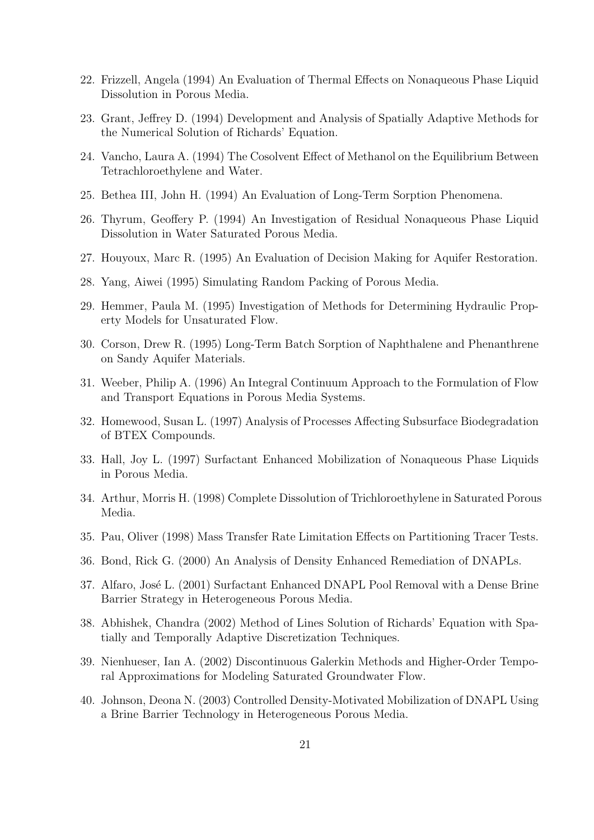- 22. Frizzell, Angela (1994) An Evaluation of Thermal Effects on Nonaqueous Phase Liquid Dissolution in Porous Media.
- 23. Grant, Jeffrey D. (1994) Development and Analysis of Spatially Adaptive Methods for the Numerical Solution of Richards' Equation.
- 24. Vancho, Laura A. (1994) The Cosolvent Effect of Methanol on the Equilibrium Between Tetrachloroethylene and Water.
- 25. Bethea III, John H. (1994) An Evaluation of Long-Term Sorption Phenomena.
- 26. Thyrum, Geoffery P. (1994) An Investigation of Residual Nonaqueous Phase Liquid Dissolution in Water Saturated Porous Media.
- 27. Houyoux, Marc R. (1995) An Evaluation of Decision Making for Aquifer Restoration.
- 28. Yang, Aiwei (1995) Simulating Random Packing of Porous Media.
- 29. Hemmer, Paula M. (1995) Investigation of Methods for Determining Hydraulic Property Models for Unsaturated Flow.
- 30. Corson, Drew R. (1995) Long-Term Batch Sorption of Naphthalene and Phenanthrene on Sandy Aquifer Materials.
- 31. Weeber, Philip A. (1996) An Integral Continuum Approach to the Formulation of Flow and Transport Equations in Porous Media Systems.
- 32. Homewood, Susan L. (1997) Analysis of Processes Affecting Subsurface Biodegradation of BTEX Compounds.
- 33. Hall, Joy L. (1997) Surfactant Enhanced Mobilization of Nonaqueous Phase Liquids in Porous Media.
- 34. Arthur, Morris H. (1998) Complete Dissolution of Trichloroethylene in Saturated Porous Media.
- 35. Pau, Oliver (1998) Mass Transfer Rate Limitation Effects on Partitioning Tracer Tests.
- 36. Bond, Rick G. (2000) An Analysis of Density Enhanced Remediation of DNAPLs.
- 37. Alfaro, José L. (2001) Surfactant Enhanced DNAPL Pool Removal with a Dense Brine Barrier Strategy in Heterogeneous Porous Media.
- 38. Abhishek, Chandra (2002) Method of Lines Solution of Richards' Equation with Spatially and Temporally Adaptive Discretization Techniques.
- 39. Nienhueser, Ian A. (2002) Discontinuous Galerkin Methods and Higher-Order Temporal Approximations for Modeling Saturated Groundwater Flow.
- 40. Johnson, Deona N. (2003) Controlled Density-Motivated Mobilization of DNAPL Using a Brine Barrier Technology in Heterogeneous Porous Media.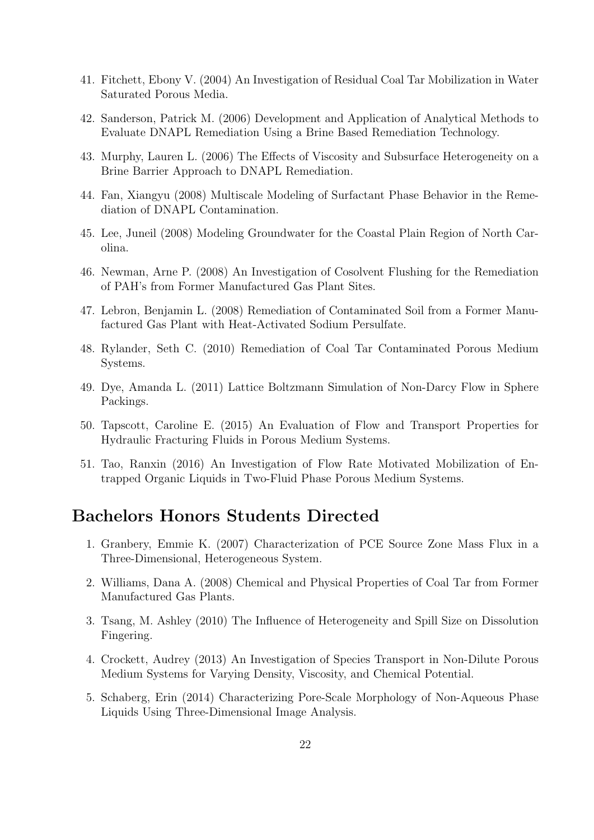- 41. Fitchett, Ebony V. (2004) An Investigation of Residual Coal Tar Mobilization in Water Saturated Porous Media.
- 42. Sanderson, Patrick M. (2006) Development and Application of Analytical Methods to Evaluate DNAPL Remediation Using a Brine Based Remediation Technology.
- 43. Murphy, Lauren L. (2006) The Effects of Viscosity and Subsurface Heterogeneity on a Brine Barrier Approach to DNAPL Remediation.
- 44. Fan, Xiangyu (2008) Multiscale Modeling of Surfactant Phase Behavior in the Remediation of DNAPL Contamination.
- 45. Lee, Juneil (2008) Modeling Groundwater for the Coastal Plain Region of North Carolina.
- 46. Newman, Arne P. (2008) An Investigation of Cosolvent Flushing for the Remediation of PAH's from Former Manufactured Gas Plant Sites.
- 47. Lebron, Benjamin L. (2008) Remediation of Contaminated Soil from a Former Manufactured Gas Plant with Heat-Activated Sodium Persulfate.
- 48. Rylander, Seth C. (2010) Remediation of Coal Tar Contaminated Porous Medium Systems.
- 49. Dye, Amanda L. (2011) Lattice Boltzmann Simulation of Non-Darcy Flow in Sphere Packings.
- 50. Tapscott, Caroline E. (2015) An Evaluation of Flow and Transport Properties for Hydraulic Fracturing Fluids in Porous Medium Systems.
- 51. Tao, Ranxin (2016) An Investigation of Flow Rate Motivated Mobilization of Entrapped Organic Liquids in Two-Fluid Phase Porous Medium Systems.

### Bachelors Honors Students Directed

- 1. Granbery, Emmie K. (2007) Characterization of PCE Source Zone Mass Flux in a Three-Dimensional, Heterogeneous System.
- 2. Williams, Dana A. (2008) Chemical and Physical Properties of Coal Tar from Former Manufactured Gas Plants.
- 3. Tsang, M. Ashley (2010) The Influence of Heterogeneity and Spill Size on Dissolution Fingering.
- 4. Crockett, Audrey (2013) An Investigation of Species Transport in Non-Dilute Porous Medium Systems for Varying Density, Viscosity, and Chemical Potential.
- 5. Schaberg, Erin (2014) Characterizing Pore-Scale Morphology of Non-Aqueous Phase Liquids Using Three-Dimensional Image Analysis.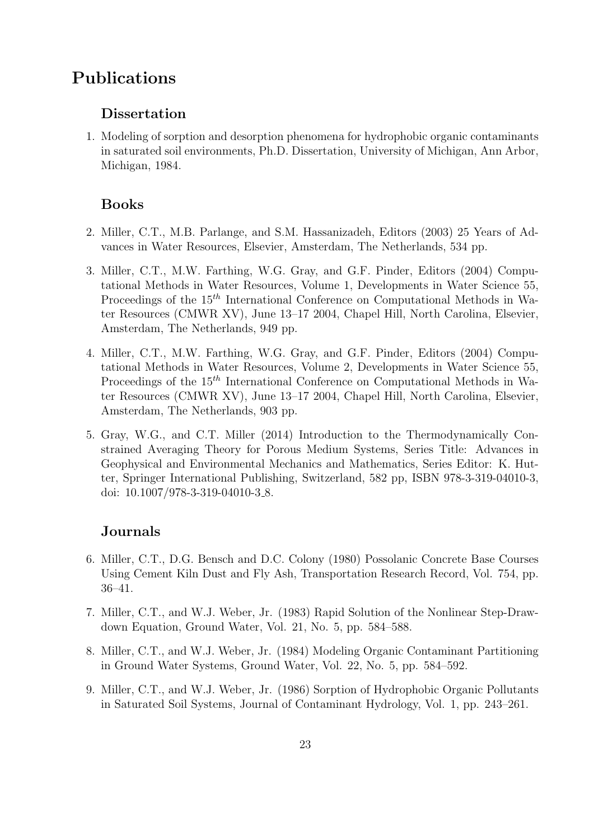## Publications

### Dissertation

1. Modeling of sorption and desorption phenomena for hydrophobic organic contaminants in saturated soil environments, Ph.D. Dissertation, University of Michigan, Ann Arbor, Michigan, 1984.

### Books

- 2. Miller, C.T., M.B. Parlange, and S.M. Hassanizadeh, Editors (2003) 25 Years of Advances in Water Resources, Elsevier, Amsterdam, The Netherlands, 534 pp.
- 3. Miller, C.T., M.W. Farthing, W.G. Gray, and G.F. Pinder, Editors (2004) Computational Methods in Water Resources, Volume 1, Developments in Water Science 55, Proceedings of the  $15<sup>th</sup>$  International Conference on Computational Methods in Water Resources (CMWR XV), June 13–17 2004, Chapel Hill, North Carolina, Elsevier, Amsterdam, The Netherlands, 949 pp.
- 4. Miller, C.T., M.W. Farthing, W.G. Gray, and G.F. Pinder, Editors (2004) Computational Methods in Water Resources, Volume 2, Developments in Water Science 55, Proceedings of the 15<sup>th</sup> International Conference on Computational Methods in Water Resources (CMWR XV), June 13–17 2004, Chapel Hill, North Carolina, Elsevier, Amsterdam, The Netherlands, 903 pp.
- 5. Gray, W.G., and C.T. Miller (2014) Introduction to the Thermodynamically Constrained Averaging Theory for Porous Medium Systems, Series Title: Advances in Geophysical and Environmental Mechanics and Mathematics, Series Editor: K. Hutter, Springer International Publishing, Switzerland, 582 pp, ISBN 978-3-319-04010-3, doi: 10.1007/978-3-319-04010-3 8.

### Journals

- 6. Miller, C.T., D.G. Bensch and D.C. Colony (1980) Possolanic Concrete Base Courses Using Cement Kiln Dust and Fly Ash, Transportation Research Record, Vol. 754, pp. 36–41.
- 7. Miller, C.T., and W.J. Weber, Jr. (1983) Rapid Solution of the Nonlinear Step-Drawdown Equation, Ground Water, Vol. 21, No. 5, pp. 584–588.
- 8. Miller, C.T., and W.J. Weber, Jr. (1984) Modeling Organic Contaminant Partitioning in Ground Water Systems, Ground Water, Vol. 22, No. 5, pp. 584–592.
- 9. Miller, C.T., and W.J. Weber, Jr. (1986) Sorption of Hydrophobic Organic Pollutants in Saturated Soil Systems, Journal of Contaminant Hydrology, Vol. 1, pp. 243–261.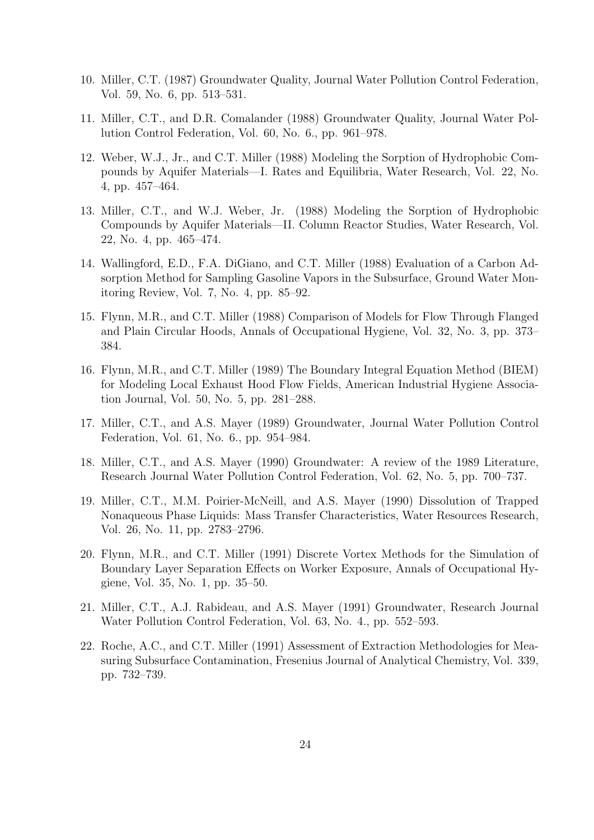- 10. Miller, C.T. (1987) Groundwater Quality, Journal Water Pollution Control Federation, Vol. 59, No. 6, pp. 513–531.
- 11. Miller, C.T., and D.R. Comalander (1988) Groundwater Quality, Journal Water Pollution Control Federation, Vol. 60, No. 6., pp. 961–978.
- 12. Weber, W.J., Jr., and C.T. Miller (1988) Modeling the Sorption of Hydrophobic Compounds by Aquifer Materials—I. Rates and Equilibria, Water Research, Vol. 22, No. 4, pp. 457–464.
- 13. Miller, C.T., and W.J. Weber, Jr. (1988) Modeling the Sorption of Hydrophobic Compounds by Aquifer Materials—II. Column Reactor Studies, Water Research, Vol. 22, No. 4, pp. 465–474.
- 14. Wallingford, E.D., F.A. DiGiano, and C.T. Miller (1988) Evaluation of a Carbon Adsorption Method for Sampling Gasoline Vapors in the Subsurface, Ground Water Monitoring Review, Vol. 7, No. 4, pp. 85–92.
- 15. Flynn, M.R., and C.T. Miller (1988) Comparison of Models for Flow Through Flanged and Plain Circular Hoods, Annals of Occupational Hygiene, Vol. 32, No. 3, pp. 373– 384.
- 16. Flynn, M.R., and C.T. Miller (1989) The Boundary Integral Equation Method (BIEM) for Modeling Local Exhaust Hood Flow Fields, American Industrial Hygiene Association Journal, Vol. 50, No. 5, pp. 281–288.
- 17. Miller, C.T., and A.S. Mayer (1989) Groundwater, Journal Water Pollution Control Federation, Vol. 61, No. 6., pp. 954–984.
- 18. Miller, C.T., and A.S. Mayer (1990) Groundwater: A review of the 1989 Literature, Research Journal Water Pollution Control Federation, Vol. 62, No. 5, pp. 700–737.
- 19. Miller, C.T., M.M. Poirier-McNeill, and A.S. Mayer (1990) Dissolution of Trapped Nonaqueous Phase Liquids: Mass Transfer Characteristics, Water Resources Research, Vol. 26, No. 11, pp. 2783–2796.
- 20. Flynn, M.R., and C.T. Miller (1991) Discrete Vortex Methods for the Simulation of Boundary Layer Separation Effects on Worker Exposure, Annals of Occupational Hygiene, Vol. 35, No. 1, pp. 35–50.
- 21. Miller, C.T., A.J. Rabideau, and A.S. Mayer (1991) Groundwater, Research Journal Water Pollution Control Federation, Vol. 63, No. 4., pp. 552–593.
- 22. Roche, A.C., and C.T. Miller (1991) Assessment of Extraction Methodologies for Measuring Subsurface Contamination, Fresenius Journal of Analytical Chemistry, Vol. 339, pp. 732–739.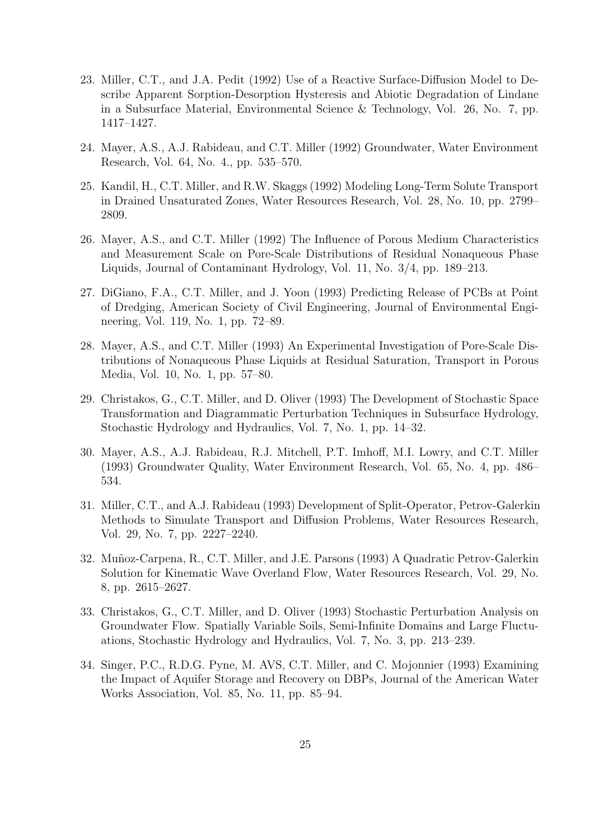- 23. Miller, C.T., and J.A. Pedit (1992) Use of a Reactive Surface-Diffusion Model to Describe Apparent Sorption-Desorption Hysteresis and Abiotic Degradation of Lindane in a Subsurface Material, Environmental Science & Technology, Vol. 26, No. 7, pp. 1417–1427.
- 24. Mayer, A.S., A.J. Rabideau, and C.T. Miller (1992) Groundwater, Water Environment Research, Vol. 64, No. 4., pp. 535–570.
- 25. Kandil, H., C.T. Miller, and R.W. Skaggs (1992) Modeling Long-Term Solute Transport in Drained Unsaturated Zones, Water Resources Research, Vol. 28, No. 10, pp. 2799– 2809.
- 26. Mayer, A.S., and C.T. Miller (1992) The Influence of Porous Medium Characteristics and Measurement Scale on Pore-Scale Distributions of Residual Nonaqueous Phase Liquids, Journal of Contaminant Hydrology, Vol. 11, No. 3/4, pp. 189–213.
- 27. DiGiano, F.A., C.T. Miller, and J. Yoon (1993) Predicting Release of PCBs at Point of Dredging, American Society of Civil Engineering, Journal of Environmental Engineering, Vol. 119, No. 1, pp. 72–89.
- 28. Mayer, A.S., and C.T. Miller (1993) An Experimental Investigation of Pore-Scale Distributions of Nonaqueous Phase Liquids at Residual Saturation, Transport in Porous Media, Vol. 10, No. 1, pp. 57–80.
- 29. Christakos, G., C.T. Miller, and D. Oliver (1993) The Development of Stochastic Space Transformation and Diagrammatic Perturbation Techniques in Subsurface Hydrology, Stochastic Hydrology and Hydraulics, Vol. 7, No. 1, pp. 14–32.
- 30. Mayer, A.S., A.J. Rabideau, R.J. Mitchell, P.T. Imhoff, M.I. Lowry, and C.T. Miller (1993) Groundwater Quality, Water Environment Research, Vol. 65, No. 4, pp. 486– 534.
- 31. Miller, C.T., and A.J. Rabideau (1993) Development of Split-Operator, Petrov-Galerkin Methods to Simulate Transport and Diffusion Problems, Water Resources Research, Vol. 29, No. 7, pp. 2227–2240.
- 32. Muñoz-Carpena, R., C.T. Miller, and J.E. Parsons (1993) A Quadratic Petrov-Galerkin Solution for Kinematic Wave Overland Flow, Water Resources Research, Vol. 29, No. 8, pp. 2615–2627.
- 33. Christakos, G., C.T. Miller, and D. Oliver (1993) Stochastic Perturbation Analysis on Groundwater Flow. Spatially Variable Soils, Semi-Infinite Domains and Large Fluctuations, Stochastic Hydrology and Hydraulics, Vol. 7, No. 3, pp. 213–239.
- 34. Singer, P.C., R.D.G. Pyne, M. AVS, C.T. Miller, and C. Mojonnier (1993) Examining the Impact of Aquifer Storage and Recovery on DBPs, Journal of the American Water Works Association, Vol. 85, No. 11, pp. 85–94.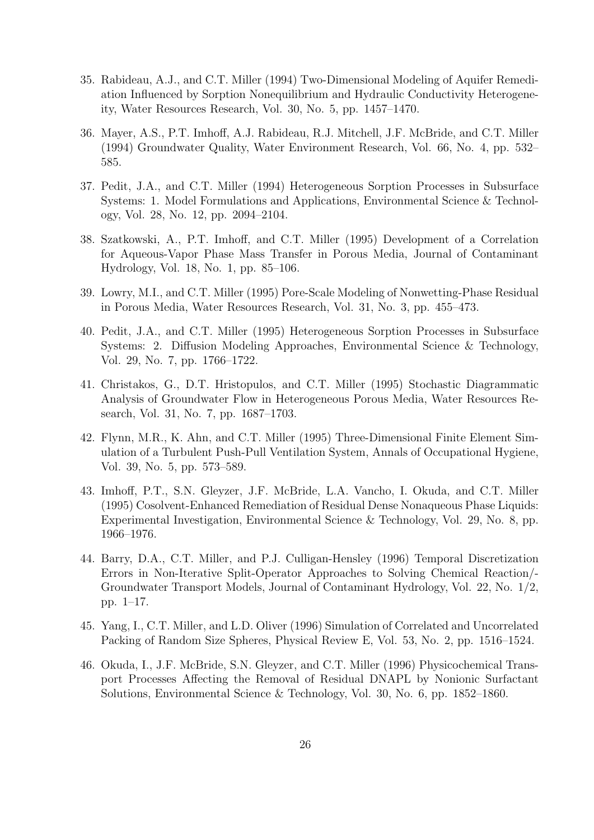- 35. Rabideau, A.J., and C.T. Miller (1994) Two-Dimensional Modeling of Aquifer Remediation Influenced by Sorption Nonequilibrium and Hydraulic Conductivity Heterogeneity, Water Resources Research, Vol. 30, No. 5, pp. 1457–1470.
- 36. Mayer, A.S., P.T. Imhoff, A.J. Rabideau, R.J. Mitchell, J.F. McBride, and C.T. Miller (1994) Groundwater Quality, Water Environment Research, Vol. 66, No. 4, pp. 532– 585.
- 37. Pedit, J.A., and C.T. Miller (1994) Heterogeneous Sorption Processes in Subsurface Systems: 1. Model Formulations and Applications, Environmental Science & Technology, Vol. 28, No. 12, pp. 2094–2104.
- 38. Szatkowski, A., P.T. Imhoff, and C.T. Miller (1995) Development of a Correlation for Aqueous-Vapor Phase Mass Transfer in Porous Media, Journal of Contaminant Hydrology, Vol. 18, No. 1, pp. 85–106.
- 39. Lowry, M.I., and C.T. Miller (1995) Pore-Scale Modeling of Nonwetting-Phase Residual in Porous Media, Water Resources Research, Vol. 31, No. 3, pp. 455–473.
- 40. Pedit, J.A., and C.T. Miller (1995) Heterogeneous Sorption Processes in Subsurface Systems: 2. Diffusion Modeling Approaches, Environmental Science & Technology, Vol. 29, No. 7, pp. 1766–1722.
- 41. Christakos, G., D.T. Hristopulos, and C.T. Miller (1995) Stochastic Diagrammatic Analysis of Groundwater Flow in Heterogeneous Porous Media, Water Resources Research, Vol. 31, No. 7, pp. 1687–1703.
- 42. Flynn, M.R., K. Ahn, and C.T. Miller (1995) Three-Dimensional Finite Element Simulation of a Turbulent Push-Pull Ventilation System, Annals of Occupational Hygiene, Vol. 39, No. 5, pp. 573–589.
- 43. Imhoff, P.T., S.N. Gleyzer, J.F. McBride, L.A. Vancho, I. Okuda, and C.T. Miller (1995) Cosolvent-Enhanced Remediation of Residual Dense Nonaqueous Phase Liquids: Experimental Investigation, Environmental Science & Technology, Vol. 29, No. 8, pp. 1966–1976.
- 44. Barry, D.A., C.T. Miller, and P.J. Culligan-Hensley (1996) Temporal Discretization Errors in Non-Iterative Split-Operator Approaches to Solving Chemical Reaction/- Groundwater Transport Models, Journal of Contaminant Hydrology, Vol. 22, No. 1/2, pp. 1–17.
- 45. Yang, I., C.T. Miller, and L.D. Oliver (1996) Simulation of Correlated and Uncorrelated Packing of Random Size Spheres, Physical Review E, Vol. 53, No. 2, pp. 1516–1524.
- 46. Okuda, I., J.F. McBride, S.N. Gleyzer, and C.T. Miller (1996) Physicochemical Transport Processes Affecting the Removal of Residual DNAPL by Nonionic Surfactant Solutions, Environmental Science & Technology, Vol. 30, No. 6, pp. 1852–1860.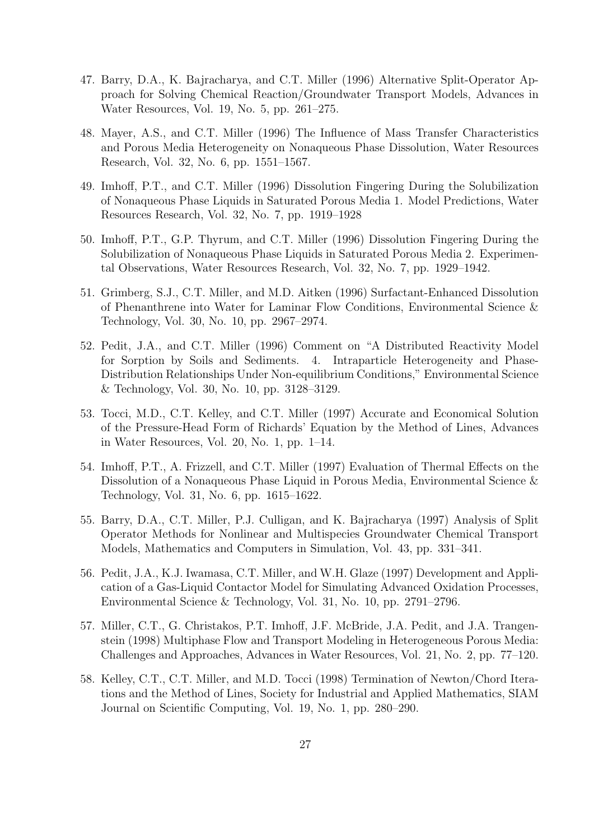- 47. Barry, D.A., K. Bajracharya, and C.T. Miller (1996) Alternative Split-Operator Approach for Solving Chemical Reaction/Groundwater Transport Models, Advances in Water Resources, Vol. 19, No. 5, pp. 261–275.
- 48. Mayer, A.S., and C.T. Miller (1996) The Influence of Mass Transfer Characteristics and Porous Media Heterogeneity on Nonaqueous Phase Dissolution, Water Resources Research, Vol. 32, No. 6, pp. 1551–1567.
- 49. Imhoff, P.T., and C.T. Miller (1996) Dissolution Fingering During the Solubilization of Nonaqueous Phase Liquids in Saturated Porous Media 1. Model Predictions, Water Resources Research, Vol. 32, No. 7, pp. 1919–1928
- 50. Imhoff, P.T., G.P. Thyrum, and C.T. Miller (1996) Dissolution Fingering During the Solubilization of Nonaqueous Phase Liquids in Saturated Porous Media 2. Experimental Observations, Water Resources Research, Vol. 32, No. 7, pp. 1929–1942.
- 51. Grimberg, S.J., C.T. Miller, and M.D. Aitken (1996) Surfactant-Enhanced Dissolution of Phenanthrene into Water for Laminar Flow Conditions, Environmental Science & Technology, Vol. 30, No. 10, pp. 2967–2974.
- 52. Pedit, J.A., and C.T. Miller (1996) Comment on "A Distributed Reactivity Model for Sorption by Soils and Sediments. 4. Intraparticle Heterogeneity and Phase-Distribution Relationships Under Non-equilibrium Conditions," Environmental Science & Technology, Vol. 30, No. 10, pp. 3128–3129.
- 53. Tocci, M.D., C.T. Kelley, and C.T. Miller (1997) Accurate and Economical Solution of the Pressure-Head Form of Richards' Equation by the Method of Lines, Advances in Water Resources, Vol. 20, No. 1, pp. 1–14.
- 54. Imhoff, P.T., A. Frizzell, and C.T. Miller (1997) Evaluation of Thermal Effects on the Dissolution of a Nonaqueous Phase Liquid in Porous Media, Environmental Science & Technology, Vol. 31, No. 6, pp. 1615–1622.
- 55. Barry, D.A., C.T. Miller, P.J. Culligan, and K. Bajracharya (1997) Analysis of Split Operator Methods for Nonlinear and Multispecies Groundwater Chemical Transport Models, Mathematics and Computers in Simulation, Vol. 43, pp. 331–341.
- 56. Pedit, J.A., K.J. Iwamasa, C.T. Miller, and W.H. Glaze (1997) Development and Application of a Gas-Liquid Contactor Model for Simulating Advanced Oxidation Processes, Environmental Science & Technology, Vol. 31, No. 10, pp. 2791–2796.
- 57. Miller, C.T., G. Christakos, P.T. Imhoff, J.F. McBride, J.A. Pedit, and J.A. Trangenstein (1998) Multiphase Flow and Transport Modeling in Heterogeneous Porous Media: Challenges and Approaches, Advances in Water Resources, Vol. 21, No. 2, pp. 77–120.
- 58. Kelley, C.T., C.T. Miller, and M.D. Tocci (1998) Termination of Newton/Chord Iterations and the Method of Lines, Society for Industrial and Applied Mathematics, SIAM Journal on Scientific Computing, Vol. 19, No. 1, pp. 280–290.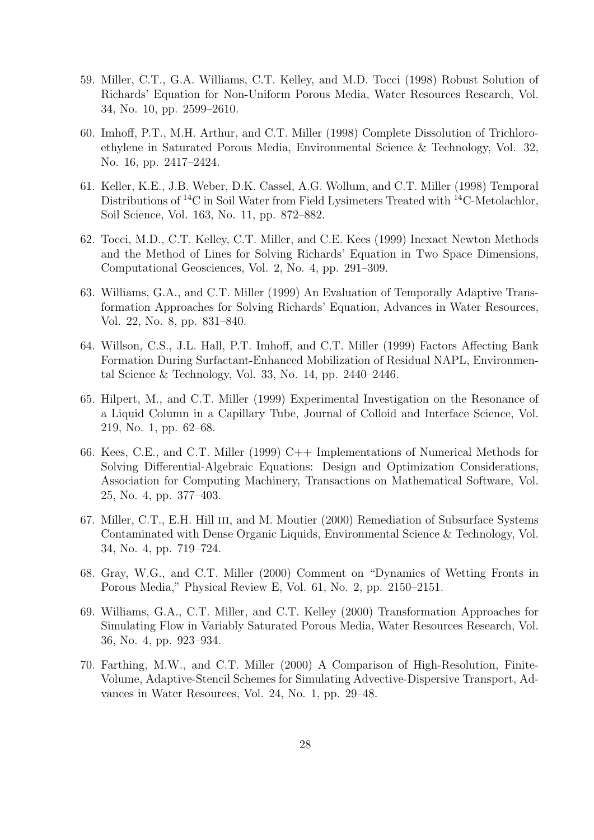- 59. Miller, C.T., G.A. Williams, C.T. Kelley, and M.D. Tocci (1998) Robust Solution of Richards' Equation for Non-Uniform Porous Media, Water Resources Research, Vol. 34, No. 10, pp. 2599–2610.
- 60. Imhoff, P.T., M.H. Arthur, and C.T. Miller (1998) Complete Dissolution of Trichloroethylene in Saturated Porous Media, Environmental Science & Technology, Vol. 32, No. 16, pp. 2417–2424.
- 61. Keller, K.E., J.B. Weber, D.K. Cassel, A.G. Wollum, and C.T. Miller (1998) Temporal Distributions of <sup>14</sup>C in Soil Water from Field Lysimeters Treated with <sup>14</sup>C-Metolachlor, Soil Science, Vol. 163, No. 11, pp. 872–882.
- 62. Tocci, M.D., C.T. Kelley, C.T. Miller, and C.E. Kees (1999) Inexact Newton Methods and the Method of Lines for Solving Richards' Equation in Two Space Dimensions, Computational Geosciences, Vol. 2, No. 4, pp. 291–309.
- 63. Williams, G.A., and C.T. Miller (1999) An Evaluation of Temporally Adaptive Transformation Approaches for Solving Richards' Equation, Advances in Water Resources, Vol. 22, No. 8, pp. 831–840.
- 64. Willson, C.S., J.L. Hall, P.T. Imhoff, and C.T. Miller (1999) Factors Affecting Bank Formation During Surfactant-Enhanced Mobilization of Residual NAPL, Environmental Science & Technology, Vol. 33, No. 14, pp. 2440–2446.
- 65. Hilpert, M., and C.T. Miller (1999) Experimental Investigation on the Resonance of a Liquid Column in a Capillary Tube, Journal of Colloid and Interface Science, Vol. 219, No. 1, pp. 62–68.
- 66. Kees, C.E., and C.T. Miller (1999) C++ Implementations of Numerical Methods for Solving Differential-Algebraic Equations: Design and Optimization Considerations, Association for Computing Machinery, Transactions on Mathematical Software, Vol. 25, No. 4, pp. 377–403.
- 67. Miller, C.T., E.H. Hill iii, and M. Moutier (2000) Remediation of Subsurface Systems Contaminated with Dense Organic Liquids, Environmental Science & Technology, Vol. 34, No. 4, pp. 719–724.
- 68. Gray, W.G., and C.T. Miller (2000) Comment on "Dynamics of Wetting Fronts in Porous Media," Physical Review E, Vol. 61, No. 2, pp. 2150–2151.
- 69. Williams, G.A., C.T. Miller, and C.T. Kelley (2000) Transformation Approaches for Simulating Flow in Variably Saturated Porous Media, Water Resources Research, Vol. 36, No. 4, pp. 923–934.
- 70. Farthing, M.W., and C.T. Miller (2000) A Comparison of High-Resolution, Finite-Volume, Adaptive-Stencil Schemes for Simulating Advective-Dispersive Transport, Advances in Water Resources, Vol. 24, No. 1, pp. 29–48.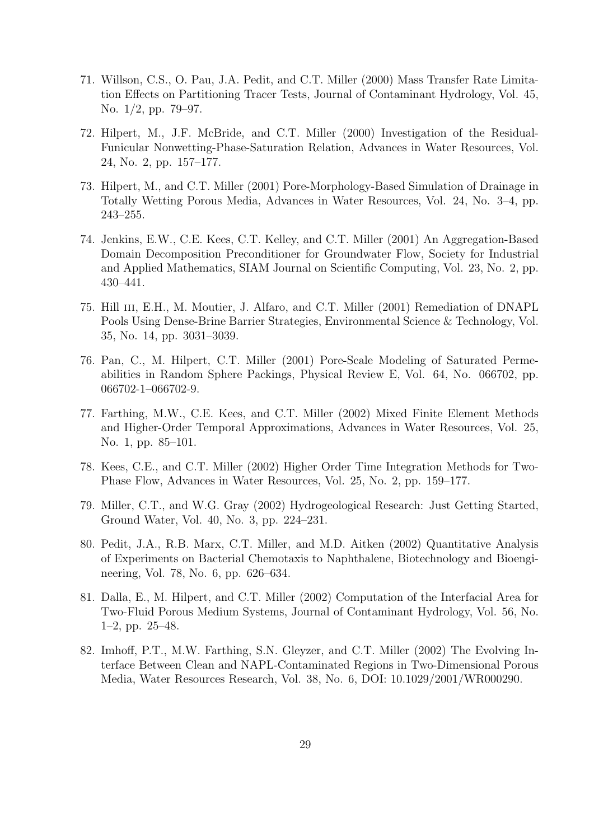- 71. Willson, C.S., O. Pau, J.A. Pedit, and C.T. Miller (2000) Mass Transfer Rate Limitation Effects on Partitioning Tracer Tests, Journal of Contaminant Hydrology, Vol. 45, No. 1/2, pp. 79–97.
- 72. Hilpert, M., J.F. McBride, and C.T. Miller (2000) Investigation of the Residual-Funicular Nonwetting-Phase-Saturation Relation, Advances in Water Resources, Vol. 24, No. 2, pp. 157–177.
- 73. Hilpert, M., and C.T. Miller (2001) Pore-Morphology-Based Simulation of Drainage in Totally Wetting Porous Media, Advances in Water Resources, Vol. 24, No. 3–4, pp. 243–255.
- 74. Jenkins, E.W., C.E. Kees, C.T. Kelley, and C.T. Miller (2001) An Aggregation-Based Domain Decomposition Preconditioner for Groundwater Flow, Society for Industrial and Applied Mathematics, SIAM Journal on Scientific Computing, Vol. 23, No. 2, pp. 430–441.
- 75. Hill iii, E.H., M. Moutier, J. Alfaro, and C.T. Miller (2001) Remediation of DNAPL Pools Using Dense-Brine Barrier Strategies, Environmental Science & Technology, Vol. 35, No. 14, pp. 3031–3039.
- 76. Pan, C., M. Hilpert, C.T. Miller (2001) Pore-Scale Modeling of Saturated Permeabilities in Random Sphere Packings, Physical Review E, Vol. 64, No. 066702, pp. 066702-1–066702-9.
- 77. Farthing, M.W., C.E. Kees, and C.T. Miller (2002) Mixed Finite Element Methods and Higher-Order Temporal Approximations, Advances in Water Resources, Vol. 25, No. 1, pp. 85–101.
- 78. Kees, C.E., and C.T. Miller (2002) Higher Order Time Integration Methods for Two-Phase Flow, Advances in Water Resources, Vol. 25, No. 2, pp. 159–177.
- 79. Miller, C.T., and W.G. Gray (2002) Hydrogeological Research: Just Getting Started, Ground Water, Vol. 40, No. 3, pp. 224–231.
- 80. Pedit, J.A., R.B. Marx, C.T. Miller, and M.D. Aitken (2002) Quantitative Analysis of Experiments on Bacterial Chemotaxis to Naphthalene, Biotechnology and Bioengineering, Vol. 78, No. 6, pp. 626–634.
- 81. Dalla, E., M. Hilpert, and C.T. Miller (2002) Computation of the Interfacial Area for Two-Fluid Porous Medium Systems, Journal of Contaminant Hydrology, Vol. 56, No. 1–2, pp. 25–48.
- 82. Imhoff, P.T., M.W. Farthing, S.N. Gleyzer, and C.T. Miller (2002) The Evolving Interface Between Clean and NAPL-Contaminated Regions in Two-Dimensional Porous Media, Water Resources Research, Vol. 38, No. 6, DOI: 10.1029/2001/WR000290.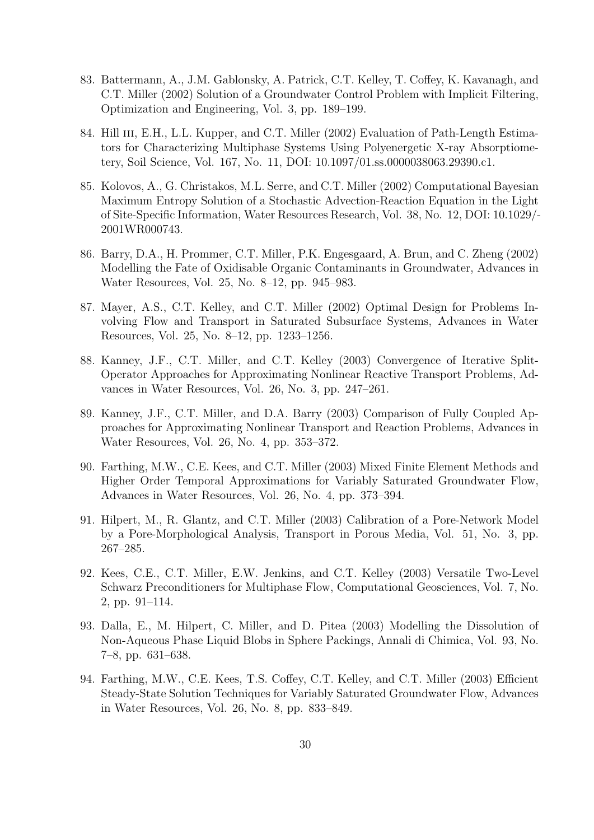- 83. Battermann, A., J.M. Gablonsky, A. Patrick, C.T. Kelley, T. Coffey, K. Kavanagh, and C.T. Miller (2002) Solution of a Groundwater Control Problem with Implicit Filtering, Optimization and Engineering, Vol. 3, pp. 189–199.
- 84. Hill III, E.H., L.L. Kupper, and C.T. Miller (2002) Evaluation of Path-Length Estimators for Characterizing Multiphase Systems Using Polyenergetic X-ray Absorptiometery, Soil Science, Vol. 167, No. 11, DOI: 10.1097/01.ss.0000038063.29390.c1.
- 85. Kolovos, A., G. Christakos, M.L. Serre, and C.T. Miller (2002) Computational Bayesian Maximum Entropy Solution of a Stochastic Advection-Reaction Equation in the Light of Site-Specific Information, Water Resources Research, Vol. 38, No. 12, DOI: 10.1029/- 2001WR000743.
- 86. Barry, D.A., H. Prommer, C.T. Miller, P.K. Engesgaard, A. Brun, and C. Zheng (2002) Modelling the Fate of Oxidisable Organic Contaminants in Groundwater, Advances in Water Resources, Vol. 25, No. 8–12, pp. 945–983.
- 87. Mayer, A.S., C.T. Kelley, and C.T. Miller (2002) Optimal Design for Problems Involving Flow and Transport in Saturated Subsurface Systems, Advances in Water Resources, Vol. 25, No. 8–12, pp. 1233–1256.
- 88. Kanney, J.F., C.T. Miller, and C.T. Kelley (2003) Convergence of Iterative Split-Operator Approaches for Approximating Nonlinear Reactive Transport Problems, Advances in Water Resources, Vol. 26, No. 3, pp. 247–261.
- 89. Kanney, J.F., C.T. Miller, and D.A. Barry (2003) Comparison of Fully Coupled Approaches for Approximating Nonlinear Transport and Reaction Problems, Advances in Water Resources, Vol. 26, No. 4, pp. 353–372.
- 90. Farthing, M.W., C.E. Kees, and C.T. Miller (2003) Mixed Finite Element Methods and Higher Order Temporal Approximations for Variably Saturated Groundwater Flow, Advances in Water Resources, Vol. 26, No. 4, pp. 373–394.
- 91. Hilpert, M., R. Glantz, and C.T. Miller (2003) Calibration of a Pore-Network Model by a Pore-Morphological Analysis, Transport in Porous Media, Vol. 51, No. 3, pp. 267–285.
- 92. Kees, C.E., C.T. Miller, E.W. Jenkins, and C.T. Kelley (2003) Versatile Two-Level Schwarz Preconditioners for Multiphase Flow, Computational Geosciences, Vol. 7, No. 2, pp. 91–114.
- 93. Dalla, E., M. Hilpert, C. Miller, and D. Pitea (2003) Modelling the Dissolution of Non-Aqueous Phase Liquid Blobs in Sphere Packings, Annali di Chimica, Vol. 93, No. 7–8, pp. 631–638.
- 94. Farthing, M.W., C.E. Kees, T.S. Coffey, C.T. Kelley, and C.T. Miller (2003) Efficient Steady-State Solution Techniques for Variably Saturated Groundwater Flow, Advances in Water Resources, Vol. 26, No. 8, pp. 833–849.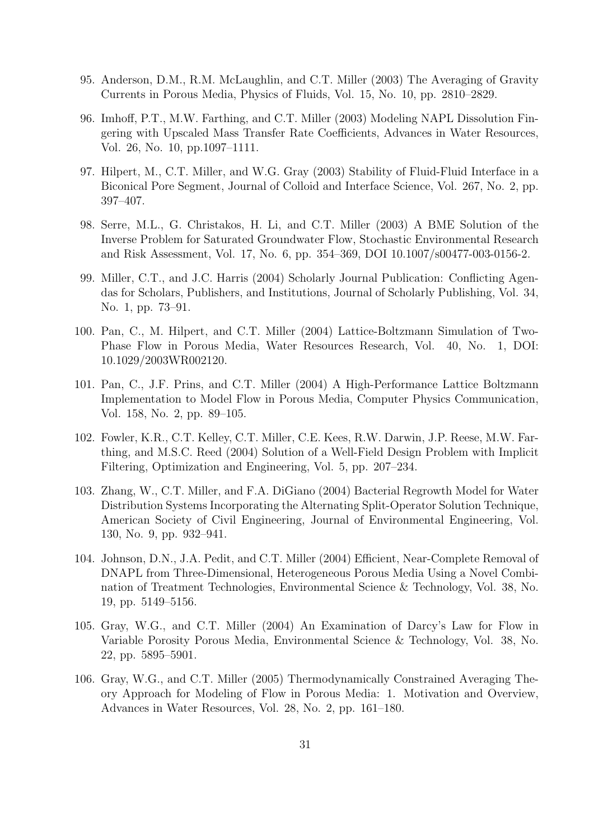- 95. Anderson, D.M., R.M. McLaughlin, and C.T. Miller (2003) The Averaging of Gravity Currents in Porous Media, Physics of Fluids, Vol. 15, No. 10, pp. 2810–2829.
- 96. Imhoff, P.T., M.W. Farthing, and C.T. Miller (2003) Modeling NAPL Dissolution Fingering with Upscaled Mass Transfer Rate Coefficients, Advances in Water Resources, Vol. 26, No. 10, pp.1097–1111.
- 97. Hilpert, M., C.T. Miller, and W.G. Gray (2003) Stability of Fluid-Fluid Interface in a Biconical Pore Segment, Journal of Colloid and Interface Science, Vol. 267, No. 2, pp. 397–407.
- 98. Serre, M.L., G. Christakos, H. Li, and C.T. Miller (2003) A BME Solution of the Inverse Problem for Saturated Groundwater Flow, Stochastic Environmental Research and Risk Assessment, Vol. 17, No. 6, pp. 354–369, DOI 10.1007/s00477-003-0156-2.
- 99. Miller, C.T., and J.C. Harris (2004) Scholarly Journal Publication: Conflicting Agendas for Scholars, Publishers, and Institutions, Journal of Scholarly Publishing, Vol. 34, No. 1, pp. 73–91.
- 100. Pan, C., M. Hilpert, and C.T. Miller (2004) Lattice-Boltzmann Simulation of Two-Phase Flow in Porous Media, Water Resources Research, Vol. 40, No. 1, DOI: 10.1029/2003WR002120.
- 101. Pan, C., J.F. Prins, and C.T. Miller (2004) A High-Performance Lattice Boltzmann Implementation to Model Flow in Porous Media, Computer Physics Communication, Vol. 158, No. 2, pp. 89–105.
- 102. Fowler, K.R., C.T. Kelley, C.T. Miller, C.E. Kees, R.W. Darwin, J.P. Reese, M.W. Farthing, and M.S.C. Reed (2004) Solution of a Well-Field Design Problem with Implicit Filtering, Optimization and Engineering, Vol. 5, pp. 207–234.
- 103. Zhang, W., C.T. Miller, and F.A. DiGiano (2004) Bacterial Regrowth Model for Water Distribution Systems Incorporating the Alternating Split-Operator Solution Technique, American Society of Civil Engineering, Journal of Environmental Engineering, Vol. 130, No. 9, pp. 932–941.
- 104. Johnson, D.N., J.A. Pedit, and C.T. Miller (2004) Efficient, Near-Complete Removal of DNAPL from Three-Dimensional, Heterogeneous Porous Media Using a Novel Combination of Treatment Technologies, Environmental Science & Technology, Vol. 38, No. 19, pp. 5149–5156.
- 105. Gray, W.G., and C.T. Miller (2004) An Examination of Darcy's Law for Flow in Variable Porosity Porous Media, Environmental Science & Technology, Vol. 38, No. 22, pp. 5895–5901.
- 106. Gray, W.G., and C.T. Miller (2005) Thermodynamically Constrained Averaging Theory Approach for Modeling of Flow in Porous Media: 1. Motivation and Overview, Advances in Water Resources, Vol. 28, No. 2, pp. 161–180.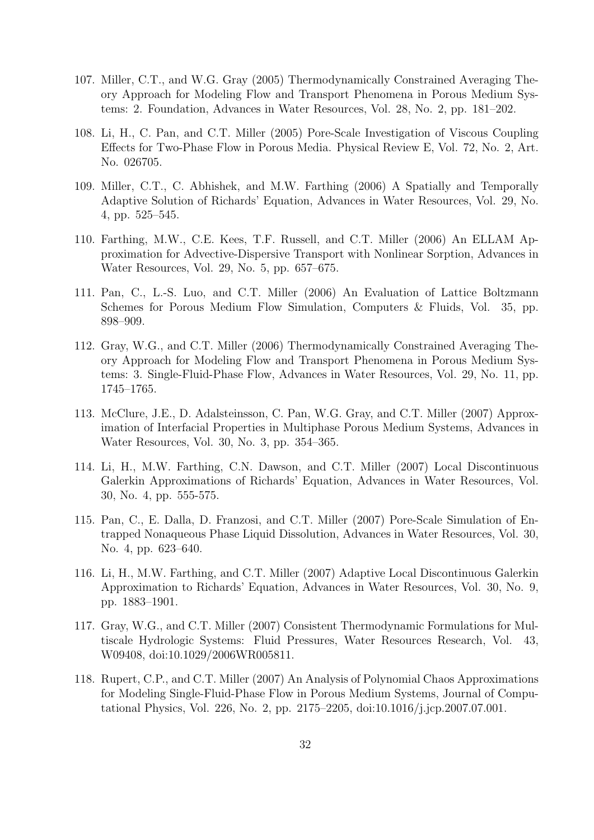- 107. Miller, C.T., and W.G. Gray (2005) Thermodynamically Constrained Averaging Theory Approach for Modeling Flow and Transport Phenomena in Porous Medium Systems: 2. Foundation, Advances in Water Resources, Vol. 28, No. 2, pp. 181–202.
- 108. Li, H., C. Pan, and C.T. Miller (2005) Pore-Scale Investigation of Viscous Coupling Effects for Two-Phase Flow in Porous Media. Physical Review E, Vol. 72, No. 2, Art. No. 026705.
- 109. Miller, C.T., C. Abhishek, and M.W. Farthing (2006) A Spatially and Temporally Adaptive Solution of Richards' Equation, Advances in Water Resources, Vol. 29, No. 4, pp. 525–545.
- 110. Farthing, M.W., C.E. Kees, T.F. Russell, and C.T. Miller (2006) An ELLAM Approximation for Advective-Dispersive Transport with Nonlinear Sorption, Advances in Water Resources, Vol. 29, No. 5, pp. 657–675.
- 111. Pan, C., L.-S. Luo, and C.T. Miller (2006) An Evaluation of Lattice Boltzmann Schemes for Porous Medium Flow Simulation, Computers & Fluids, Vol. 35, pp. 898–909.
- 112. Gray, W.G., and C.T. Miller (2006) Thermodynamically Constrained Averaging Theory Approach for Modeling Flow and Transport Phenomena in Porous Medium Systems: 3. Single-Fluid-Phase Flow, Advances in Water Resources, Vol. 29, No. 11, pp. 1745–1765.
- 113. McClure, J.E., D. Adalsteinsson, C. Pan, W.G. Gray, and C.T. Miller (2007) Approximation of Interfacial Properties in Multiphase Porous Medium Systems, Advances in Water Resources, Vol. 30, No. 3, pp. 354–365.
- 114. Li, H., M.W. Farthing, C.N. Dawson, and C.T. Miller (2007) Local Discontinuous Galerkin Approximations of Richards' Equation, Advances in Water Resources, Vol. 30, No. 4, pp. 555-575.
- 115. Pan, C., E. Dalla, D. Franzosi, and C.T. Miller (2007) Pore-Scale Simulation of Entrapped Nonaqueous Phase Liquid Dissolution, Advances in Water Resources, Vol. 30, No. 4, pp. 623–640.
- 116. Li, H., M.W. Farthing, and C.T. Miller (2007) Adaptive Local Discontinuous Galerkin Approximation to Richards' Equation, Advances in Water Resources, Vol. 30, No. 9, pp. 1883–1901.
- 117. Gray, W.G., and C.T. Miller (2007) Consistent Thermodynamic Formulations for Multiscale Hydrologic Systems: Fluid Pressures, Water Resources Research, Vol. 43, W09408, doi:10.1029/2006WR005811.
- 118. Rupert, C.P., and C.T. Miller (2007) An Analysis of Polynomial Chaos Approximations for Modeling Single-Fluid-Phase Flow in Porous Medium Systems, Journal of Computational Physics, Vol. 226, No. 2, pp. 2175–2205, doi:10.1016/j.jcp.2007.07.001.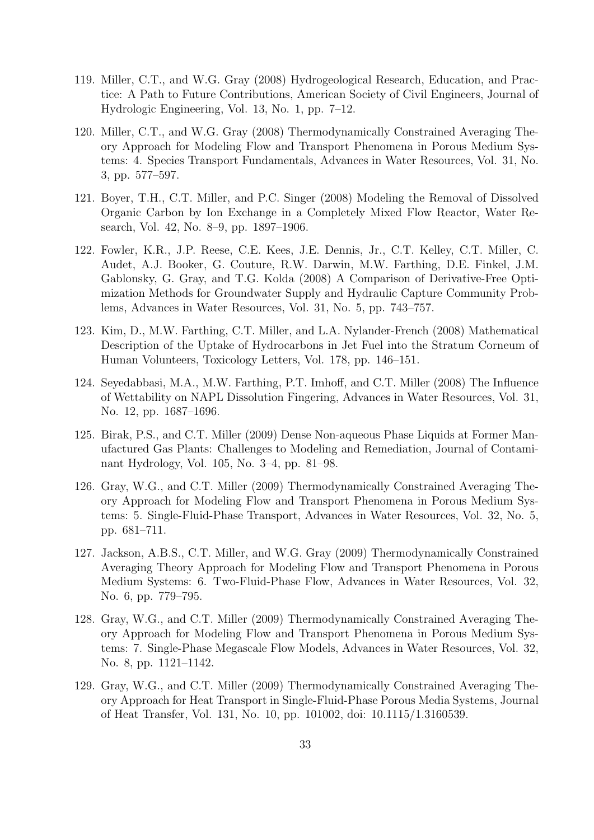- 119. Miller, C.T., and W.G. Gray (2008) Hydrogeological Research, Education, and Practice: A Path to Future Contributions, American Society of Civil Engineers, Journal of Hydrologic Engineering, Vol. 13, No. 1, pp. 7–12.
- 120. Miller, C.T., and W.G. Gray (2008) Thermodynamically Constrained Averaging Theory Approach for Modeling Flow and Transport Phenomena in Porous Medium Systems: 4. Species Transport Fundamentals, Advances in Water Resources, Vol. 31, No. 3, pp. 577–597.
- 121. Boyer, T.H., C.T. Miller, and P.C. Singer (2008) Modeling the Removal of Dissolved Organic Carbon by Ion Exchange in a Completely Mixed Flow Reactor, Water Research, Vol. 42, No. 8–9, pp. 1897–1906.
- 122. Fowler, K.R., J.P. Reese, C.E. Kees, J.E. Dennis, Jr., C.T. Kelley, C.T. Miller, C. Audet, A.J. Booker, G. Couture, R.W. Darwin, M.W. Farthing, D.E. Finkel, J.M. Gablonsky, G. Gray, and T.G. Kolda (2008) A Comparison of Derivative-Free Optimization Methods for Groundwater Supply and Hydraulic Capture Community Problems, Advances in Water Resources, Vol. 31, No. 5, pp. 743–757.
- 123. Kim, D., M.W. Farthing, C.T. Miller, and L.A. Nylander-French (2008) Mathematical Description of the Uptake of Hydrocarbons in Jet Fuel into the Stratum Corneum of Human Volunteers, Toxicology Letters, Vol. 178, pp. 146–151.
- 124. Seyedabbasi, M.A., M.W. Farthing, P.T. Imhoff, and C.T. Miller (2008) The Influence of Wettability on NAPL Dissolution Fingering, Advances in Water Resources, Vol. 31, No. 12, pp. 1687–1696.
- 125. Birak, P.S., and C.T. Miller (2009) Dense Non-aqueous Phase Liquids at Former Manufactured Gas Plants: Challenges to Modeling and Remediation, Journal of Contaminant Hydrology, Vol. 105, No. 3–4, pp. 81–98.
- 126. Gray, W.G., and C.T. Miller (2009) Thermodynamically Constrained Averaging Theory Approach for Modeling Flow and Transport Phenomena in Porous Medium Systems: 5. Single-Fluid-Phase Transport, Advances in Water Resources, Vol. 32, No. 5, pp. 681–711.
- 127. Jackson, A.B.S., C.T. Miller, and W.G. Gray (2009) Thermodynamically Constrained Averaging Theory Approach for Modeling Flow and Transport Phenomena in Porous Medium Systems: 6. Two-Fluid-Phase Flow, Advances in Water Resources, Vol. 32, No. 6, pp. 779–795.
- 128. Gray, W.G., and C.T. Miller (2009) Thermodynamically Constrained Averaging Theory Approach for Modeling Flow and Transport Phenomena in Porous Medium Systems: 7. Single-Phase Megascale Flow Models, Advances in Water Resources, Vol. 32, No. 8, pp. 1121–1142.
- 129. Gray, W.G., and C.T. Miller (2009) Thermodynamically Constrained Averaging Theory Approach for Heat Transport in Single-Fluid-Phase Porous Media Systems, Journal of Heat Transfer, Vol. 131, No. 10, pp. 101002, doi: 10.1115/1.3160539.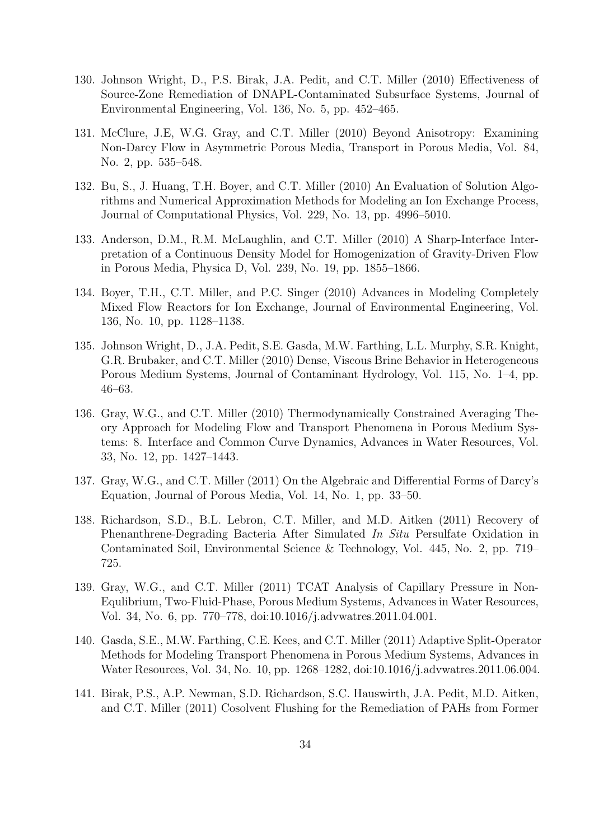- 130. Johnson Wright, D., P.S. Birak, J.A. Pedit, and C.T. Miller (2010) Effectiveness of Source-Zone Remediation of DNAPL-Contaminated Subsurface Systems, Journal of Environmental Engineering, Vol. 136, No. 5, pp. 452–465.
- 131. McClure, J.E, W.G. Gray, and C.T. Miller (2010) Beyond Anisotropy: Examining Non-Darcy Flow in Asymmetric Porous Media, Transport in Porous Media, Vol. 84, No. 2, pp. 535–548.
- 132. Bu, S., J. Huang, T.H. Boyer, and C.T. Miller (2010) An Evaluation of Solution Algorithms and Numerical Approximation Methods for Modeling an Ion Exchange Process, Journal of Computational Physics, Vol. 229, No. 13, pp. 4996–5010.
- 133. Anderson, D.M., R.M. McLaughlin, and C.T. Miller (2010) A Sharp-Interface Interpretation of a Continuous Density Model for Homogenization of Gravity-Driven Flow in Porous Media, Physica D, Vol. 239, No. 19, pp. 1855–1866.
- 134. Boyer, T.H., C.T. Miller, and P.C. Singer (2010) Advances in Modeling Completely Mixed Flow Reactors for Ion Exchange, Journal of Environmental Engineering, Vol. 136, No. 10, pp. 1128–1138.
- 135. Johnson Wright, D., J.A. Pedit, S.E. Gasda, M.W. Farthing, L.L. Murphy, S.R. Knight, G.R. Brubaker, and C.T. Miller (2010) Dense, Viscous Brine Behavior in Heterogeneous Porous Medium Systems, Journal of Contaminant Hydrology, Vol. 115, No. 1–4, pp. 46–63.
- 136. Gray, W.G., and C.T. Miller (2010) Thermodynamically Constrained Averaging Theory Approach for Modeling Flow and Transport Phenomena in Porous Medium Systems: 8. Interface and Common Curve Dynamics, Advances in Water Resources, Vol. 33, No. 12, pp. 1427–1443.
- 137. Gray, W.G., and C.T. Miller (2011) On the Algebraic and Differential Forms of Darcy's Equation, Journal of Porous Media, Vol. 14, No. 1, pp. 33–50.
- 138. Richardson, S.D., B.L. Lebron, C.T. Miller, and M.D. Aitken (2011) Recovery of Phenanthrene-Degrading Bacteria After Simulated In Situ Persulfate Oxidation in Contaminated Soil, Environmental Science & Technology, Vol. 445, No. 2, pp. 719– 725.
- 139. Gray, W.G., and C.T. Miller (2011) TCAT Analysis of Capillary Pressure in Non-Equlibrium, Two-Fluid-Phase, Porous Medium Systems, Advances in Water Resources, Vol. 34, No. 6, pp. 770–778, doi:10.1016/j.advwatres.2011.04.001.
- 140. Gasda, S.E., M.W. Farthing, C.E. Kees, and C.T. Miller (2011) Adaptive Split-Operator Methods for Modeling Transport Phenomena in Porous Medium Systems, Advances in Water Resources, Vol. 34, No. 10, pp. 1268–1282, doi:10.1016/j.advwatres.2011.06.004.
- 141. Birak, P.S., A.P. Newman, S.D. Richardson, S.C. Hauswirth, J.A. Pedit, M.D. Aitken, and C.T. Miller (2011) Cosolvent Flushing for the Remediation of PAHs from Former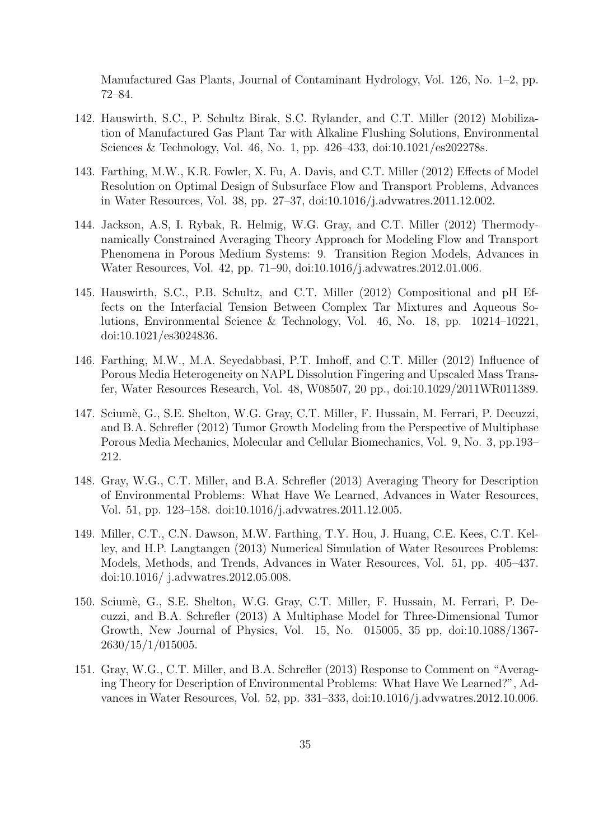Manufactured Gas Plants, Journal of Contaminant Hydrology, Vol. 126, No. 1–2, pp. 72–84.

- 142. Hauswirth, S.C., P. Schultz Birak, S.C. Rylander, and C.T. Miller (2012) Mobilization of Manufactured Gas Plant Tar with Alkaline Flushing Solutions, Environmental Sciences & Technology, Vol. 46, No. 1, pp. 426–433, doi:10.1021/es202278s.
- 143. Farthing, M.W., K.R. Fowler, X. Fu, A. Davis, and C.T. Miller (2012) Effects of Model Resolution on Optimal Design of Subsurface Flow and Transport Problems, Advances in Water Resources, Vol. 38, pp. 27–37, doi:10.1016/j.advwatres.2011.12.002.
- 144. Jackson, A.S, I. Rybak, R. Helmig, W.G. Gray, and C.T. Miller (2012) Thermodynamically Constrained Averaging Theory Approach for Modeling Flow and Transport Phenomena in Porous Medium Systems: 9. Transition Region Models, Advances in Water Resources, Vol. 42, pp. 71–90, doi:10.1016/j.advwatres.2012.01.006.
- 145. Hauswirth, S.C., P.B. Schultz, and C.T. Miller (2012) Compositional and pH Effects on the Interfacial Tension Between Complex Tar Mixtures and Aqueous Solutions, Environmental Science & Technology, Vol. 46, No. 18, pp. 10214–10221, doi:10.1021/es3024836.
- 146. Farthing, M.W., M.A. Seyedabbasi, P.T. Imhoff, and C.T. Miller (2012) Influence of Porous Media Heterogeneity on NAPL Dissolution Fingering and Upscaled Mass Transfer, Water Resources Research, Vol. 48, W08507, 20 pp., doi:10.1029/2011WR011389.
- 147. Scium`e, G., S.E. Shelton, W.G. Gray, C.T. Miller, F. Hussain, M. Ferrari, P. Decuzzi, and B.A. Schrefler (2012) Tumor Growth Modeling from the Perspective of Multiphase Porous Media Mechanics, Molecular and Cellular Biomechanics, Vol. 9, No. 3, pp.193– 212.
- 148. Gray, W.G., C.T. Miller, and B.A. Schrefler (2013) Averaging Theory for Description of Environmental Problems: What Have We Learned, Advances in Water Resources, Vol. 51, pp. 123–158. doi:10.1016/j.advwatres.2011.12.005.
- 149. Miller, C.T., C.N. Dawson, M.W. Farthing, T.Y. Hou, J. Huang, C.E. Kees, C.T. Kelley, and H.P. Langtangen (2013) Numerical Simulation of Water Resources Problems: Models, Methods, and Trends, Advances in Water Resources, Vol. 51, pp. 405–437. doi:10.1016/ j.advwatres.2012.05.008.
- 150. Sciumè, G., S.E. Shelton, W.G. Gray, C.T. Miller, F. Hussain, M. Ferrari, P. Decuzzi, and B.A. Schrefler (2013) A Multiphase Model for Three-Dimensional Tumor Growth, New Journal of Physics, Vol. 15, No. 015005, 35 pp, doi:10.1088/1367- 2630/15/1/015005.
- 151. Gray, W.G., C.T. Miller, and B.A. Schrefler (2013) Response to Comment on "Averaging Theory for Description of Environmental Problems: What Have We Learned?", Advances in Water Resources, Vol. 52, pp. 331–333, doi:10.1016/j.advwatres.2012.10.006.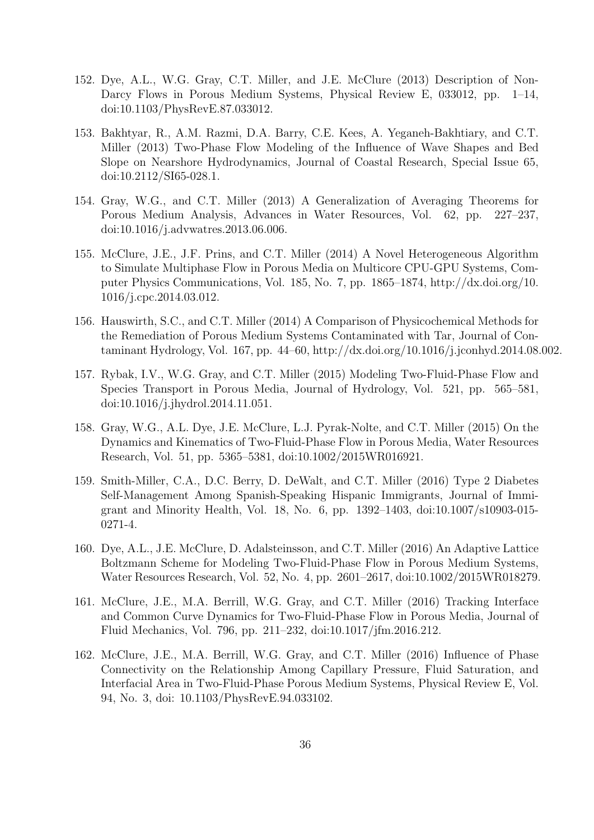- 152. Dye, A.L., W.G. Gray, C.T. Miller, and J.E. McClure (2013) Description of Non-Darcy Flows in Porous Medium Systems, Physical Review E, 033012, pp. 1–14, doi:10.1103/PhysRevE.87.033012.
- 153. Bakhtyar, R., A.M. Razmi, D.A. Barry, C.E. Kees, A. Yeganeh-Bakhtiary, and C.T. Miller (2013) Two-Phase Flow Modeling of the Influence of Wave Shapes and Bed Slope on Nearshore Hydrodynamics, Journal of Coastal Research, Special Issue 65, doi:10.2112/SI65-028.1.
- 154. Gray, W.G., and C.T. Miller (2013) A Generalization of Averaging Theorems for Porous Medium Analysis, Advances in Water Resources, Vol. 62, pp. 227–237, doi:10.1016/j.advwatres.2013.06.006.
- 155. McClure, J.E., J.F. Prins, and C.T. Miller (2014) A Novel Heterogeneous Algorithm to Simulate Multiphase Flow in Porous Media on Multicore CPU-GPU Systems, Computer Physics Communications, Vol. 185, No. 7, pp. 1865–1874, http://dx.doi.org/10. 1016/j.cpc.2014.03.012.
- 156. Hauswirth, S.C., and C.T. Miller (2014) A Comparison of Physicochemical Methods for the Remediation of Porous Medium Systems Contaminated with Tar, Journal of Contaminant Hydrology, Vol. 167, pp. 44–60, http://dx.doi.org/10.1016/j.jconhyd.2014.08.002.
- 157. Rybak, I.V., W.G. Gray, and C.T. Miller (2015) Modeling Two-Fluid-Phase Flow and Species Transport in Porous Media, Journal of Hydrology, Vol. 521, pp. 565–581, doi:10.1016/j.jhydrol.2014.11.051.
- 158. Gray, W.G., A.L. Dye, J.E. McClure, L.J. Pyrak-Nolte, and C.T. Miller (2015) On the Dynamics and Kinematics of Two-Fluid-Phase Flow in Porous Media, Water Resources Research, Vol. 51, pp. 5365–5381, doi:10.1002/2015WR016921.
- 159. Smith-Miller, C.A., D.C. Berry, D. DeWalt, and C.T. Miller (2016) Type 2 Diabetes Self-Management Among Spanish-Speaking Hispanic Immigrants, Journal of Immigrant and Minority Health, Vol. 18, No. 6, pp. 1392–1403, doi:10.1007/s10903-015- 0271-4.
- 160. Dye, A.L., J.E. McClure, D. Adalsteinsson, and C.T. Miller (2016) An Adaptive Lattice Boltzmann Scheme for Modeling Two-Fluid-Phase Flow in Porous Medium Systems, Water Resources Research, Vol. 52, No. 4, pp. 2601–2617, doi:10.1002/2015WR018279.
- 161. McClure, J.E., M.A. Berrill, W.G. Gray, and C.T. Miller (2016) Tracking Interface and Common Curve Dynamics for Two-Fluid-Phase Flow in Porous Media, Journal of Fluid Mechanics, Vol. 796, pp. 211–232, doi:10.1017/jfm.2016.212.
- 162. McClure, J.E., M.A. Berrill, W.G. Gray, and C.T. Miller (2016) Influence of Phase Connectivity on the Relationship Among Capillary Pressure, Fluid Saturation, and Interfacial Area in Two-Fluid-Phase Porous Medium Systems, Physical Review E, Vol. 94, No. 3, doi: 10.1103/PhysRevE.94.033102.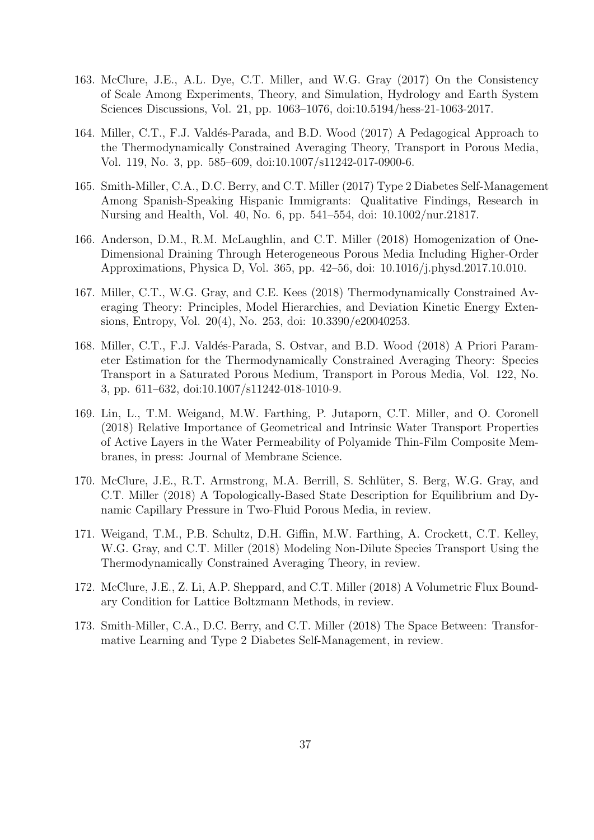- 163. McClure, J.E., A.L. Dye, C.T. Miller, and W.G. Gray (2017) On the Consistency of Scale Among Experiments, Theory, and Simulation, Hydrology and Earth System Sciences Discussions, Vol. 21, pp. 1063–1076, doi:10.5194/hess-21-1063-2017.
- 164. Miller, C.T., F.J. Valdés-Parada, and B.D. Wood (2017) A Pedagogical Approach to the Thermodynamically Constrained Averaging Theory, Transport in Porous Media, Vol. 119, No. 3, pp. 585–609, doi:10.1007/s11242-017-0900-6.
- 165. Smith-Miller, C.A., D.C. Berry, and C.T. Miller (2017) Type 2 Diabetes Self-Management Among Spanish-Speaking Hispanic Immigrants: Qualitative Findings, Research in Nursing and Health, Vol. 40, No. 6, pp. 541–554, doi: 10.1002/nur.21817.
- 166. Anderson, D.M., R.M. McLaughlin, and C.T. Miller (2018) Homogenization of One-Dimensional Draining Through Heterogeneous Porous Media Including Higher-Order Approximations, Physica D, Vol. 365, pp. 42–56, doi: 10.1016/j.physd.2017.10.010.
- 167. Miller, C.T., W.G. Gray, and C.E. Kees (2018) Thermodynamically Constrained Averaging Theory: Principles, Model Hierarchies, and Deviation Kinetic Energy Extensions, Entropy, Vol. 20(4), No. 253, doi: 10.3390/e20040253.
- 168. Miller, C.T., F.J. Valdés-Parada, S. Ostvar, and B.D. Wood (2018) A Priori Parameter Estimation for the Thermodynamically Constrained Averaging Theory: Species Transport in a Saturated Porous Medium, Transport in Porous Media, Vol. 122, No. 3, pp. 611–632, doi:10.1007/s11242-018-1010-9.
- 169. Lin, L., T.M. Weigand, M.W. Farthing, P. Jutaporn, C.T. Miller, and O. Coronell (2018) Relative Importance of Geometrical and Intrinsic Water Transport Properties of Active Layers in the Water Permeability of Polyamide Thin-Film Composite Membranes, in press: Journal of Membrane Science.
- 170. McClure, J.E., R.T. Armstrong, M.A. Berrill, S. Schlüter, S. Berg, W.G. Gray, and C.T. Miller (2018) A Topologically-Based State Description for Equilibrium and Dynamic Capillary Pressure in Two-Fluid Porous Media, in review.
- 171. Weigand, T.M., P.B. Schultz, D.H. Giffin, M.W. Farthing, A. Crockett, C.T. Kelley, W.G. Gray, and C.T. Miller (2018) Modeling Non-Dilute Species Transport Using the Thermodynamically Constrained Averaging Theory, in review.
- 172. McClure, J.E., Z. Li, A.P. Sheppard, and C.T. Miller (2018) A Volumetric Flux Boundary Condition for Lattice Boltzmann Methods, in review.
- 173. Smith-Miller, C.A., D.C. Berry, and C.T. Miller (2018) The Space Between: Transformative Learning and Type 2 Diabetes Self-Management, in review.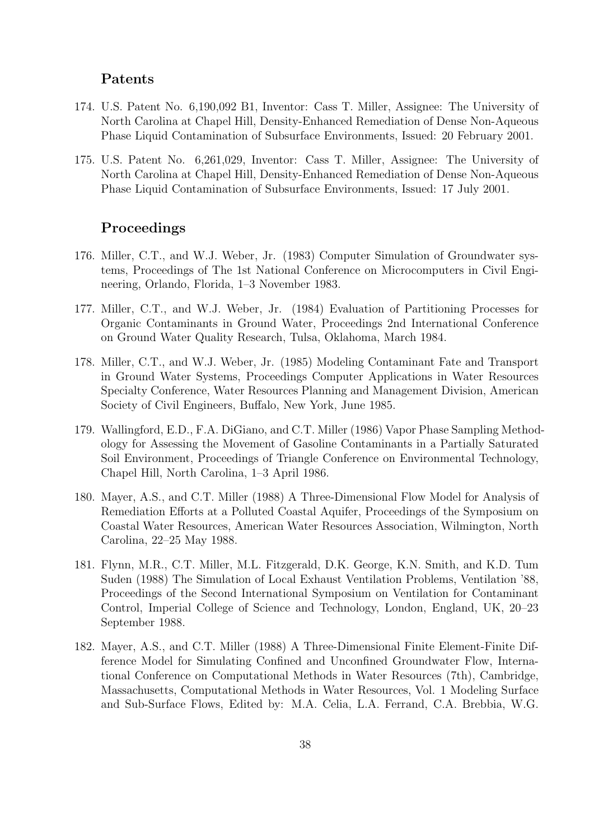#### Patents

- 174. U.S. Patent No. 6,190,092 B1, Inventor: Cass T. Miller, Assignee: The University of North Carolina at Chapel Hill, Density-Enhanced Remediation of Dense Non-Aqueous Phase Liquid Contamination of Subsurface Environments, Issued: 20 February 2001.
- 175. U.S. Patent No. 6,261,029, Inventor: Cass T. Miller, Assignee: The University of North Carolina at Chapel Hill, Density-Enhanced Remediation of Dense Non-Aqueous Phase Liquid Contamination of Subsurface Environments, Issued: 17 July 2001.

#### Proceedings

- 176. Miller, C.T., and W.J. Weber, Jr. (1983) Computer Simulation of Groundwater systems, Proceedings of The 1st National Conference on Microcomputers in Civil Engineering, Orlando, Florida, 1–3 November 1983.
- 177. Miller, C.T., and W.J. Weber, Jr. (1984) Evaluation of Partitioning Processes for Organic Contaminants in Ground Water, Proceedings 2nd International Conference on Ground Water Quality Research, Tulsa, Oklahoma, March 1984.
- 178. Miller, C.T., and W.J. Weber, Jr. (1985) Modeling Contaminant Fate and Transport in Ground Water Systems, Proceedings Computer Applications in Water Resources Specialty Conference, Water Resources Planning and Management Division, American Society of Civil Engineers, Buffalo, New York, June 1985.
- 179. Wallingford, E.D., F.A. DiGiano, and C.T. Miller (1986) Vapor Phase Sampling Methodology for Assessing the Movement of Gasoline Contaminants in a Partially Saturated Soil Environment, Proceedings of Triangle Conference on Environmental Technology, Chapel Hill, North Carolina, 1–3 April 1986.
- 180. Mayer, A.S., and C.T. Miller (1988) A Three-Dimensional Flow Model for Analysis of Remediation Efforts at a Polluted Coastal Aquifer, Proceedings of the Symposium on Coastal Water Resources, American Water Resources Association, Wilmington, North Carolina, 22–25 May 1988.
- 181. Flynn, M.R., C.T. Miller, M.L. Fitzgerald, D.K. George, K.N. Smith, and K.D. Tum Suden (1988) The Simulation of Local Exhaust Ventilation Problems, Ventilation '88, Proceedings of the Second International Symposium on Ventilation for Contaminant Control, Imperial College of Science and Technology, London, England, UK, 20–23 September 1988.
- 182. Mayer, A.S., and C.T. Miller (1988) A Three-Dimensional Finite Element-Finite Difference Model for Simulating Confined and Unconfined Groundwater Flow, International Conference on Computational Methods in Water Resources (7th), Cambridge, Massachusetts, Computational Methods in Water Resources, Vol. 1 Modeling Surface and Sub-Surface Flows, Edited by: M.A. Celia, L.A. Ferrand, C.A. Brebbia, W.G.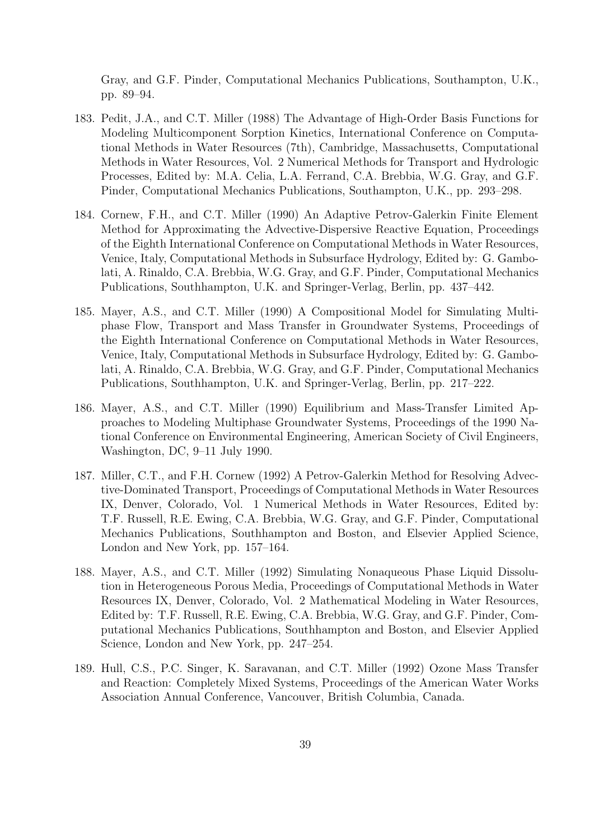Gray, and G.F. Pinder, Computational Mechanics Publications, Southampton, U.K., pp. 89–94.

- 183. Pedit, J.A., and C.T. Miller (1988) The Advantage of High-Order Basis Functions for Modeling Multicomponent Sorption Kinetics, International Conference on Computational Methods in Water Resources (7th), Cambridge, Massachusetts, Computational Methods in Water Resources, Vol. 2 Numerical Methods for Transport and Hydrologic Processes, Edited by: M.A. Celia, L.A. Ferrand, C.A. Brebbia, W.G. Gray, and G.F. Pinder, Computational Mechanics Publications, Southampton, U.K., pp. 293–298.
- 184. Cornew, F.H., and C.T. Miller (1990) An Adaptive Petrov-Galerkin Finite Element Method for Approximating the Advective-Dispersive Reactive Equation, Proceedings of the Eighth International Conference on Computational Methods in Water Resources, Venice, Italy, Computational Methods in Subsurface Hydrology, Edited by: G. Gambolati, A. Rinaldo, C.A. Brebbia, W.G. Gray, and G.F. Pinder, Computational Mechanics Publications, Southhampton, U.K. and Springer-Verlag, Berlin, pp. 437–442.
- 185. Mayer, A.S., and C.T. Miller (1990) A Compositional Model for Simulating Multiphase Flow, Transport and Mass Transfer in Groundwater Systems, Proceedings of the Eighth International Conference on Computational Methods in Water Resources, Venice, Italy, Computational Methods in Subsurface Hydrology, Edited by: G. Gambolati, A. Rinaldo, C.A. Brebbia, W.G. Gray, and G.F. Pinder, Computational Mechanics Publications, Southhampton, U.K. and Springer-Verlag, Berlin, pp. 217–222.
- 186. Mayer, A.S., and C.T. Miller (1990) Equilibrium and Mass-Transfer Limited Approaches to Modeling Multiphase Groundwater Systems, Proceedings of the 1990 National Conference on Environmental Engineering, American Society of Civil Engineers, Washington, DC, 9–11 July 1990.
- 187. Miller, C.T., and F.H. Cornew (1992) A Petrov-Galerkin Method for Resolving Advective-Dominated Transport, Proceedings of Computational Methods in Water Resources IX, Denver, Colorado, Vol. 1 Numerical Methods in Water Resources, Edited by: T.F. Russell, R.E. Ewing, C.A. Brebbia, W.G. Gray, and G.F. Pinder, Computational Mechanics Publications, Southhampton and Boston, and Elsevier Applied Science, London and New York, pp. 157–164.
- 188. Mayer, A.S., and C.T. Miller (1992) Simulating Nonaqueous Phase Liquid Dissolution in Heterogeneous Porous Media, Proceedings of Computational Methods in Water Resources IX, Denver, Colorado, Vol. 2 Mathematical Modeling in Water Resources, Edited by: T.F. Russell, R.E. Ewing, C.A. Brebbia, W.G. Gray, and G.F. Pinder, Computational Mechanics Publications, Southhampton and Boston, and Elsevier Applied Science, London and New York, pp. 247–254.
- 189. Hull, C.S., P.C. Singer, K. Saravanan, and C.T. Miller (1992) Ozone Mass Transfer and Reaction: Completely Mixed Systems, Proceedings of the American Water Works Association Annual Conference, Vancouver, British Columbia, Canada.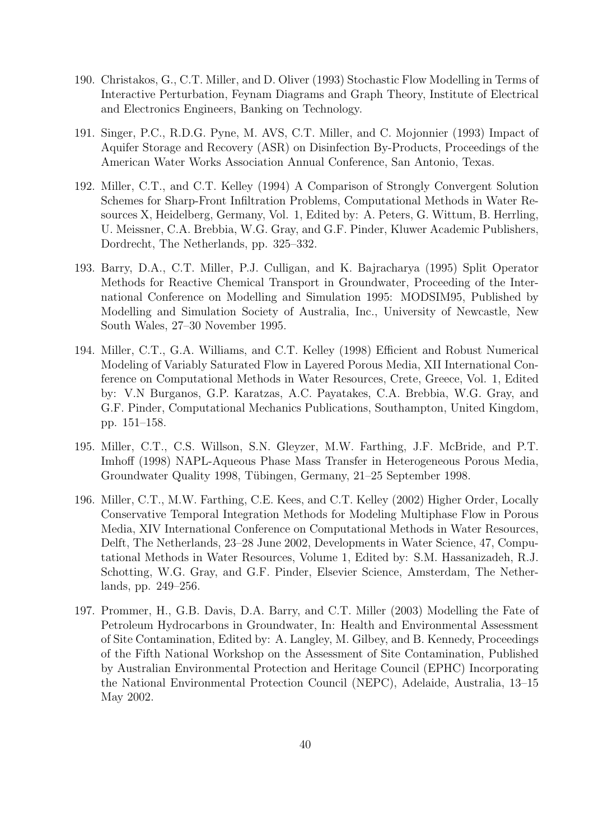- 190. Christakos, G., C.T. Miller, and D. Oliver (1993) Stochastic Flow Modelling in Terms of Interactive Perturbation, Feynam Diagrams and Graph Theory, Institute of Electrical and Electronics Engineers, Banking on Technology.
- 191. Singer, P.C., R.D.G. Pyne, M. AVS, C.T. Miller, and C. Mojonnier (1993) Impact of Aquifer Storage and Recovery (ASR) on Disinfection By-Products, Proceedings of the American Water Works Association Annual Conference, San Antonio, Texas.
- 192. Miller, C.T., and C.T. Kelley (1994) A Comparison of Strongly Convergent Solution Schemes for Sharp-Front Infiltration Problems, Computational Methods in Water Resources X, Heidelberg, Germany, Vol. 1, Edited by: A. Peters, G. Wittum, B. Herrling, U. Meissner, C.A. Brebbia, W.G. Gray, and G.F. Pinder, Kluwer Academic Publishers, Dordrecht, The Netherlands, pp. 325–332.
- 193. Barry, D.A., C.T. Miller, P.J. Culligan, and K. Bajracharya (1995) Split Operator Methods for Reactive Chemical Transport in Groundwater, Proceeding of the International Conference on Modelling and Simulation 1995: MODSIM95, Published by Modelling and Simulation Society of Australia, Inc., University of Newcastle, New South Wales, 27–30 November 1995.
- 194. Miller, C.T., G.A. Williams, and C.T. Kelley (1998) Efficient and Robust Numerical Modeling of Variably Saturated Flow in Layered Porous Media, XII International Conference on Computational Methods in Water Resources, Crete, Greece, Vol. 1, Edited by: V.N Burganos, G.P. Karatzas, A.C. Payatakes, C.A. Brebbia, W.G. Gray, and G.F. Pinder, Computational Mechanics Publications, Southampton, United Kingdom, pp. 151–158.
- 195. Miller, C.T., C.S. Willson, S.N. Gleyzer, M.W. Farthing, J.F. McBride, and P.T. Imhoff (1998) NAPL-Aqueous Phase Mass Transfer in Heterogeneous Porous Media, Groundwater Quality 1998, Tübingen, Germany, 21–25 September 1998.
- 196. Miller, C.T., M.W. Farthing, C.E. Kees, and C.T. Kelley (2002) Higher Order, Locally Conservative Temporal Integration Methods for Modeling Multiphase Flow in Porous Media, XIV International Conference on Computational Methods in Water Resources, Delft, The Netherlands, 23–28 June 2002, Developments in Water Science, 47, Computational Methods in Water Resources, Volume 1, Edited by: S.M. Hassanizadeh, R.J. Schotting, W.G. Gray, and G.F. Pinder, Elsevier Science, Amsterdam, The Netherlands, pp. 249–256.
- 197. Prommer, H., G.B. Davis, D.A. Barry, and C.T. Miller (2003) Modelling the Fate of Petroleum Hydrocarbons in Groundwater, In: Health and Environmental Assessment of Site Contamination, Edited by: A. Langley, M. Gilbey, and B. Kennedy, Proceedings of the Fifth National Workshop on the Assessment of Site Contamination, Published by Australian Environmental Protection and Heritage Council (EPHC) Incorporating the National Environmental Protection Council (NEPC), Adelaide, Australia, 13–15 May 2002.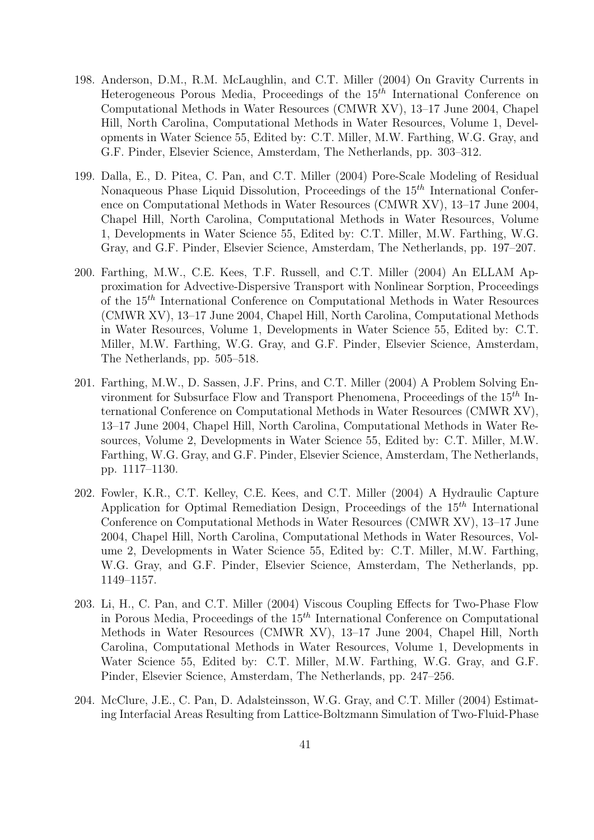- 198. Anderson, D.M., R.M. McLaughlin, and C.T. Miller (2004) On Gravity Currents in Heterogeneous Porous Media, Proceedings of the  $15<sup>th</sup>$  International Conference on Computational Methods in Water Resources (CMWR XV), 13–17 June 2004, Chapel Hill, North Carolina, Computational Methods in Water Resources, Volume 1, Developments in Water Science 55, Edited by: C.T. Miller, M.W. Farthing, W.G. Gray, and G.F. Pinder, Elsevier Science, Amsterdam, The Netherlands, pp. 303–312.
- 199. Dalla, E., D. Pitea, C. Pan, and C.T. Miller (2004) Pore-Scale Modeling of Residual Nonaqueous Phase Liquid Dissolution, Proceedings of the  $15<sup>th</sup>$  International Conference on Computational Methods in Water Resources (CMWR XV), 13–17 June 2004, Chapel Hill, North Carolina, Computational Methods in Water Resources, Volume 1, Developments in Water Science 55, Edited by: C.T. Miller, M.W. Farthing, W.G. Gray, and G.F. Pinder, Elsevier Science, Amsterdam, The Netherlands, pp. 197–207.
- 200. Farthing, M.W., C.E. Kees, T.F. Russell, and C.T. Miller (2004) An ELLAM Approximation for Advective-Dispersive Transport with Nonlinear Sorption, Proceedings of the 15th International Conference on Computational Methods in Water Resources (CMWR XV), 13–17 June 2004, Chapel Hill, North Carolina, Computational Methods in Water Resources, Volume 1, Developments in Water Science 55, Edited by: C.T. Miller, M.W. Farthing, W.G. Gray, and G.F. Pinder, Elsevier Science, Amsterdam, The Netherlands, pp. 505–518.
- 201. Farthing, M.W., D. Sassen, J.F. Prins, and C.T. Miller (2004) A Problem Solving Environment for Subsurface Flow and Transport Phenomena, Proceedings of the  $15<sup>th</sup>$  International Conference on Computational Methods in Water Resources (CMWR XV), 13–17 June 2004, Chapel Hill, North Carolina, Computational Methods in Water Resources, Volume 2, Developments in Water Science 55, Edited by: C.T. Miller, M.W. Farthing, W.G. Gray, and G.F. Pinder, Elsevier Science, Amsterdam, The Netherlands, pp. 1117–1130.
- 202. Fowler, K.R., C.T. Kelley, C.E. Kees, and C.T. Miller (2004) A Hydraulic Capture Application for Optimal Remediation Design, Proceedings of the  $15<sup>th</sup>$  International Conference on Computational Methods in Water Resources (CMWR XV), 13–17 June 2004, Chapel Hill, North Carolina, Computational Methods in Water Resources, Volume 2, Developments in Water Science 55, Edited by: C.T. Miller, M.W. Farthing, W.G. Gray, and G.F. Pinder, Elsevier Science, Amsterdam, The Netherlands, pp. 1149–1157.
- 203. Li, H., C. Pan, and C.T. Miller (2004) Viscous Coupling Effects for Two-Phase Flow in Porous Media, Proceedings of the  $15<sup>th</sup>$  International Conference on Computational Methods in Water Resources (CMWR XV), 13–17 June 2004, Chapel Hill, North Carolina, Computational Methods in Water Resources, Volume 1, Developments in Water Science 55, Edited by: C.T. Miller, M.W. Farthing, W.G. Gray, and G.F. Pinder, Elsevier Science, Amsterdam, The Netherlands, pp. 247–256.
- 204. McClure, J.E., C. Pan, D. Adalsteinsson, W.G. Gray, and C.T. Miller (2004) Estimating Interfacial Areas Resulting from Lattice-Boltzmann Simulation of Two-Fluid-Phase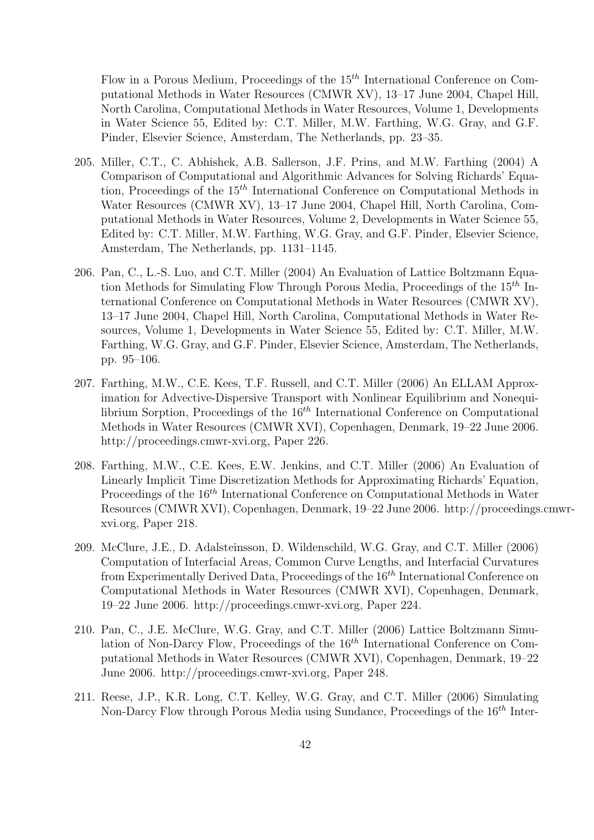Flow in a Porous Medium, Proceedings of the  $15<sup>th</sup>$  International Conference on Computational Methods in Water Resources (CMWR XV), 13–17 June 2004, Chapel Hill, North Carolina, Computational Methods in Water Resources, Volume 1, Developments in Water Science 55, Edited by: C.T. Miller, M.W. Farthing, W.G. Gray, and G.F. Pinder, Elsevier Science, Amsterdam, The Netherlands, pp. 23–35.

- 205. Miller, C.T., C. Abhishek, A.B. Sallerson, J.F. Prins, and M.W. Farthing (2004) A Comparison of Computational and Algorithmic Advances for Solving Richards' Equation, Proceedings of the  $15<sup>th</sup>$  International Conference on Computational Methods in Water Resources (CMWR XV), 13–17 June 2004, Chapel Hill, North Carolina, Computational Methods in Water Resources, Volume 2, Developments in Water Science 55, Edited by: C.T. Miller, M.W. Farthing, W.G. Gray, and G.F. Pinder, Elsevier Science, Amsterdam, The Netherlands, pp. 1131–1145.
- 206. Pan, C., L.-S. Luo, and C.T. Miller (2004) An Evaluation of Lattice Boltzmann Equation Methods for Simulating Flow Through Porous Media, Proceedings of the  $15<sup>th</sup>$  International Conference on Computational Methods in Water Resources (CMWR XV), 13–17 June 2004, Chapel Hill, North Carolina, Computational Methods in Water Resources, Volume 1, Developments in Water Science 55, Edited by: C.T. Miller, M.W. Farthing, W.G. Gray, and G.F. Pinder, Elsevier Science, Amsterdam, The Netherlands, pp. 95–106.
- 207. Farthing, M.W., C.E. Kees, T.F. Russell, and C.T. Miller (2006) An ELLAM Approximation for Advective-Dispersive Transport with Nonlinear Equilibrium and Nonequilibrium Sorption, Proceedings of the  $16<sup>th</sup>$  International Conference on Computational Methods in Water Resources (CMWR XVI), Copenhagen, Denmark, 19–22 June 2006. http://proceedings.cmwr-xvi.org, Paper 226.
- 208. Farthing, M.W., C.E. Kees, E.W. Jenkins, and C.T. Miller (2006) An Evaluation of Linearly Implicit Time Discretization Methods for Approximating Richards' Equation, Proceedings of the 16<sup>th</sup> International Conference on Computational Methods in Water Resources (CMWR XVI), Copenhagen, Denmark, 19–22 June 2006. http://proceedings.cmwrxvi.org, Paper 218.
- 209. McClure, J.E., D. Adalsteinsson, D. Wildenschild, W.G. Gray, and C.T. Miller (2006) Computation of Interfacial Areas, Common Curve Lengths, and Interfacial Curvatures from Experimentally Derived Data, Proceedings of the  $16^{th}$  International Conference on Computational Methods in Water Resources (CMWR XVI), Copenhagen, Denmark, 19–22 June 2006. http://proceedings.cmwr-xvi.org, Paper 224.
- 210. Pan, C., J.E. McClure, W.G. Gray, and C.T. Miller (2006) Lattice Boltzmann Simulation of Non-Darcy Flow, Proceedings of the  $16<sup>th</sup>$  International Conference on Computational Methods in Water Resources (CMWR XVI), Copenhagen, Denmark, 19–22 June 2006. http://proceedings.cmwr-xvi.org, Paper 248.
- 211. Reese, J.P., K.R. Long, C.T. Kelley, W.G. Gray, and C.T. Miller (2006) Simulating Non-Darcy Flow through Porous Media using Sundance, Proceedings of the 16<sup>th</sup> Inter-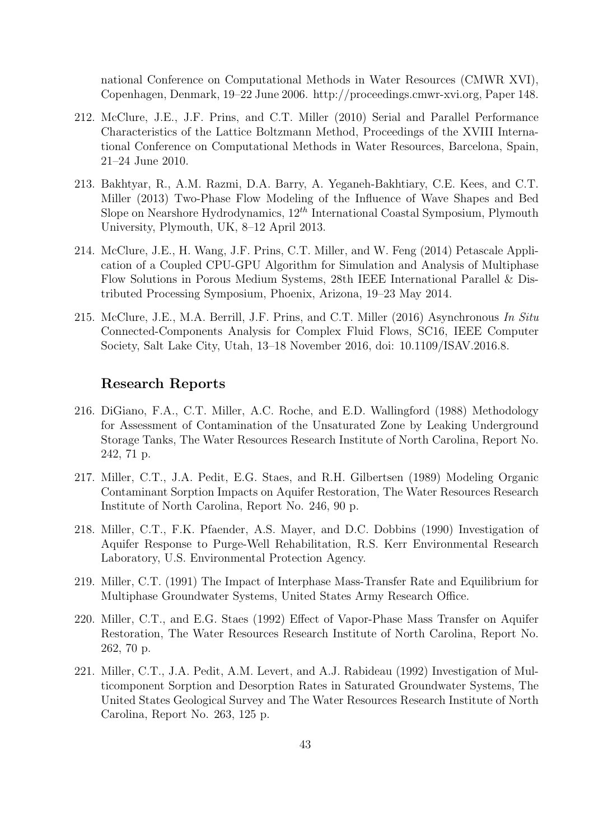national Conference on Computational Methods in Water Resources (CMWR XVI), Copenhagen, Denmark, 19–22 June 2006. http://proceedings.cmwr-xvi.org, Paper 148.

- 212. McClure, J.E., J.F. Prins, and C.T. Miller (2010) Serial and Parallel Performance Characteristics of the Lattice Boltzmann Method, Proceedings of the XVIII International Conference on Computational Methods in Water Resources, Barcelona, Spain, 21–24 June 2010.
- 213. Bakhtyar, R., A.M. Razmi, D.A. Barry, A. Yeganeh-Bakhtiary, C.E. Kees, and C.T. Miller (2013) Two-Phase Flow Modeling of the Influence of Wave Shapes and Bed Slope on Nearshore Hydrodynamics,  $12^{th}$  International Coastal Symposium, Plymouth University, Plymouth, UK, 8–12 April 2013.
- 214. McClure, J.E., H. Wang, J.F. Prins, C.T. Miller, and W. Feng (2014) Petascale Application of a Coupled CPU-GPU Algorithm for Simulation and Analysis of Multiphase Flow Solutions in Porous Medium Systems, 28th IEEE International Parallel & Distributed Processing Symposium, Phoenix, Arizona, 19–23 May 2014.
- 215. McClure, J.E., M.A. Berrill, J.F. Prins, and C.T. Miller (2016) Asynchronous In Situ Connected-Components Analysis for Complex Fluid Flows, SC16, IEEE Computer Society, Salt Lake City, Utah, 13–18 November 2016, doi: 10.1109/ISAV.2016.8.

## Research Reports

- 216. DiGiano, F.A., C.T. Miller, A.C. Roche, and E.D. Wallingford (1988) Methodology for Assessment of Contamination of the Unsaturated Zone by Leaking Underground Storage Tanks, The Water Resources Research Institute of North Carolina, Report No. 242, 71 p.
- 217. Miller, C.T., J.A. Pedit, E.G. Staes, and R.H. Gilbertsen (1989) Modeling Organic Contaminant Sorption Impacts on Aquifer Restoration, The Water Resources Research Institute of North Carolina, Report No. 246, 90 p.
- 218. Miller, C.T., F.K. Pfaender, A.S. Mayer, and D.C. Dobbins (1990) Investigation of Aquifer Response to Purge-Well Rehabilitation, R.S. Kerr Environmental Research Laboratory, U.S. Environmental Protection Agency.
- 219. Miller, C.T. (1991) The Impact of Interphase Mass-Transfer Rate and Equilibrium for Multiphase Groundwater Systems, United States Army Research Office.
- 220. Miller, C.T., and E.G. Staes (1992) Effect of Vapor-Phase Mass Transfer on Aquifer Restoration, The Water Resources Research Institute of North Carolina, Report No. 262, 70 p.
- 221. Miller, C.T., J.A. Pedit, A.M. Levert, and A.J. Rabideau (1992) Investigation of Multicomponent Sorption and Desorption Rates in Saturated Groundwater Systems, The United States Geological Survey and The Water Resources Research Institute of North Carolina, Report No. 263, 125 p.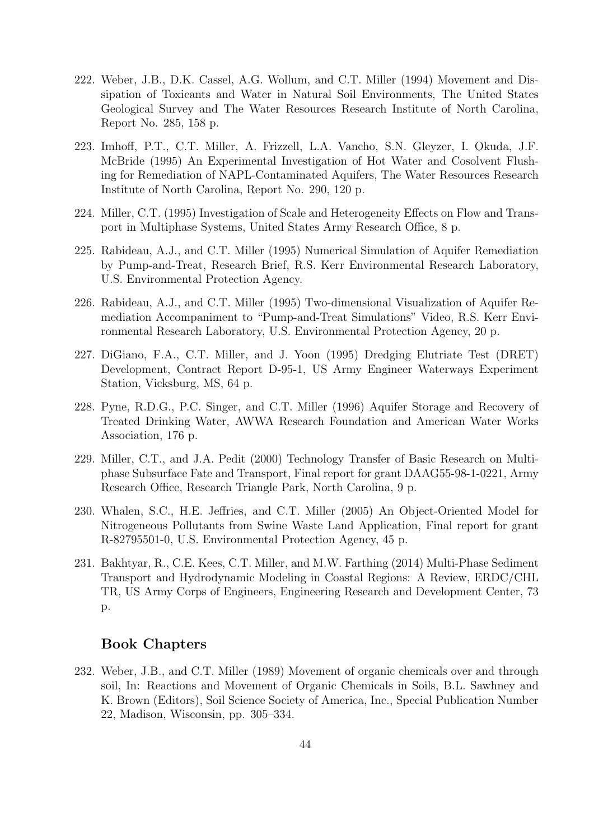- 222. Weber, J.B., D.K. Cassel, A.G. Wollum, and C.T. Miller (1994) Movement and Dissipation of Toxicants and Water in Natural Soil Environments, The United States Geological Survey and The Water Resources Research Institute of North Carolina, Report No. 285, 158 p.
- 223. Imhoff, P.T., C.T. Miller, A. Frizzell, L.A. Vancho, S.N. Gleyzer, I. Okuda, J.F. McBride (1995) An Experimental Investigation of Hot Water and Cosolvent Flushing for Remediation of NAPL-Contaminated Aquifers, The Water Resources Research Institute of North Carolina, Report No. 290, 120 p.
- 224. Miller, C.T. (1995) Investigation of Scale and Heterogeneity Effects on Flow and Transport in Multiphase Systems, United States Army Research Office, 8 p.
- 225. Rabideau, A.J., and C.T. Miller (1995) Numerical Simulation of Aquifer Remediation by Pump-and-Treat, Research Brief, R.S. Kerr Environmental Research Laboratory, U.S. Environmental Protection Agency.
- 226. Rabideau, A.J., and C.T. Miller (1995) Two-dimensional Visualization of Aquifer Remediation Accompaniment to "Pump-and-Treat Simulations" Video, R.S. Kerr Environmental Research Laboratory, U.S. Environmental Protection Agency, 20 p.
- 227. DiGiano, F.A., C.T. Miller, and J. Yoon (1995) Dredging Elutriate Test (DRET) Development, Contract Report D-95-1, US Army Engineer Waterways Experiment Station, Vicksburg, MS, 64 p.
- 228. Pyne, R.D.G., P.C. Singer, and C.T. Miller (1996) Aquifer Storage and Recovery of Treated Drinking Water, AWWA Research Foundation and American Water Works Association, 176 p.
- 229. Miller, C.T., and J.A. Pedit (2000) Technology Transfer of Basic Research on Multiphase Subsurface Fate and Transport, Final report for grant DAAG55-98-1-0221, Army Research Office, Research Triangle Park, North Carolina, 9 p.
- 230. Whalen, S.C., H.E. Jeffries, and C.T. Miller (2005) An Object-Oriented Model for Nitrogeneous Pollutants from Swine Waste Land Application, Final report for grant R-82795501-0, U.S. Environmental Protection Agency, 45 p.
- 231. Bakhtyar, R., C.E. Kees, C.T. Miller, and M.W. Farthing (2014) Multi-Phase Sediment Transport and Hydrodynamic Modeling in Coastal Regions: A Review, ERDC/CHL TR, US Army Corps of Engineers, Engineering Research and Development Center, 73 p.

# Book Chapters

232. Weber, J.B., and C.T. Miller (1989) Movement of organic chemicals over and through soil, In: Reactions and Movement of Organic Chemicals in Soils, B.L. Sawhney and K. Brown (Editors), Soil Science Society of America, Inc., Special Publication Number 22, Madison, Wisconsin, pp. 305–334.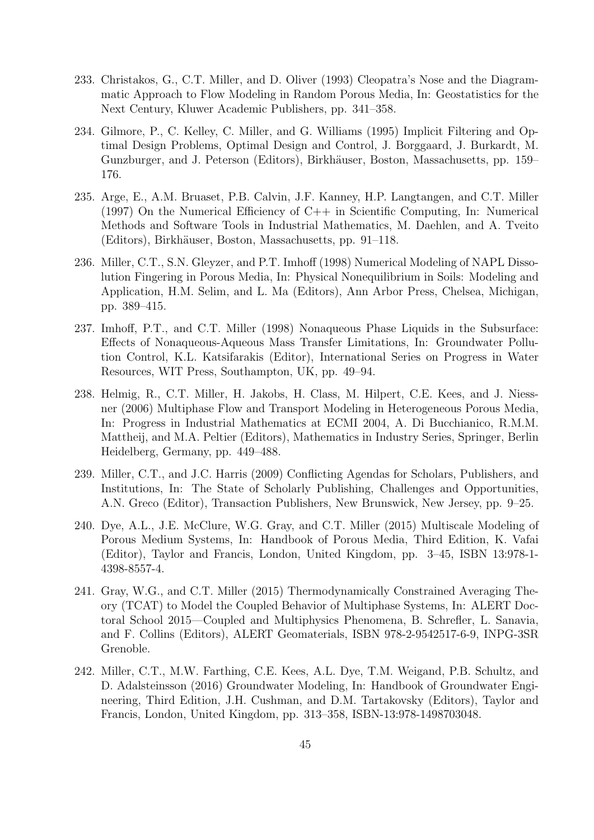- 233. Christakos, G., C.T. Miller, and D. Oliver (1993) Cleopatra's Nose and the Diagrammatic Approach to Flow Modeling in Random Porous Media, In: Geostatistics for the Next Century, Kluwer Academic Publishers, pp. 341–358.
- 234. Gilmore, P., C. Kelley, C. Miller, and G. Williams (1995) Implicit Filtering and Optimal Design Problems, Optimal Design and Control, J. Borggaard, J. Burkardt, M. Gunzburger, and J. Peterson (Editors), Birkhäuser, Boston, Massachusetts, pp. 159– 176.
- 235. Arge, E., A.M. Bruaset, P.B. Calvin, J.F. Kanney, H.P. Langtangen, and C.T. Miller (1997) On the Numerical Efficiency of C++ in Scientific Computing, In: Numerical Methods and Software Tools in Industrial Mathematics, M. Daehlen, and A. Tveito (Editors), Birkh¨auser, Boston, Massachusetts, pp. 91–118.
- 236. Miller, C.T., S.N. Gleyzer, and P.T. Imhoff (1998) Numerical Modeling of NAPL Dissolution Fingering in Porous Media, In: Physical Nonequilibrium in Soils: Modeling and Application, H.M. Selim, and L. Ma (Editors), Ann Arbor Press, Chelsea, Michigan, pp. 389–415.
- 237. Imhoff, P.T., and C.T. Miller (1998) Nonaqueous Phase Liquids in the Subsurface: Effects of Nonaqueous-Aqueous Mass Transfer Limitations, In: Groundwater Pollution Control, K.L. Katsifarakis (Editor), International Series on Progress in Water Resources, WIT Press, Southampton, UK, pp. 49–94.
- 238. Helmig, R., C.T. Miller, H. Jakobs, H. Class, M. Hilpert, C.E. Kees, and J. Niessner (2006) Multiphase Flow and Transport Modeling in Heterogeneous Porous Media, In: Progress in Industrial Mathematics at ECMI 2004, A. Di Bucchianico, R.M.M. Mattheij, and M.A. Peltier (Editors), Mathematics in Industry Series, Springer, Berlin Heidelberg, Germany, pp. 449–488.
- 239. Miller, C.T., and J.C. Harris (2009) Conflicting Agendas for Scholars, Publishers, and Institutions, In: The State of Scholarly Publishing, Challenges and Opportunities, A.N. Greco (Editor), Transaction Publishers, New Brunswick, New Jersey, pp. 9–25.
- 240. Dye, A.L., J.E. McClure, W.G. Gray, and C.T. Miller (2015) Multiscale Modeling of Porous Medium Systems, In: Handbook of Porous Media, Third Edition, K. Vafai (Editor), Taylor and Francis, London, United Kingdom, pp. 3–45, ISBN 13:978-1- 4398-8557-4.
- 241. Gray, W.G., and C.T. Miller (2015) Thermodynamically Constrained Averaging Theory (TCAT) to Model the Coupled Behavior of Multiphase Systems, In: ALERT Doctoral School 2015—Coupled and Multiphysics Phenomena, B. Schrefler, L. Sanavia, and F. Collins (Editors), ALERT Geomaterials, ISBN 978-2-9542517-6-9, INPG-3SR Grenoble.
- 242. Miller, C.T., M.W. Farthing, C.E. Kees, A.L. Dye, T.M. Weigand, P.B. Schultz, and D. Adalsteinsson (2016) Groundwater Modeling, In: Handbook of Groundwater Engineering, Third Edition, J.H. Cushman, and D.M. Tartakovsky (Editors), Taylor and Francis, London, United Kingdom, pp. 313–358, ISBN-13:978-1498703048.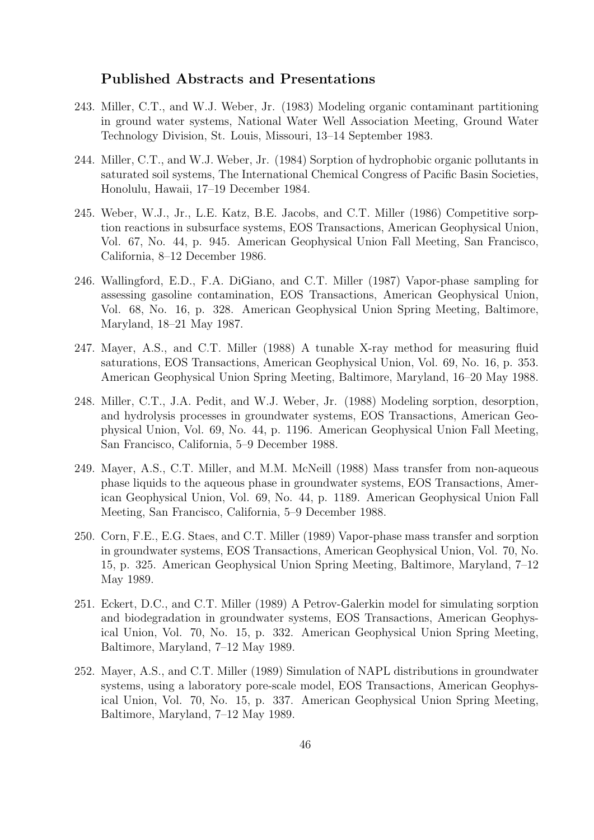### Published Abstracts and Presentations

- 243. Miller, C.T., and W.J. Weber, Jr. (1983) Modeling organic contaminant partitioning in ground water systems, National Water Well Association Meeting, Ground Water Technology Division, St. Louis, Missouri, 13–14 September 1983.
- 244. Miller, C.T., and W.J. Weber, Jr. (1984) Sorption of hydrophobic organic pollutants in saturated soil systems, The International Chemical Congress of Pacific Basin Societies, Honolulu, Hawaii, 17–19 December 1984.
- 245. Weber, W.J., Jr., L.E. Katz, B.E. Jacobs, and C.T. Miller (1986) Competitive sorption reactions in subsurface systems, EOS Transactions, American Geophysical Union, Vol. 67, No. 44, p. 945. American Geophysical Union Fall Meeting, San Francisco, California, 8–12 December 1986.
- 246. Wallingford, E.D., F.A. DiGiano, and C.T. Miller (1987) Vapor-phase sampling for assessing gasoline contamination, EOS Transactions, American Geophysical Union, Vol. 68, No. 16, p. 328. American Geophysical Union Spring Meeting, Baltimore, Maryland, 18–21 May 1987.
- 247. Mayer, A.S., and C.T. Miller (1988) A tunable X-ray method for measuring fluid saturations, EOS Transactions, American Geophysical Union, Vol. 69, No. 16, p. 353. American Geophysical Union Spring Meeting, Baltimore, Maryland, 16–20 May 1988.
- 248. Miller, C.T., J.A. Pedit, and W.J. Weber, Jr. (1988) Modeling sorption, desorption, and hydrolysis processes in groundwater systems, EOS Transactions, American Geophysical Union, Vol. 69, No. 44, p. 1196. American Geophysical Union Fall Meeting, San Francisco, California, 5–9 December 1988.
- 249. Mayer, A.S., C.T. Miller, and M.M. McNeill (1988) Mass transfer from non-aqueous phase liquids to the aqueous phase in groundwater systems, EOS Transactions, American Geophysical Union, Vol. 69, No. 44, p. 1189. American Geophysical Union Fall Meeting, San Francisco, California, 5–9 December 1988.
- 250. Corn, F.E., E.G. Staes, and C.T. Miller (1989) Vapor-phase mass transfer and sorption in groundwater systems, EOS Transactions, American Geophysical Union, Vol. 70, No. 15, p. 325. American Geophysical Union Spring Meeting, Baltimore, Maryland, 7–12 May 1989.
- 251. Eckert, D.C., and C.T. Miller (1989) A Petrov-Galerkin model for simulating sorption and biodegradation in groundwater systems, EOS Transactions, American Geophysical Union, Vol. 70, No. 15, p. 332. American Geophysical Union Spring Meeting, Baltimore, Maryland, 7–12 May 1989.
- 252. Mayer, A.S., and C.T. Miller (1989) Simulation of NAPL distributions in groundwater systems, using a laboratory pore-scale model, EOS Transactions, American Geophysical Union, Vol. 70, No. 15, p. 337. American Geophysical Union Spring Meeting, Baltimore, Maryland, 7–12 May 1989.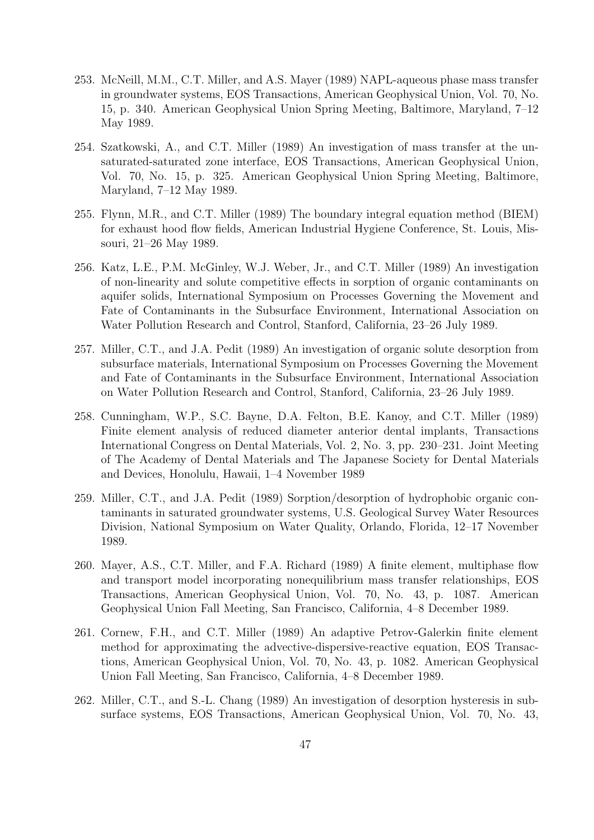- 253. McNeill, M.M., C.T. Miller, and A.S. Mayer (1989) NAPL-aqueous phase mass transfer in groundwater systems, EOS Transactions, American Geophysical Union, Vol. 70, No. 15, p. 340. American Geophysical Union Spring Meeting, Baltimore, Maryland, 7–12 May 1989.
- 254. Szatkowski, A., and C.T. Miller (1989) An investigation of mass transfer at the unsaturated-saturated zone interface, EOS Transactions, American Geophysical Union, Vol. 70, No. 15, p. 325. American Geophysical Union Spring Meeting, Baltimore, Maryland, 7–12 May 1989.
- 255. Flynn, M.R., and C.T. Miller (1989) The boundary integral equation method (BIEM) for exhaust hood flow fields, American Industrial Hygiene Conference, St. Louis, Missouri, 21–26 May 1989.
- 256. Katz, L.E., P.M. McGinley, W.J. Weber, Jr., and C.T. Miller (1989) An investigation of non-linearity and solute competitive effects in sorption of organic contaminants on aquifer solids, International Symposium on Processes Governing the Movement and Fate of Contaminants in the Subsurface Environment, International Association on Water Pollution Research and Control, Stanford, California, 23–26 July 1989.
- 257. Miller, C.T., and J.A. Pedit (1989) An investigation of organic solute desorption from subsurface materials, International Symposium on Processes Governing the Movement and Fate of Contaminants in the Subsurface Environment, International Association on Water Pollution Research and Control, Stanford, California, 23–26 July 1989.
- 258. Cunningham, W.P., S.C. Bayne, D.A. Felton, B.E. Kanoy, and C.T. Miller (1989) Finite element analysis of reduced diameter anterior dental implants, Transactions International Congress on Dental Materials, Vol. 2, No. 3, pp. 230–231. Joint Meeting of The Academy of Dental Materials and The Japanese Society for Dental Materials and Devices, Honolulu, Hawaii, 1–4 November 1989
- 259. Miller, C.T., and J.A. Pedit (1989) Sorption/desorption of hydrophobic organic contaminants in saturated groundwater systems, U.S. Geological Survey Water Resources Division, National Symposium on Water Quality, Orlando, Florida, 12–17 November 1989.
- 260. Mayer, A.S., C.T. Miller, and F.A. Richard (1989) A finite element, multiphase flow and transport model incorporating nonequilibrium mass transfer relationships, EOS Transactions, American Geophysical Union, Vol. 70, No. 43, p. 1087. American Geophysical Union Fall Meeting, San Francisco, California, 4–8 December 1989.
- 261. Cornew, F.H., and C.T. Miller (1989) An adaptive Petrov-Galerkin finite element method for approximating the advective-dispersive-reactive equation, EOS Transactions, American Geophysical Union, Vol. 70, No. 43, p. 1082. American Geophysical Union Fall Meeting, San Francisco, California, 4–8 December 1989.
- 262. Miller, C.T., and S.-L. Chang (1989) An investigation of desorption hysteresis in subsurface systems, EOS Transactions, American Geophysical Union, Vol. 70, No. 43,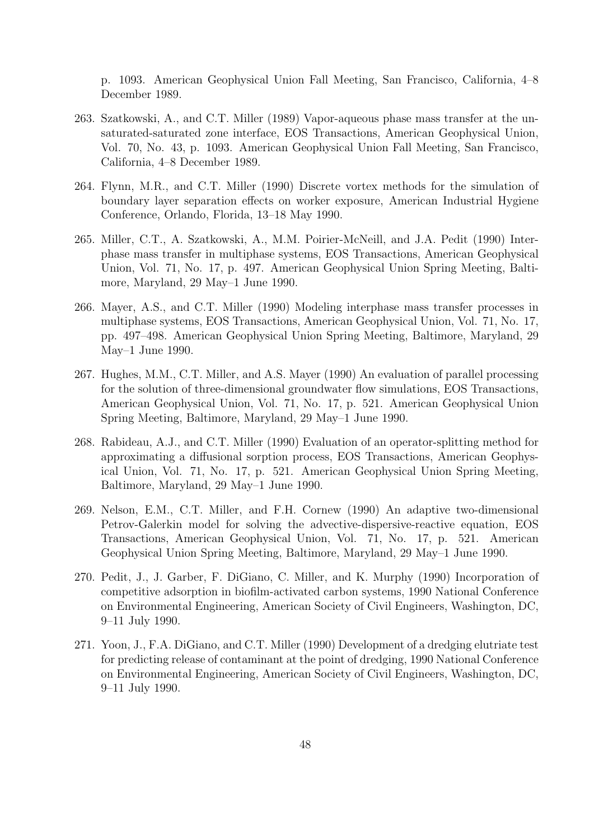p. 1093. American Geophysical Union Fall Meeting, San Francisco, California, 4–8 December 1989.

- 263. Szatkowski, A., and C.T. Miller (1989) Vapor-aqueous phase mass transfer at the unsaturated-saturated zone interface, EOS Transactions, American Geophysical Union, Vol. 70, No. 43, p. 1093. American Geophysical Union Fall Meeting, San Francisco, California, 4–8 December 1989.
- 264. Flynn, M.R., and C.T. Miller (1990) Discrete vortex methods for the simulation of boundary layer separation effects on worker exposure, American Industrial Hygiene Conference, Orlando, Florida, 13–18 May 1990.
- 265. Miller, C.T., A. Szatkowski, A., M.M. Poirier-McNeill, and J.A. Pedit (1990) Interphase mass transfer in multiphase systems, EOS Transactions, American Geophysical Union, Vol. 71, No. 17, p. 497. American Geophysical Union Spring Meeting, Baltimore, Maryland, 29 May–1 June 1990.
- 266. Mayer, A.S., and C.T. Miller (1990) Modeling interphase mass transfer processes in multiphase systems, EOS Transactions, American Geophysical Union, Vol. 71, No. 17, pp. 497–498. American Geophysical Union Spring Meeting, Baltimore, Maryland, 29 May–1 June 1990.
- 267. Hughes, M.M., C.T. Miller, and A.S. Mayer (1990) An evaluation of parallel processing for the solution of three-dimensional groundwater flow simulations, EOS Transactions, American Geophysical Union, Vol. 71, No. 17, p. 521. American Geophysical Union Spring Meeting, Baltimore, Maryland, 29 May–1 June 1990.
- 268. Rabideau, A.J., and C.T. Miller (1990) Evaluation of an operator-splitting method for approximating a diffusional sorption process, EOS Transactions, American Geophysical Union, Vol. 71, No. 17, p. 521. American Geophysical Union Spring Meeting, Baltimore, Maryland, 29 May–1 June 1990.
- 269. Nelson, E.M., C.T. Miller, and F.H. Cornew (1990) An adaptive two-dimensional Petrov-Galerkin model for solving the advective-dispersive-reactive equation, EOS Transactions, American Geophysical Union, Vol. 71, No. 17, p. 521. American Geophysical Union Spring Meeting, Baltimore, Maryland, 29 May–1 June 1990.
- 270. Pedit, J., J. Garber, F. DiGiano, C. Miller, and K. Murphy (1990) Incorporation of competitive adsorption in biofilm-activated carbon systems, 1990 National Conference on Environmental Engineering, American Society of Civil Engineers, Washington, DC, 9–11 July 1990.
- 271. Yoon, J., F.A. DiGiano, and C.T. Miller (1990) Development of a dredging elutriate test for predicting release of contaminant at the point of dredging, 1990 National Conference on Environmental Engineering, American Society of Civil Engineers, Washington, DC, 9–11 July 1990.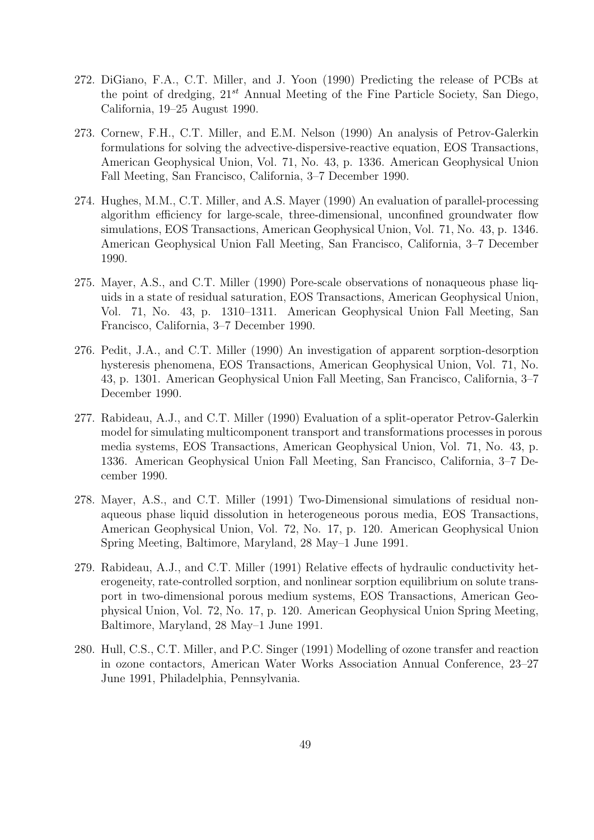- 272. DiGiano, F.A., C.T. Miller, and J. Yoon (1990) Predicting the release of PCBs at the point of dredging,  $21^{st}$  Annual Meeting of the Fine Particle Society, San Diego, California, 19–25 August 1990.
- 273. Cornew, F.H., C.T. Miller, and E.M. Nelson (1990) An analysis of Petrov-Galerkin formulations for solving the advective-dispersive-reactive equation, EOS Transactions, American Geophysical Union, Vol. 71, No. 43, p. 1336. American Geophysical Union Fall Meeting, San Francisco, California, 3–7 December 1990.
- 274. Hughes, M.M., C.T. Miller, and A.S. Mayer (1990) An evaluation of parallel-processing algorithm efficiency for large-scale, three-dimensional, unconfined groundwater flow simulations, EOS Transactions, American Geophysical Union, Vol. 71, No. 43, p. 1346. American Geophysical Union Fall Meeting, San Francisco, California, 3–7 December 1990.
- 275. Mayer, A.S., and C.T. Miller (1990) Pore-scale observations of nonaqueous phase liquids in a state of residual saturation, EOS Transactions, American Geophysical Union, Vol. 71, No. 43, p. 1310–1311. American Geophysical Union Fall Meeting, San Francisco, California, 3–7 December 1990.
- 276. Pedit, J.A., and C.T. Miller (1990) An investigation of apparent sorption-desorption hysteresis phenomena, EOS Transactions, American Geophysical Union, Vol. 71, No. 43, p. 1301. American Geophysical Union Fall Meeting, San Francisco, California, 3–7 December 1990.
- 277. Rabideau, A.J., and C.T. Miller (1990) Evaluation of a split-operator Petrov-Galerkin model for simulating multicomponent transport and transformations processes in porous media systems, EOS Transactions, American Geophysical Union, Vol. 71, No. 43, p. 1336. American Geophysical Union Fall Meeting, San Francisco, California, 3–7 December 1990.
- 278. Mayer, A.S., and C.T. Miller (1991) Two-Dimensional simulations of residual nonaqueous phase liquid dissolution in heterogeneous porous media, EOS Transactions, American Geophysical Union, Vol. 72, No. 17, p. 120. American Geophysical Union Spring Meeting, Baltimore, Maryland, 28 May–1 June 1991.
- 279. Rabideau, A.J., and C.T. Miller (1991) Relative effects of hydraulic conductivity heterogeneity, rate-controlled sorption, and nonlinear sorption equilibrium on solute transport in two-dimensional porous medium systems, EOS Transactions, American Geophysical Union, Vol. 72, No. 17, p. 120. American Geophysical Union Spring Meeting, Baltimore, Maryland, 28 May–1 June 1991.
- 280. Hull, C.S., C.T. Miller, and P.C. Singer (1991) Modelling of ozone transfer and reaction in ozone contactors, American Water Works Association Annual Conference, 23–27 June 1991, Philadelphia, Pennsylvania.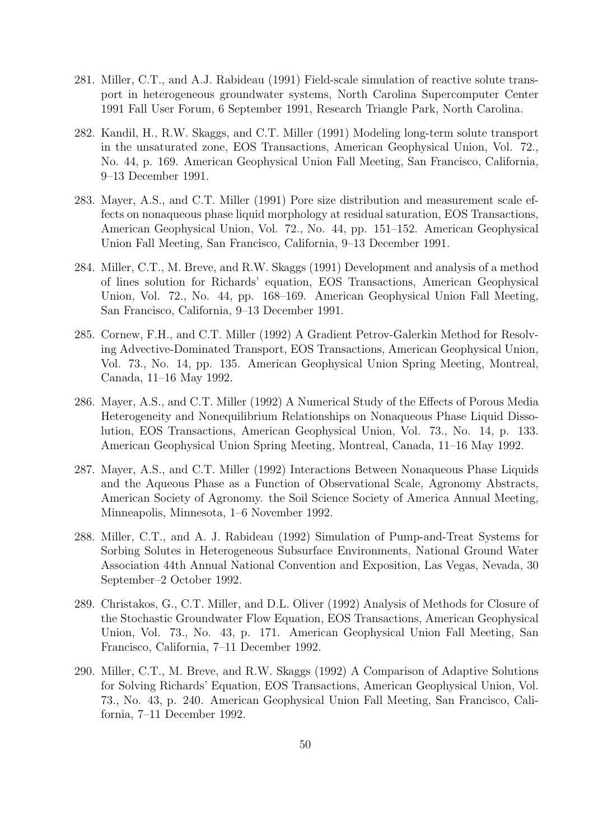- 281. Miller, C.T., and A.J. Rabideau (1991) Field-scale simulation of reactive solute transport in heterogeneous groundwater systems, North Carolina Supercomputer Center 1991 Fall User Forum, 6 September 1991, Research Triangle Park, North Carolina.
- 282. Kandil, H., R.W. Skaggs, and C.T. Miller (1991) Modeling long-term solute transport in the unsaturated zone, EOS Transactions, American Geophysical Union, Vol. 72., No. 44, p. 169. American Geophysical Union Fall Meeting, San Francisco, California, 9–13 December 1991.
- 283. Mayer, A.S., and C.T. Miller (1991) Pore size distribution and measurement scale effects on nonaqueous phase liquid morphology at residual saturation, EOS Transactions, American Geophysical Union, Vol. 72., No. 44, pp. 151–152. American Geophysical Union Fall Meeting, San Francisco, California, 9–13 December 1991.
- 284. Miller, C.T., M. Breve, and R.W. Skaggs (1991) Development and analysis of a method of lines solution for Richards' equation, EOS Transactions, American Geophysical Union, Vol. 72., No. 44, pp. 168–169. American Geophysical Union Fall Meeting, San Francisco, California, 9–13 December 1991.
- 285. Cornew, F.H., and C.T. Miller (1992) A Gradient Petrov-Galerkin Method for Resolving Advective-Dominated Transport, EOS Transactions, American Geophysical Union, Vol. 73., No. 14, pp. 135. American Geophysical Union Spring Meeting, Montreal, Canada, 11–16 May 1992.
- 286. Mayer, A.S., and C.T. Miller (1992) A Numerical Study of the Effects of Porous Media Heterogeneity and Nonequilibrium Relationships on Nonaqueous Phase Liquid Dissolution, EOS Transactions, American Geophysical Union, Vol. 73., No. 14, p. 133. American Geophysical Union Spring Meeting, Montreal, Canada, 11–16 May 1992.
- 287. Mayer, A.S., and C.T. Miller (1992) Interactions Between Nonaqueous Phase Liquids and the Aqueous Phase as a Function of Observational Scale, Agronomy Abstracts, American Society of Agronomy. the Soil Science Society of America Annual Meeting, Minneapolis, Minnesota, 1–6 November 1992.
- 288. Miller, C.T., and A. J. Rabideau (1992) Simulation of Pump-and-Treat Systems for Sorbing Solutes in Heterogeneous Subsurface Environments, National Ground Water Association 44th Annual National Convention and Exposition, Las Vegas, Nevada, 30 September–2 October 1992.
- 289. Christakos, G., C.T. Miller, and D.L. Oliver (1992) Analysis of Methods for Closure of the Stochastic Groundwater Flow Equation, EOS Transactions, American Geophysical Union, Vol. 73., No. 43, p. 171. American Geophysical Union Fall Meeting, San Francisco, California, 7–11 December 1992.
- 290. Miller, C.T., M. Breve, and R.W. Skaggs (1992) A Comparison of Adaptive Solutions for Solving Richards' Equation, EOS Transactions, American Geophysical Union, Vol. 73., No. 43, p. 240. American Geophysical Union Fall Meeting, San Francisco, California, 7–11 December 1992.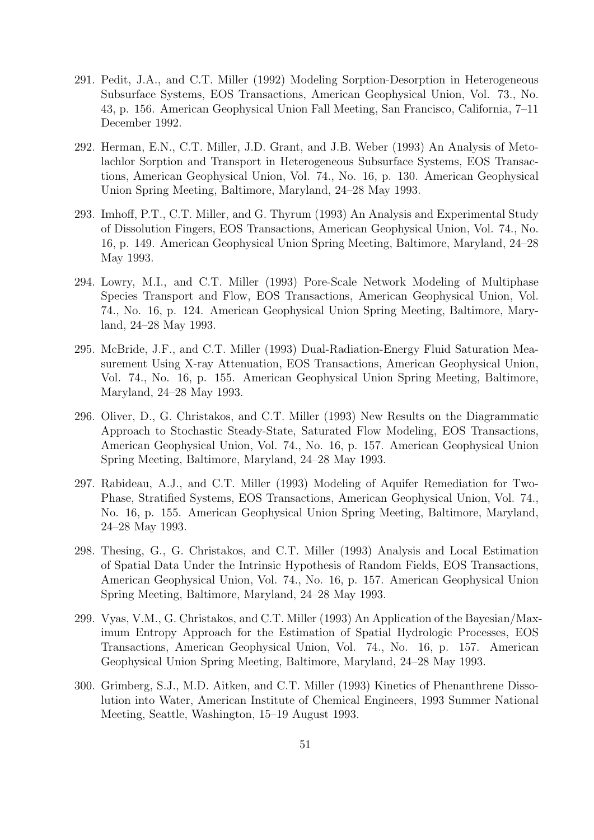- 291. Pedit, J.A., and C.T. Miller (1992) Modeling Sorption-Desorption in Heterogeneous Subsurface Systems, EOS Transactions, American Geophysical Union, Vol. 73., No. 43, p. 156. American Geophysical Union Fall Meeting, San Francisco, California, 7–11 December 1992.
- 292. Herman, E.N., C.T. Miller, J.D. Grant, and J.B. Weber (1993) An Analysis of Metolachlor Sorption and Transport in Heterogeneous Subsurface Systems, EOS Transactions, American Geophysical Union, Vol. 74., No. 16, p. 130. American Geophysical Union Spring Meeting, Baltimore, Maryland, 24–28 May 1993.
- 293. Imhoff, P.T., C.T. Miller, and G. Thyrum (1993) An Analysis and Experimental Study of Dissolution Fingers, EOS Transactions, American Geophysical Union, Vol. 74., No. 16, p. 149. American Geophysical Union Spring Meeting, Baltimore, Maryland, 24–28 May 1993.
- 294. Lowry, M.I., and C.T. Miller (1993) Pore-Scale Network Modeling of Multiphase Species Transport and Flow, EOS Transactions, American Geophysical Union, Vol. 74., No. 16, p. 124. American Geophysical Union Spring Meeting, Baltimore, Maryland, 24–28 May 1993.
- 295. McBride, J.F., and C.T. Miller (1993) Dual-Radiation-Energy Fluid Saturation Measurement Using X-ray Attenuation, EOS Transactions, American Geophysical Union, Vol. 74., No. 16, p. 155. American Geophysical Union Spring Meeting, Baltimore, Maryland, 24–28 May 1993.
- 296. Oliver, D., G. Christakos, and C.T. Miller (1993) New Results on the Diagrammatic Approach to Stochastic Steady-State, Saturated Flow Modeling, EOS Transactions, American Geophysical Union, Vol. 74., No. 16, p. 157. American Geophysical Union Spring Meeting, Baltimore, Maryland, 24–28 May 1993.
- 297. Rabideau, A.J., and C.T. Miller (1993) Modeling of Aquifer Remediation for Two-Phase, Stratified Systems, EOS Transactions, American Geophysical Union, Vol. 74., No. 16, p. 155. American Geophysical Union Spring Meeting, Baltimore, Maryland, 24–28 May 1993.
- 298. Thesing, G., G. Christakos, and C.T. Miller (1993) Analysis and Local Estimation of Spatial Data Under the Intrinsic Hypothesis of Random Fields, EOS Transactions, American Geophysical Union, Vol. 74., No. 16, p. 157. American Geophysical Union Spring Meeting, Baltimore, Maryland, 24–28 May 1993.
- 299. Vyas, V.M., G. Christakos, and C.T. Miller (1993) An Application of the Bayesian/Maximum Entropy Approach for the Estimation of Spatial Hydrologic Processes, EOS Transactions, American Geophysical Union, Vol. 74., No. 16, p. 157. American Geophysical Union Spring Meeting, Baltimore, Maryland, 24–28 May 1993.
- 300. Grimberg, S.J., M.D. Aitken, and C.T. Miller (1993) Kinetics of Phenanthrene Dissolution into Water, American Institute of Chemical Engineers, 1993 Summer National Meeting, Seattle, Washington, 15–19 August 1993.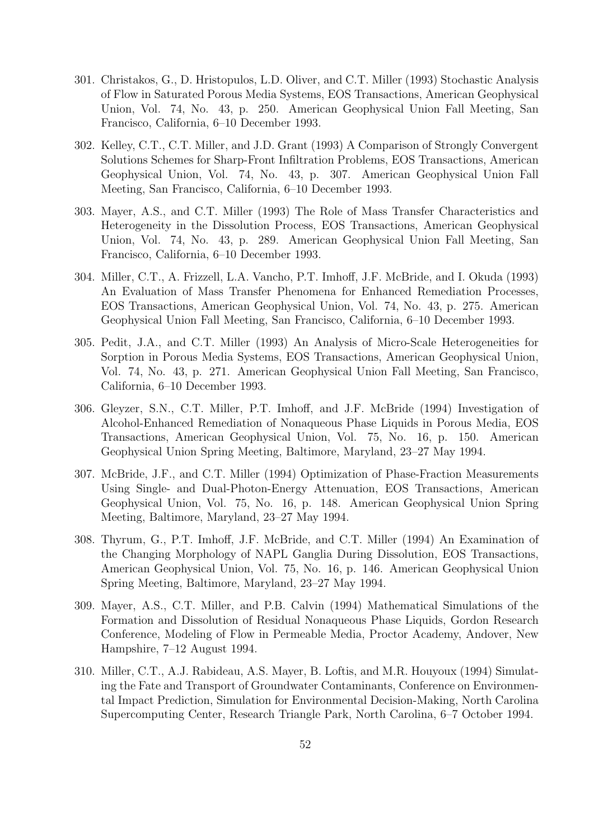- 301. Christakos, G., D. Hristopulos, L.D. Oliver, and C.T. Miller (1993) Stochastic Analysis of Flow in Saturated Porous Media Systems, EOS Transactions, American Geophysical Union, Vol. 74, No. 43, p. 250. American Geophysical Union Fall Meeting, San Francisco, California, 6–10 December 1993.
- 302. Kelley, C.T., C.T. Miller, and J.D. Grant (1993) A Comparison of Strongly Convergent Solutions Schemes for Sharp-Front Infiltration Problems, EOS Transactions, American Geophysical Union, Vol. 74, No. 43, p. 307. American Geophysical Union Fall Meeting, San Francisco, California, 6–10 December 1993.
- 303. Mayer, A.S., and C.T. Miller (1993) The Role of Mass Transfer Characteristics and Heterogeneity in the Dissolution Process, EOS Transactions, American Geophysical Union, Vol. 74, No. 43, p. 289. American Geophysical Union Fall Meeting, San Francisco, California, 6–10 December 1993.
- 304. Miller, C.T., A. Frizzell, L.A. Vancho, P.T. Imhoff, J.F. McBride, and I. Okuda (1993) An Evaluation of Mass Transfer Phenomena for Enhanced Remediation Processes, EOS Transactions, American Geophysical Union, Vol. 74, No. 43, p. 275. American Geophysical Union Fall Meeting, San Francisco, California, 6–10 December 1993.
- 305. Pedit, J.A., and C.T. Miller (1993) An Analysis of Micro-Scale Heterogeneities for Sorption in Porous Media Systems, EOS Transactions, American Geophysical Union, Vol. 74, No. 43, p. 271. American Geophysical Union Fall Meeting, San Francisco, California, 6–10 December 1993.
- 306. Gleyzer, S.N., C.T. Miller, P.T. Imhoff, and J.F. McBride (1994) Investigation of Alcohol-Enhanced Remediation of Nonaqueous Phase Liquids in Porous Media, EOS Transactions, American Geophysical Union, Vol. 75, No. 16, p. 150. American Geophysical Union Spring Meeting, Baltimore, Maryland, 23–27 May 1994.
- 307. McBride, J.F., and C.T. Miller (1994) Optimization of Phase-Fraction Measurements Using Single- and Dual-Photon-Energy Attenuation, EOS Transactions, American Geophysical Union, Vol. 75, No. 16, p. 148. American Geophysical Union Spring Meeting, Baltimore, Maryland, 23–27 May 1994.
- 308. Thyrum, G., P.T. Imhoff, J.F. McBride, and C.T. Miller (1994) An Examination of the Changing Morphology of NAPL Ganglia During Dissolution, EOS Transactions, American Geophysical Union, Vol. 75, No. 16, p. 146. American Geophysical Union Spring Meeting, Baltimore, Maryland, 23–27 May 1994.
- 309. Mayer, A.S., C.T. Miller, and P.B. Calvin (1994) Mathematical Simulations of the Formation and Dissolution of Residual Nonaqueous Phase Liquids, Gordon Research Conference, Modeling of Flow in Permeable Media, Proctor Academy, Andover, New Hampshire, 7–12 August 1994.
- 310. Miller, C.T., A.J. Rabideau, A.S. Mayer, B. Loftis, and M.R. Houyoux (1994) Simulating the Fate and Transport of Groundwater Contaminants, Conference on Environmental Impact Prediction, Simulation for Environmental Decision-Making, North Carolina Supercomputing Center, Research Triangle Park, North Carolina, 6–7 October 1994.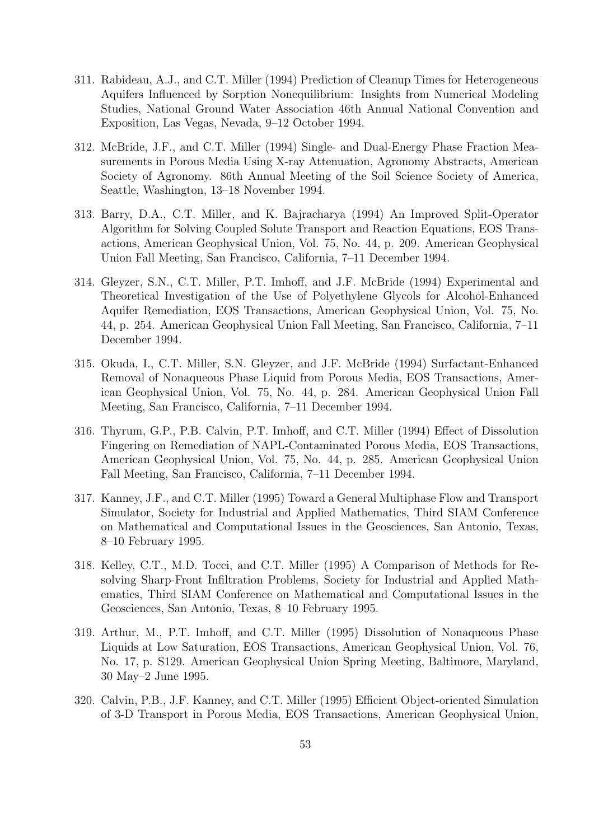- 311. Rabideau, A.J., and C.T. Miller (1994) Prediction of Cleanup Times for Heterogeneous Aquifers Influenced by Sorption Nonequilibrium: Insights from Numerical Modeling Studies, National Ground Water Association 46th Annual National Convention and Exposition, Las Vegas, Nevada, 9–12 October 1994.
- 312. McBride, J.F., and C.T. Miller (1994) Single- and Dual-Energy Phase Fraction Measurements in Porous Media Using X-ray Attenuation, Agronomy Abstracts, American Society of Agronomy. 86th Annual Meeting of the Soil Science Society of America, Seattle, Washington, 13–18 November 1994.
- 313. Barry, D.A., C.T. Miller, and K. Bajracharya (1994) An Improved Split-Operator Algorithm for Solving Coupled Solute Transport and Reaction Equations, EOS Transactions, American Geophysical Union, Vol. 75, No. 44, p. 209. American Geophysical Union Fall Meeting, San Francisco, California, 7–11 December 1994.
- 314. Gleyzer, S.N., C.T. Miller, P.T. Imhoff, and J.F. McBride (1994) Experimental and Theoretical Investigation of the Use of Polyethylene Glycols for Alcohol-Enhanced Aquifer Remediation, EOS Transactions, American Geophysical Union, Vol. 75, No. 44, p. 254. American Geophysical Union Fall Meeting, San Francisco, California, 7–11 December 1994.
- 315. Okuda, I., C.T. Miller, S.N. Gleyzer, and J.F. McBride (1994) Surfactant-Enhanced Removal of Nonaqueous Phase Liquid from Porous Media, EOS Transactions, American Geophysical Union, Vol. 75, No. 44, p. 284. American Geophysical Union Fall Meeting, San Francisco, California, 7–11 December 1994.
- 316. Thyrum, G.P., P.B. Calvin, P.T. Imhoff, and C.T. Miller (1994) Effect of Dissolution Fingering on Remediation of NAPL-Contaminated Porous Media, EOS Transactions, American Geophysical Union, Vol. 75, No. 44, p. 285. American Geophysical Union Fall Meeting, San Francisco, California, 7–11 December 1994.
- 317. Kanney, J.F., and C.T. Miller (1995) Toward a General Multiphase Flow and Transport Simulator, Society for Industrial and Applied Mathematics, Third SIAM Conference on Mathematical and Computational Issues in the Geosciences, San Antonio, Texas, 8–10 February 1995.
- 318. Kelley, C.T., M.D. Tocci, and C.T. Miller (1995) A Comparison of Methods for Resolving Sharp-Front Infiltration Problems, Society for Industrial and Applied Mathematics, Third SIAM Conference on Mathematical and Computational Issues in the Geosciences, San Antonio, Texas, 8–10 February 1995.
- 319. Arthur, M., P.T. Imhoff, and C.T. Miller (1995) Dissolution of Nonaqueous Phase Liquids at Low Saturation, EOS Transactions, American Geophysical Union, Vol. 76, No. 17, p. S129. American Geophysical Union Spring Meeting, Baltimore, Maryland, 30 May–2 June 1995.
- 320. Calvin, P.B., J.F. Kanney, and C.T. Miller (1995) Efficient Object-oriented Simulation of 3-D Transport in Porous Media, EOS Transactions, American Geophysical Union,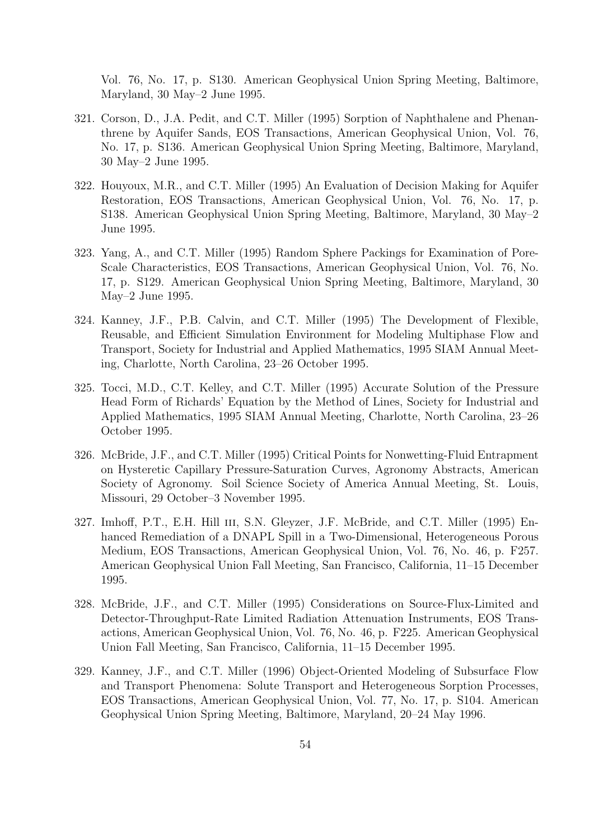Vol. 76, No. 17, p. S130. American Geophysical Union Spring Meeting, Baltimore, Maryland, 30 May–2 June 1995.

- 321. Corson, D., J.A. Pedit, and C.T. Miller (1995) Sorption of Naphthalene and Phenanthrene by Aquifer Sands, EOS Transactions, American Geophysical Union, Vol. 76, No. 17, p. S136. American Geophysical Union Spring Meeting, Baltimore, Maryland, 30 May–2 June 1995.
- 322. Houyoux, M.R., and C.T. Miller (1995) An Evaluation of Decision Making for Aquifer Restoration, EOS Transactions, American Geophysical Union, Vol. 76, No. 17, p. S138. American Geophysical Union Spring Meeting, Baltimore, Maryland, 30 May–2 June 1995.
- 323. Yang, A., and C.T. Miller (1995) Random Sphere Packings for Examination of Pore-Scale Characteristics, EOS Transactions, American Geophysical Union, Vol. 76, No. 17, p. S129. American Geophysical Union Spring Meeting, Baltimore, Maryland, 30 May–2 June 1995.
- 324. Kanney, J.F., P.B. Calvin, and C.T. Miller (1995) The Development of Flexible, Reusable, and Efficient Simulation Environment for Modeling Multiphase Flow and Transport, Society for Industrial and Applied Mathematics, 1995 SIAM Annual Meeting, Charlotte, North Carolina, 23–26 October 1995.
- 325. Tocci, M.D., C.T. Kelley, and C.T. Miller (1995) Accurate Solution of the Pressure Head Form of Richards' Equation by the Method of Lines, Society for Industrial and Applied Mathematics, 1995 SIAM Annual Meeting, Charlotte, North Carolina, 23–26 October 1995.
- 326. McBride, J.F., and C.T. Miller (1995) Critical Points for Nonwetting-Fluid Entrapment on Hysteretic Capillary Pressure-Saturation Curves, Agronomy Abstracts, American Society of Agronomy. Soil Science Society of America Annual Meeting, St. Louis, Missouri, 29 October–3 November 1995.
- 327. Imhoff, P.T., E.H. Hill III, S.N. Gleyzer, J.F. McBride, and C.T. Miller (1995) Enhanced Remediation of a DNAPL Spill in a Two-Dimensional, Heterogeneous Porous Medium, EOS Transactions, American Geophysical Union, Vol. 76, No. 46, p. F257. American Geophysical Union Fall Meeting, San Francisco, California, 11–15 December 1995.
- 328. McBride, J.F., and C.T. Miller (1995) Considerations on Source-Flux-Limited and Detector-Throughput-Rate Limited Radiation Attenuation Instruments, EOS Transactions, American Geophysical Union, Vol. 76, No. 46, p. F225. American Geophysical Union Fall Meeting, San Francisco, California, 11–15 December 1995.
- 329. Kanney, J.F., and C.T. Miller (1996) Object-Oriented Modeling of Subsurface Flow and Transport Phenomena: Solute Transport and Heterogeneous Sorption Processes, EOS Transactions, American Geophysical Union, Vol. 77, No. 17, p. S104. American Geophysical Union Spring Meeting, Baltimore, Maryland, 20–24 May 1996.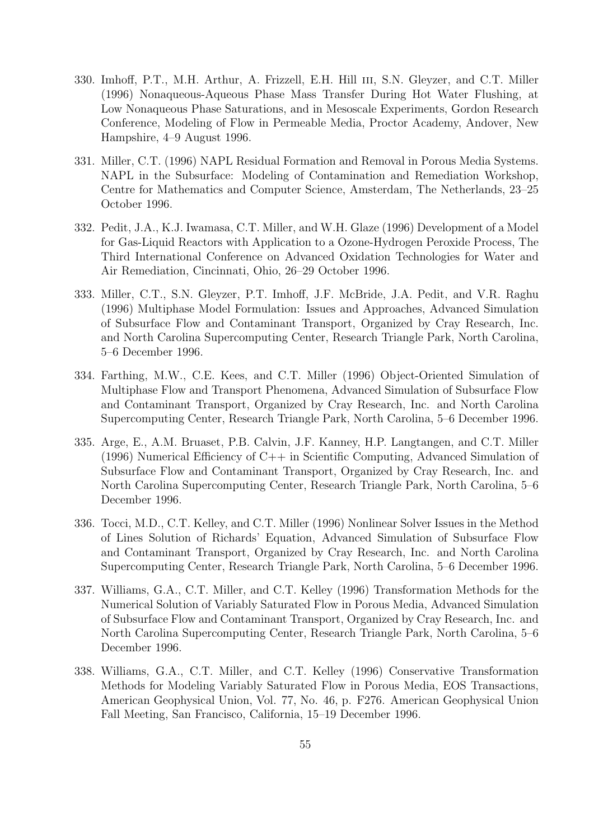- 330. Imhoff, P.T., M.H. Arthur, A. Frizzell, E.H. Hill iii, S.N. Gleyzer, and C.T. Miller (1996) Nonaqueous-Aqueous Phase Mass Transfer During Hot Water Flushing, at Low Nonaqueous Phase Saturations, and in Mesoscale Experiments, Gordon Research Conference, Modeling of Flow in Permeable Media, Proctor Academy, Andover, New Hampshire, 4–9 August 1996.
- 331. Miller, C.T. (1996) NAPL Residual Formation and Removal in Porous Media Systems. NAPL in the Subsurface: Modeling of Contamination and Remediation Workshop, Centre for Mathematics and Computer Science, Amsterdam, The Netherlands, 23–25 October 1996.
- 332. Pedit, J.A., K.J. Iwamasa, C.T. Miller, and W.H. Glaze (1996) Development of a Model for Gas-Liquid Reactors with Application to a Ozone-Hydrogen Peroxide Process, The Third International Conference on Advanced Oxidation Technologies for Water and Air Remediation, Cincinnati, Ohio, 26–29 October 1996.
- 333. Miller, C.T., S.N. Gleyzer, P.T. Imhoff, J.F. McBride, J.A. Pedit, and V.R. Raghu (1996) Multiphase Model Formulation: Issues and Approaches, Advanced Simulation of Subsurface Flow and Contaminant Transport, Organized by Cray Research, Inc. and North Carolina Supercomputing Center, Research Triangle Park, North Carolina, 5–6 December 1996.
- 334. Farthing, M.W., C.E. Kees, and C.T. Miller (1996) Object-Oriented Simulation of Multiphase Flow and Transport Phenomena, Advanced Simulation of Subsurface Flow and Contaminant Transport, Organized by Cray Research, Inc. and North Carolina Supercomputing Center, Research Triangle Park, North Carolina, 5–6 December 1996.
- 335. Arge, E., A.M. Bruaset, P.B. Calvin, J.F. Kanney, H.P. Langtangen, and C.T. Miller (1996) Numerical Efficiency of C++ in Scientific Computing, Advanced Simulation of Subsurface Flow and Contaminant Transport, Organized by Cray Research, Inc. and North Carolina Supercomputing Center, Research Triangle Park, North Carolina, 5–6 December 1996.
- 336. Tocci, M.D., C.T. Kelley, and C.T. Miller (1996) Nonlinear Solver Issues in the Method of Lines Solution of Richards' Equation, Advanced Simulation of Subsurface Flow and Contaminant Transport, Organized by Cray Research, Inc. and North Carolina Supercomputing Center, Research Triangle Park, North Carolina, 5–6 December 1996.
- 337. Williams, G.A., C.T. Miller, and C.T. Kelley (1996) Transformation Methods for the Numerical Solution of Variably Saturated Flow in Porous Media, Advanced Simulation of Subsurface Flow and Contaminant Transport, Organized by Cray Research, Inc. and North Carolina Supercomputing Center, Research Triangle Park, North Carolina, 5–6 December 1996.
- 338. Williams, G.A., C.T. Miller, and C.T. Kelley (1996) Conservative Transformation Methods for Modeling Variably Saturated Flow in Porous Media, EOS Transactions, American Geophysical Union, Vol. 77, No. 46, p. F276. American Geophysical Union Fall Meeting, San Francisco, California, 15–19 December 1996.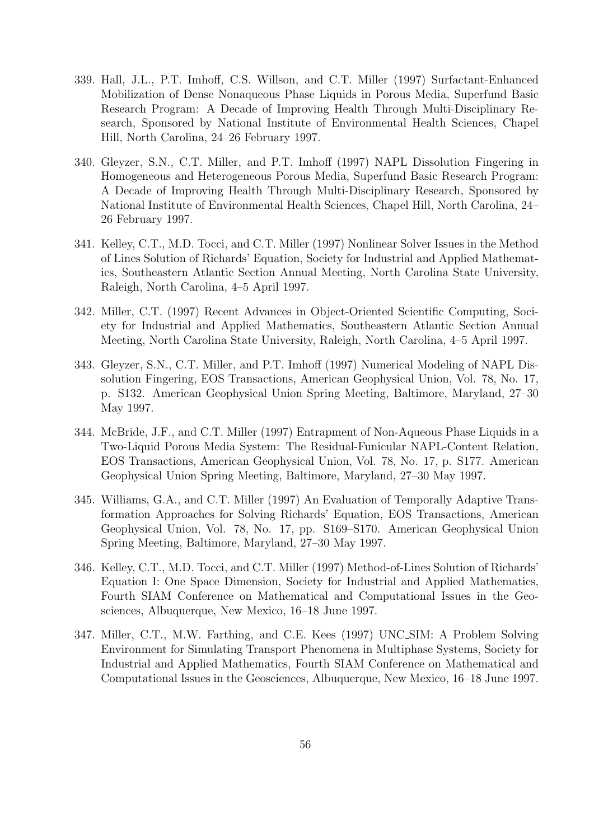- 339. Hall, J.L., P.T. Imhoff, C.S. Willson, and C.T. Miller (1997) Surfactant-Enhanced Mobilization of Dense Nonaqueous Phase Liquids in Porous Media, Superfund Basic Research Program: A Decade of Improving Health Through Multi-Disciplinary Research, Sponsored by National Institute of Environmental Health Sciences, Chapel Hill, North Carolina, 24–26 February 1997.
- 340. Gleyzer, S.N., C.T. Miller, and P.T. Imhoff (1997) NAPL Dissolution Fingering in Homogeneous and Heterogeneous Porous Media, Superfund Basic Research Program: A Decade of Improving Health Through Multi-Disciplinary Research, Sponsored by National Institute of Environmental Health Sciences, Chapel Hill, North Carolina, 24– 26 February 1997.
- 341. Kelley, C.T., M.D. Tocci, and C.T. Miller (1997) Nonlinear Solver Issues in the Method of Lines Solution of Richards' Equation, Society for Industrial and Applied Mathematics, Southeastern Atlantic Section Annual Meeting, North Carolina State University, Raleigh, North Carolina, 4–5 April 1997.
- 342. Miller, C.T. (1997) Recent Advances in Object-Oriented Scientific Computing, Society for Industrial and Applied Mathematics, Southeastern Atlantic Section Annual Meeting, North Carolina State University, Raleigh, North Carolina, 4–5 April 1997.
- 343. Gleyzer, S.N., C.T. Miller, and P.T. Imhoff (1997) Numerical Modeling of NAPL Dissolution Fingering, EOS Transactions, American Geophysical Union, Vol. 78, No. 17, p. S132. American Geophysical Union Spring Meeting, Baltimore, Maryland, 27–30 May 1997.
- 344. McBride, J.F., and C.T. Miller (1997) Entrapment of Non-Aqueous Phase Liquids in a Two-Liquid Porous Media System: The Residual-Funicular NAPL-Content Relation, EOS Transactions, American Geophysical Union, Vol. 78, No. 17, p. S177. American Geophysical Union Spring Meeting, Baltimore, Maryland, 27–30 May 1997.
- 345. Williams, G.A., and C.T. Miller (1997) An Evaluation of Temporally Adaptive Transformation Approaches for Solving Richards' Equation, EOS Transactions, American Geophysical Union, Vol. 78, No. 17, pp. S169–S170. American Geophysical Union Spring Meeting, Baltimore, Maryland, 27–30 May 1997.
- 346. Kelley, C.T., M.D. Tocci, and C.T. Miller (1997) Method-of-Lines Solution of Richards' Equation I: One Space Dimension, Society for Industrial and Applied Mathematics, Fourth SIAM Conference on Mathematical and Computational Issues in the Geosciences, Albuquerque, New Mexico, 16–18 June 1997.
- 347. Miller, C.T., M.W. Farthing, and C.E. Kees (1997) UNC SIM: A Problem Solving Environment for Simulating Transport Phenomena in Multiphase Systems, Society for Industrial and Applied Mathematics, Fourth SIAM Conference on Mathematical and Computational Issues in the Geosciences, Albuquerque, New Mexico, 16–18 June 1997.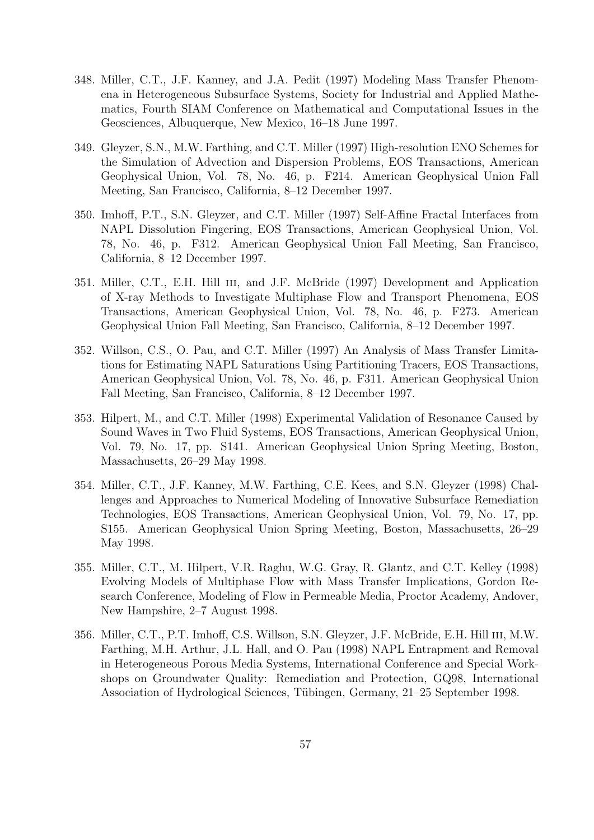- 348. Miller, C.T., J.F. Kanney, and J.A. Pedit (1997) Modeling Mass Transfer Phenomena in Heterogeneous Subsurface Systems, Society for Industrial and Applied Mathematics, Fourth SIAM Conference on Mathematical and Computational Issues in the Geosciences, Albuquerque, New Mexico, 16–18 June 1997.
- 349. Gleyzer, S.N., M.W. Farthing, and C.T. Miller (1997) High-resolution ENO Schemes for the Simulation of Advection and Dispersion Problems, EOS Transactions, American Geophysical Union, Vol. 78, No. 46, p. F214. American Geophysical Union Fall Meeting, San Francisco, California, 8–12 December 1997.
- 350. Imhoff, P.T., S.N. Gleyzer, and C.T. Miller (1997) Self-Affine Fractal Interfaces from NAPL Dissolution Fingering, EOS Transactions, American Geophysical Union, Vol. 78, No. 46, p. F312. American Geophysical Union Fall Meeting, San Francisco, California, 8–12 December 1997.
- 351. Miller, C.T., E.H. Hill iii, and J.F. McBride (1997) Development and Application of X-ray Methods to Investigate Multiphase Flow and Transport Phenomena, EOS Transactions, American Geophysical Union, Vol. 78, No. 46, p. F273. American Geophysical Union Fall Meeting, San Francisco, California, 8–12 December 1997.
- 352. Willson, C.S., O. Pau, and C.T. Miller (1997) An Analysis of Mass Transfer Limitations for Estimating NAPL Saturations Using Partitioning Tracers, EOS Transactions, American Geophysical Union, Vol. 78, No. 46, p. F311. American Geophysical Union Fall Meeting, San Francisco, California, 8–12 December 1997.
- 353. Hilpert, M., and C.T. Miller (1998) Experimental Validation of Resonance Caused by Sound Waves in Two Fluid Systems, EOS Transactions, American Geophysical Union, Vol. 79, No. 17, pp. S141. American Geophysical Union Spring Meeting, Boston, Massachusetts, 26–29 May 1998.
- 354. Miller, C.T., J.F. Kanney, M.W. Farthing, C.E. Kees, and S.N. Gleyzer (1998) Challenges and Approaches to Numerical Modeling of Innovative Subsurface Remediation Technologies, EOS Transactions, American Geophysical Union, Vol. 79, No. 17, pp. S155. American Geophysical Union Spring Meeting, Boston, Massachusetts, 26–29 May 1998.
- 355. Miller, C.T., M. Hilpert, V.R. Raghu, W.G. Gray, R. Glantz, and C.T. Kelley (1998) Evolving Models of Multiphase Flow with Mass Transfer Implications, Gordon Research Conference, Modeling of Flow in Permeable Media, Proctor Academy, Andover, New Hampshire, 2–7 August 1998.
- 356. Miller, C.T., P.T. Imhoff, C.S. Willson, S.N. Gleyzer, J.F. McBride, E.H. Hill iii, M.W. Farthing, M.H. Arthur, J.L. Hall, and O. Pau (1998) NAPL Entrapment and Removal in Heterogeneous Porous Media Systems, International Conference and Special Workshops on Groundwater Quality: Remediation and Protection, GQ98, International Association of Hydrological Sciences, Tübingen, Germany, 21–25 September 1998.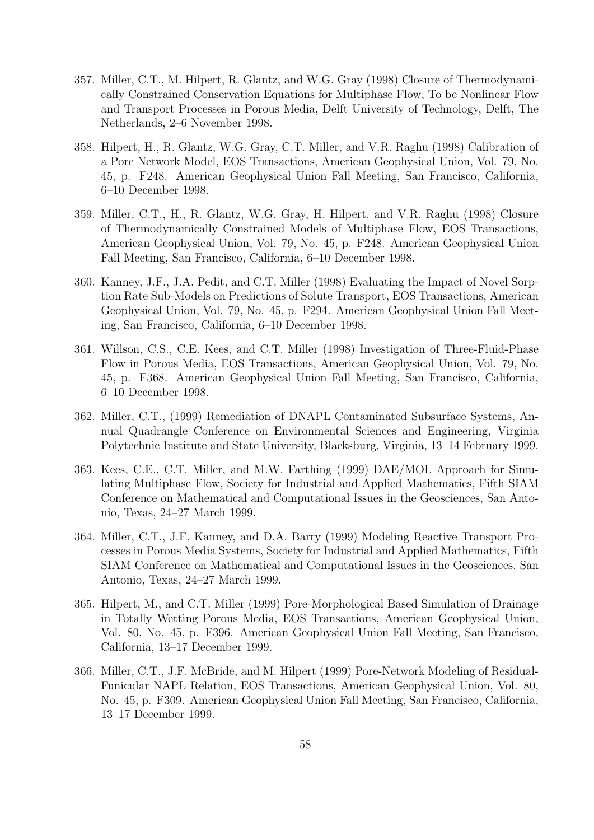- 357. Miller, C.T., M. Hilpert, R. Glantz, and W.G. Gray (1998) Closure of Thermodynamically Constrained Conservation Equations for Multiphase Flow, To be Nonlinear Flow and Transport Processes in Porous Media, Delft University of Technology, Delft, The Netherlands, 2–6 November 1998.
- 358. Hilpert, H., R. Glantz, W.G. Gray, C.T. Miller, and V.R. Raghu (1998) Calibration of a Pore Network Model, EOS Transactions, American Geophysical Union, Vol. 79, No. 45, p. F248. American Geophysical Union Fall Meeting, San Francisco, California, 6–10 December 1998.
- 359. Miller, C.T., H., R. Glantz, W.G. Gray, H. Hilpert, and V.R. Raghu (1998) Closure of Thermodynamically Constrained Models of Multiphase Flow, EOS Transactions, American Geophysical Union, Vol. 79, No. 45, p. F248. American Geophysical Union Fall Meeting, San Francisco, California, 6–10 December 1998.
- 360. Kanney, J.F., J.A. Pedit, and C.T. Miller (1998) Evaluating the Impact of Novel Sorption Rate Sub-Models on Predictions of Solute Transport, EOS Transactions, American Geophysical Union, Vol. 79, No. 45, p. F294. American Geophysical Union Fall Meeting, San Francisco, California, 6–10 December 1998.
- 361. Willson, C.S., C.E. Kees, and C.T. Miller (1998) Investigation of Three-Fluid-Phase Flow in Porous Media, EOS Transactions, American Geophysical Union, Vol. 79, No. 45, p. F368. American Geophysical Union Fall Meeting, San Francisco, California, 6–10 December 1998.
- 362. Miller, C.T., (1999) Remediation of DNAPL Contaminated Subsurface Systems, Annual Quadrangle Conference on Environmental Sciences and Engineering, Virginia Polytechnic Institute and State University, Blacksburg, Virginia, 13–14 February 1999.
- 363. Kees, C.E., C.T. Miller, and M.W. Farthing (1999) DAE/MOL Approach for Simulating Multiphase Flow, Society for Industrial and Applied Mathematics, Fifth SIAM Conference on Mathematical and Computational Issues in the Geosciences, San Antonio, Texas, 24–27 March 1999.
- 364. Miller, C.T., J.F. Kanney, and D.A. Barry (1999) Modeling Reactive Transport Processes in Porous Media Systems, Society for Industrial and Applied Mathematics, Fifth SIAM Conference on Mathematical and Computational Issues in the Geosciences, San Antonio, Texas, 24–27 March 1999.
- 365. Hilpert, M., and C.T. Miller (1999) Pore-Morphological Based Simulation of Drainage in Totally Wetting Porous Media, EOS Transactions, American Geophysical Union, Vol. 80, No. 45, p. F396. American Geophysical Union Fall Meeting, San Francisco, California, 13–17 December 1999.
- 366. Miller, C.T., J.F. McBride, and M. Hilpert (1999) Pore-Network Modeling of Residual-Funicular NAPL Relation, EOS Transactions, American Geophysical Union, Vol. 80, No. 45, p. F309. American Geophysical Union Fall Meeting, San Francisco, California, 13–17 December 1999.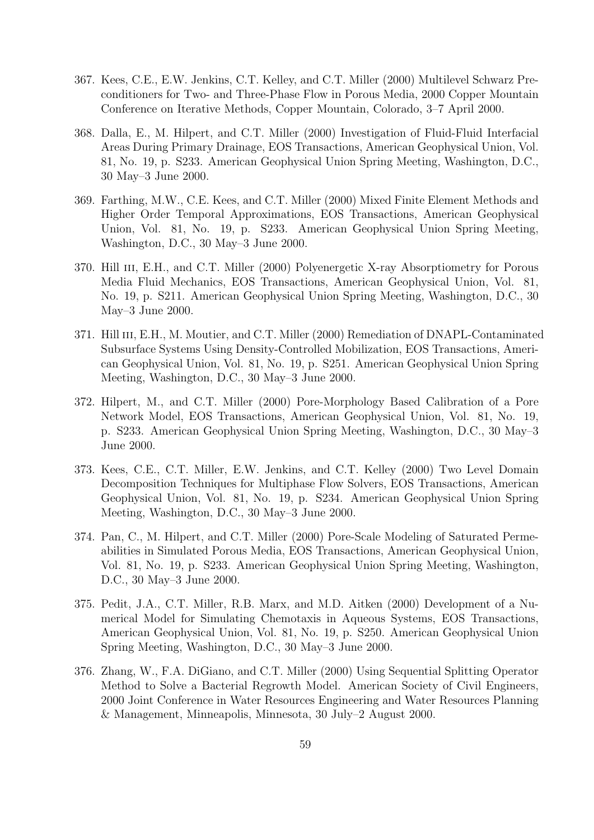- 367. Kees, C.E., E.W. Jenkins, C.T. Kelley, and C.T. Miller (2000) Multilevel Schwarz Preconditioners for Two- and Three-Phase Flow in Porous Media, 2000 Copper Mountain Conference on Iterative Methods, Copper Mountain, Colorado, 3–7 April 2000.
- 368. Dalla, E., M. Hilpert, and C.T. Miller (2000) Investigation of Fluid-Fluid Interfacial Areas During Primary Drainage, EOS Transactions, American Geophysical Union, Vol. 81, No. 19, p. S233. American Geophysical Union Spring Meeting, Washington, D.C., 30 May–3 June 2000.
- 369. Farthing, M.W., C.E. Kees, and C.T. Miller (2000) Mixed Finite Element Methods and Higher Order Temporal Approximations, EOS Transactions, American Geophysical Union, Vol. 81, No. 19, p. S233. American Geophysical Union Spring Meeting, Washington, D.C., 30 May–3 June 2000.
- 370. Hill III, E.H., and C.T. Miller (2000) Polyenergetic X-ray Absorptiometry for Porous Media Fluid Mechanics, EOS Transactions, American Geophysical Union, Vol. 81, No. 19, p. S211. American Geophysical Union Spring Meeting, Washington, D.C., 30 May–3 June 2000.
- 371. Hill III, E.H., M. Moutier, and C.T. Miller (2000) Remediation of DNAPL-Contaminated Subsurface Systems Using Density-Controlled Mobilization, EOS Transactions, American Geophysical Union, Vol. 81, No. 19, p. S251. American Geophysical Union Spring Meeting, Washington, D.C., 30 May–3 June 2000.
- 372. Hilpert, M., and C.T. Miller (2000) Pore-Morphology Based Calibration of a Pore Network Model, EOS Transactions, American Geophysical Union, Vol. 81, No. 19, p. S233. American Geophysical Union Spring Meeting, Washington, D.C., 30 May–3 June 2000.
- 373. Kees, C.E., C.T. Miller, E.W. Jenkins, and C.T. Kelley (2000) Two Level Domain Decomposition Techniques for Multiphase Flow Solvers, EOS Transactions, American Geophysical Union, Vol. 81, No. 19, p. S234. American Geophysical Union Spring Meeting, Washington, D.C., 30 May–3 June 2000.
- 374. Pan, C., M. Hilpert, and C.T. Miller (2000) Pore-Scale Modeling of Saturated Permeabilities in Simulated Porous Media, EOS Transactions, American Geophysical Union, Vol. 81, No. 19, p. S233. American Geophysical Union Spring Meeting, Washington, D.C., 30 May–3 June 2000.
- 375. Pedit, J.A., C.T. Miller, R.B. Marx, and M.D. Aitken (2000) Development of a Numerical Model for Simulating Chemotaxis in Aqueous Systems, EOS Transactions, American Geophysical Union, Vol. 81, No. 19, p. S250. American Geophysical Union Spring Meeting, Washington, D.C., 30 May–3 June 2000.
- 376. Zhang, W., F.A. DiGiano, and C.T. Miller (2000) Using Sequential Splitting Operator Method to Solve a Bacterial Regrowth Model. American Society of Civil Engineers, 2000 Joint Conference in Water Resources Engineering and Water Resources Planning & Management, Minneapolis, Minnesota, 30 July–2 August 2000.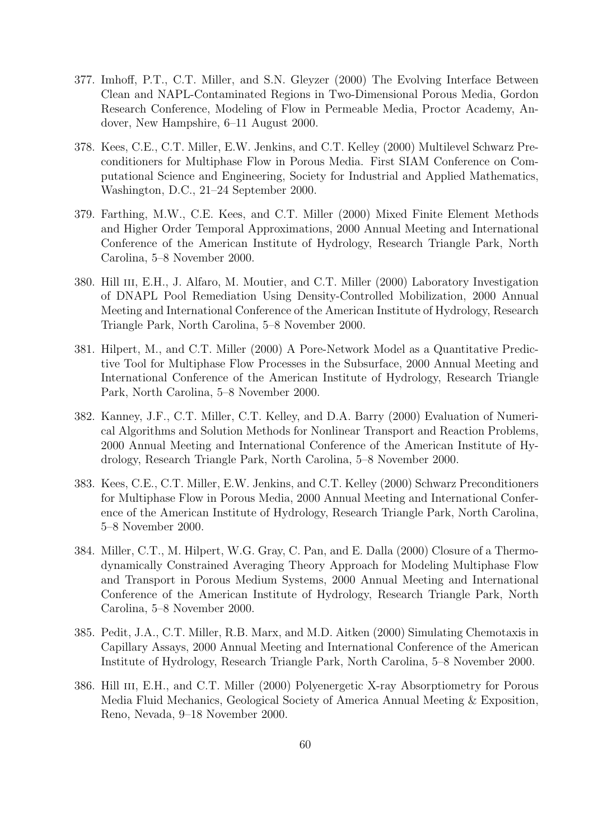- 377. Imhoff, P.T., C.T. Miller, and S.N. Gleyzer (2000) The Evolving Interface Between Clean and NAPL-Contaminated Regions in Two-Dimensional Porous Media, Gordon Research Conference, Modeling of Flow in Permeable Media, Proctor Academy, Andover, New Hampshire, 6–11 August 2000.
- 378. Kees, C.E., C.T. Miller, E.W. Jenkins, and C.T. Kelley (2000) Multilevel Schwarz Preconditioners for Multiphase Flow in Porous Media. First SIAM Conference on Computational Science and Engineering, Society for Industrial and Applied Mathematics, Washington, D.C., 21–24 September 2000.
- 379. Farthing, M.W., C.E. Kees, and C.T. Miller (2000) Mixed Finite Element Methods and Higher Order Temporal Approximations, 2000 Annual Meeting and International Conference of the American Institute of Hydrology, Research Triangle Park, North Carolina, 5–8 November 2000.
- 380. Hill III, E.H., J. Alfaro, M. Moutier, and C.T. Miller (2000) Laboratory Investigation of DNAPL Pool Remediation Using Density-Controlled Mobilization, 2000 Annual Meeting and International Conference of the American Institute of Hydrology, Research Triangle Park, North Carolina, 5–8 November 2000.
- 381. Hilpert, M., and C.T. Miller (2000) A Pore-Network Model as a Quantitative Predictive Tool for Multiphase Flow Processes in the Subsurface, 2000 Annual Meeting and International Conference of the American Institute of Hydrology, Research Triangle Park, North Carolina, 5–8 November 2000.
- 382. Kanney, J.F., C.T. Miller, C.T. Kelley, and D.A. Barry (2000) Evaluation of Numerical Algorithms and Solution Methods for Nonlinear Transport and Reaction Problems, 2000 Annual Meeting and International Conference of the American Institute of Hydrology, Research Triangle Park, North Carolina, 5–8 November 2000.
- 383. Kees, C.E., C.T. Miller, E.W. Jenkins, and C.T. Kelley (2000) Schwarz Preconditioners for Multiphase Flow in Porous Media, 2000 Annual Meeting and International Conference of the American Institute of Hydrology, Research Triangle Park, North Carolina, 5–8 November 2000.
- 384. Miller, C.T., M. Hilpert, W.G. Gray, C. Pan, and E. Dalla (2000) Closure of a Thermodynamically Constrained Averaging Theory Approach for Modeling Multiphase Flow and Transport in Porous Medium Systems, 2000 Annual Meeting and International Conference of the American Institute of Hydrology, Research Triangle Park, North Carolina, 5–8 November 2000.
- 385. Pedit, J.A., C.T. Miller, R.B. Marx, and M.D. Aitken (2000) Simulating Chemotaxis in Capillary Assays, 2000 Annual Meeting and International Conference of the American Institute of Hydrology, Research Triangle Park, North Carolina, 5–8 November 2000.
- 386. Hill III, E.H., and C.T. Miller (2000) Polyenergetic X-ray Absorptiometry for Porous Media Fluid Mechanics, Geological Society of America Annual Meeting & Exposition, Reno, Nevada, 9–18 November 2000.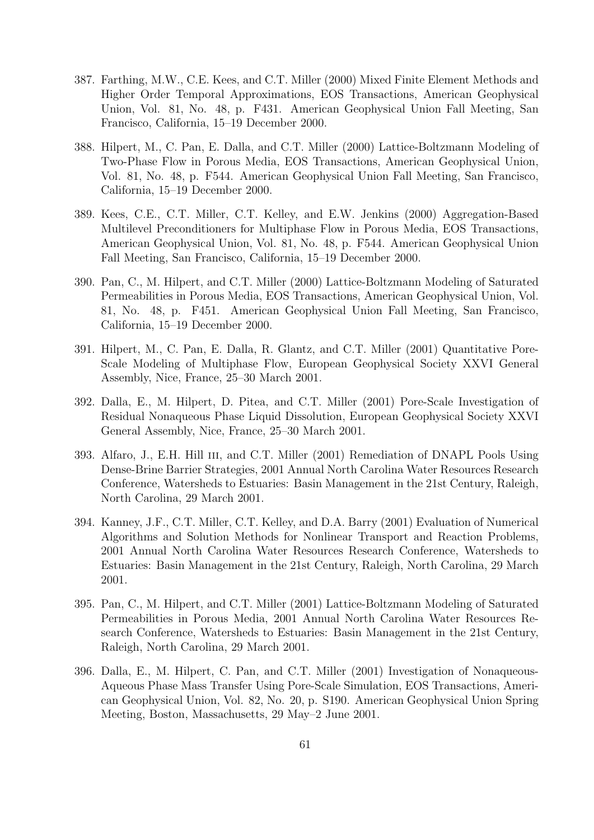- 387. Farthing, M.W., C.E. Kees, and C.T. Miller (2000) Mixed Finite Element Methods and Higher Order Temporal Approximations, EOS Transactions, American Geophysical Union, Vol. 81, No. 48, p. F431. American Geophysical Union Fall Meeting, San Francisco, California, 15–19 December 2000.
- 388. Hilpert, M., C. Pan, E. Dalla, and C.T. Miller (2000) Lattice-Boltzmann Modeling of Two-Phase Flow in Porous Media, EOS Transactions, American Geophysical Union, Vol. 81, No. 48, p. F544. American Geophysical Union Fall Meeting, San Francisco, California, 15–19 December 2000.
- 389. Kees, C.E., C.T. Miller, C.T. Kelley, and E.W. Jenkins (2000) Aggregation-Based Multilevel Preconditioners for Multiphase Flow in Porous Media, EOS Transactions, American Geophysical Union, Vol. 81, No. 48, p. F544. American Geophysical Union Fall Meeting, San Francisco, California, 15–19 December 2000.
- 390. Pan, C., M. Hilpert, and C.T. Miller (2000) Lattice-Boltzmann Modeling of Saturated Permeabilities in Porous Media, EOS Transactions, American Geophysical Union, Vol. 81, No. 48, p. F451. American Geophysical Union Fall Meeting, San Francisco, California, 15–19 December 2000.
- 391. Hilpert, M., C. Pan, E. Dalla, R. Glantz, and C.T. Miller (2001) Quantitative Pore-Scale Modeling of Multiphase Flow, European Geophysical Society XXVI General Assembly, Nice, France, 25–30 March 2001.
- 392. Dalla, E., M. Hilpert, D. Pitea, and C.T. Miller (2001) Pore-Scale Investigation of Residual Nonaqueous Phase Liquid Dissolution, European Geophysical Society XXVI General Assembly, Nice, France, 25–30 March 2001.
- 393. Alfaro, J., E.H. Hill iii, and C.T. Miller (2001) Remediation of DNAPL Pools Using Dense-Brine Barrier Strategies, 2001 Annual North Carolina Water Resources Research Conference, Watersheds to Estuaries: Basin Management in the 21st Century, Raleigh, North Carolina, 29 March 2001.
- 394. Kanney, J.F., C.T. Miller, C.T. Kelley, and D.A. Barry (2001) Evaluation of Numerical Algorithms and Solution Methods for Nonlinear Transport and Reaction Problems, 2001 Annual North Carolina Water Resources Research Conference, Watersheds to Estuaries: Basin Management in the 21st Century, Raleigh, North Carolina, 29 March 2001.
- 395. Pan, C., M. Hilpert, and C.T. Miller (2001) Lattice-Boltzmann Modeling of Saturated Permeabilities in Porous Media, 2001 Annual North Carolina Water Resources Research Conference, Watersheds to Estuaries: Basin Management in the 21st Century, Raleigh, North Carolina, 29 March 2001.
- 396. Dalla, E., M. Hilpert, C. Pan, and C.T. Miller (2001) Investigation of Nonaqueous-Aqueous Phase Mass Transfer Using Pore-Scale Simulation, EOS Transactions, American Geophysical Union, Vol. 82, No. 20, p. S190. American Geophysical Union Spring Meeting, Boston, Massachusetts, 29 May–2 June 2001.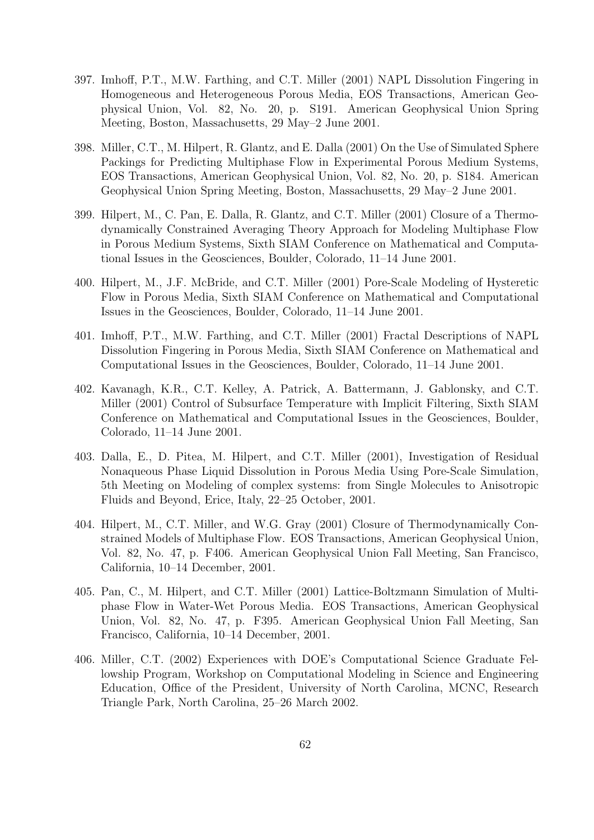- 397. Imhoff, P.T., M.W. Farthing, and C.T. Miller (2001) NAPL Dissolution Fingering in Homogeneous and Heterogeneous Porous Media, EOS Transactions, American Geophysical Union, Vol. 82, No. 20, p. S191. American Geophysical Union Spring Meeting, Boston, Massachusetts, 29 May–2 June 2001.
- 398. Miller, C.T., M. Hilpert, R. Glantz, and E. Dalla (2001) On the Use of Simulated Sphere Packings for Predicting Multiphase Flow in Experimental Porous Medium Systems, EOS Transactions, American Geophysical Union, Vol. 82, No. 20, p. S184. American Geophysical Union Spring Meeting, Boston, Massachusetts, 29 May–2 June 2001.
- 399. Hilpert, M., C. Pan, E. Dalla, R. Glantz, and C.T. Miller (2001) Closure of a Thermodynamically Constrained Averaging Theory Approach for Modeling Multiphase Flow in Porous Medium Systems, Sixth SIAM Conference on Mathematical and Computational Issues in the Geosciences, Boulder, Colorado, 11–14 June 2001.
- 400. Hilpert, M., J.F. McBride, and C.T. Miller (2001) Pore-Scale Modeling of Hysteretic Flow in Porous Media, Sixth SIAM Conference on Mathematical and Computational Issues in the Geosciences, Boulder, Colorado, 11–14 June 2001.
- 401. Imhoff, P.T., M.W. Farthing, and C.T. Miller (2001) Fractal Descriptions of NAPL Dissolution Fingering in Porous Media, Sixth SIAM Conference on Mathematical and Computational Issues in the Geosciences, Boulder, Colorado, 11–14 June 2001.
- 402. Kavanagh, K.R., C.T. Kelley, A. Patrick, A. Battermann, J. Gablonsky, and C.T. Miller (2001) Control of Subsurface Temperature with Implicit Filtering, Sixth SIAM Conference on Mathematical and Computational Issues in the Geosciences, Boulder, Colorado, 11–14 June 2001.
- 403. Dalla, E., D. Pitea, M. Hilpert, and C.T. Miller (2001), Investigation of Residual Nonaqueous Phase Liquid Dissolution in Porous Media Using Pore-Scale Simulation, 5th Meeting on Modeling of complex systems: from Single Molecules to Anisotropic Fluids and Beyond, Erice, Italy, 22–25 October, 2001.
- 404. Hilpert, M., C.T. Miller, and W.G. Gray (2001) Closure of Thermodynamically Constrained Models of Multiphase Flow. EOS Transactions, American Geophysical Union, Vol. 82, No. 47, p. F406. American Geophysical Union Fall Meeting, San Francisco, California, 10–14 December, 2001.
- 405. Pan, C., M. Hilpert, and C.T. Miller (2001) Lattice-Boltzmann Simulation of Multiphase Flow in Water-Wet Porous Media. EOS Transactions, American Geophysical Union, Vol. 82, No. 47, p. F395. American Geophysical Union Fall Meeting, San Francisco, California, 10–14 December, 2001.
- 406. Miller, C.T. (2002) Experiences with DOE's Computational Science Graduate Fellowship Program, Workshop on Computational Modeling in Science and Engineering Education, Office of the President, University of North Carolina, MCNC, Research Triangle Park, North Carolina, 25–26 March 2002.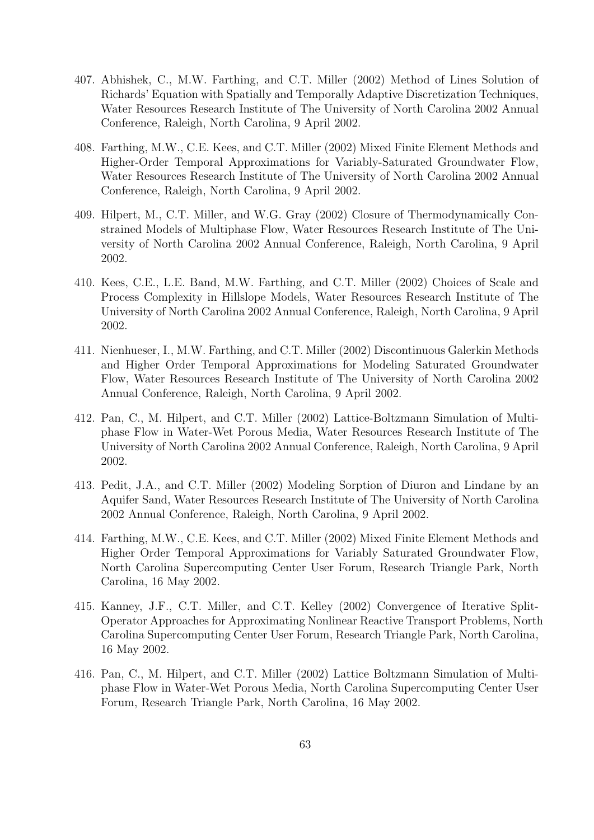- 407. Abhishek, C., M.W. Farthing, and C.T. Miller (2002) Method of Lines Solution of Richards' Equation with Spatially and Temporally Adaptive Discretization Techniques, Water Resources Research Institute of The University of North Carolina 2002 Annual Conference, Raleigh, North Carolina, 9 April 2002.
- 408. Farthing, M.W., C.E. Kees, and C.T. Miller (2002) Mixed Finite Element Methods and Higher-Order Temporal Approximations for Variably-Saturated Groundwater Flow, Water Resources Research Institute of The University of North Carolina 2002 Annual Conference, Raleigh, North Carolina, 9 April 2002.
- 409. Hilpert, M., C.T. Miller, and W.G. Gray (2002) Closure of Thermodynamically Constrained Models of Multiphase Flow, Water Resources Research Institute of The University of North Carolina 2002 Annual Conference, Raleigh, North Carolina, 9 April 2002.
- 410. Kees, C.E., L.E. Band, M.W. Farthing, and C.T. Miller (2002) Choices of Scale and Process Complexity in Hillslope Models, Water Resources Research Institute of The University of North Carolina 2002 Annual Conference, Raleigh, North Carolina, 9 April 2002.
- 411. Nienhueser, I., M.W. Farthing, and C.T. Miller (2002) Discontinuous Galerkin Methods and Higher Order Temporal Approximations for Modeling Saturated Groundwater Flow, Water Resources Research Institute of The University of North Carolina 2002 Annual Conference, Raleigh, North Carolina, 9 April 2002.
- 412. Pan, C., M. Hilpert, and C.T. Miller (2002) Lattice-Boltzmann Simulation of Multiphase Flow in Water-Wet Porous Media, Water Resources Research Institute of The University of North Carolina 2002 Annual Conference, Raleigh, North Carolina, 9 April 2002.
- 413. Pedit, J.A., and C.T. Miller (2002) Modeling Sorption of Diuron and Lindane by an Aquifer Sand, Water Resources Research Institute of The University of North Carolina 2002 Annual Conference, Raleigh, North Carolina, 9 April 2002.
- 414. Farthing, M.W., C.E. Kees, and C.T. Miller (2002) Mixed Finite Element Methods and Higher Order Temporal Approximations for Variably Saturated Groundwater Flow, North Carolina Supercomputing Center User Forum, Research Triangle Park, North Carolina, 16 May 2002.
- 415. Kanney, J.F., C.T. Miller, and C.T. Kelley (2002) Convergence of Iterative Split-Operator Approaches for Approximating Nonlinear Reactive Transport Problems, North Carolina Supercomputing Center User Forum, Research Triangle Park, North Carolina, 16 May 2002.
- 416. Pan, C., M. Hilpert, and C.T. Miller (2002) Lattice Boltzmann Simulation of Multiphase Flow in Water-Wet Porous Media, North Carolina Supercomputing Center User Forum, Research Triangle Park, North Carolina, 16 May 2002.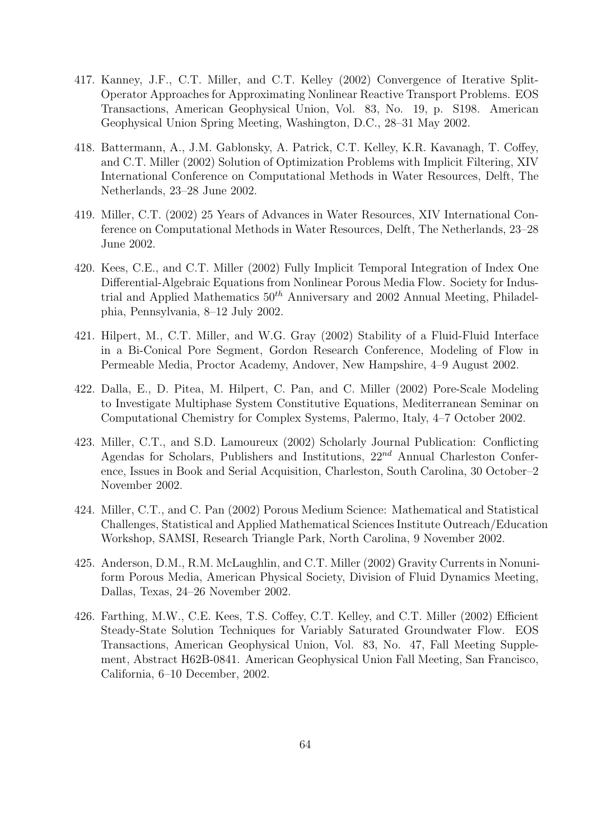- 417. Kanney, J.F., C.T. Miller, and C.T. Kelley (2002) Convergence of Iterative Split-Operator Approaches for Approximating Nonlinear Reactive Transport Problems. EOS Transactions, American Geophysical Union, Vol. 83, No. 19, p. S198. American Geophysical Union Spring Meeting, Washington, D.C., 28–31 May 2002.
- 418. Battermann, A., J.M. Gablonsky, A. Patrick, C.T. Kelley, K.R. Kavanagh, T. Coffey, and C.T. Miller (2002) Solution of Optimization Problems with Implicit Filtering, XIV International Conference on Computational Methods in Water Resources, Delft, The Netherlands, 23–28 June 2002.
- 419. Miller, C.T. (2002) 25 Years of Advances in Water Resources, XIV International Conference on Computational Methods in Water Resources, Delft, The Netherlands, 23–28 June 2002.
- 420. Kees, C.E., and C.T. Miller (2002) Fully Implicit Temporal Integration of Index One Differential-Algebraic Equations from Nonlinear Porous Media Flow. Society for Industrial and Applied Mathematics  $50<sup>th</sup>$  Anniversary and 2002 Annual Meeting, Philadelphia, Pennsylvania, 8–12 July 2002.
- 421. Hilpert, M., C.T. Miller, and W.G. Gray (2002) Stability of a Fluid-Fluid Interface in a Bi-Conical Pore Segment, Gordon Research Conference, Modeling of Flow in Permeable Media, Proctor Academy, Andover, New Hampshire, 4–9 August 2002.
- 422. Dalla, E., D. Pitea, M. Hilpert, C. Pan, and C. Miller (2002) Pore-Scale Modeling to Investigate Multiphase System Constitutive Equations, Mediterranean Seminar on Computational Chemistry for Complex Systems, Palermo, Italy, 4–7 October 2002.
- 423. Miller, C.T., and S.D. Lamoureux (2002) Scholarly Journal Publication: Conflicting Agendas for Scholars, Publishers and Institutions,  $22^{nd}$  Annual Charleston Conference, Issues in Book and Serial Acquisition, Charleston, South Carolina, 30 October–2 November 2002.
- 424. Miller, C.T., and C. Pan (2002) Porous Medium Science: Mathematical and Statistical Challenges, Statistical and Applied Mathematical Sciences Institute Outreach/Education Workshop, SAMSI, Research Triangle Park, North Carolina, 9 November 2002.
- 425. Anderson, D.M., R.M. McLaughlin, and C.T. Miller (2002) Gravity Currents in Nonuniform Porous Media, American Physical Society, Division of Fluid Dynamics Meeting, Dallas, Texas, 24–26 November 2002.
- 426. Farthing, M.W., C.E. Kees, T.S. Coffey, C.T. Kelley, and C.T. Miller (2002) Efficient Steady-State Solution Techniques for Variably Saturated Groundwater Flow. EOS Transactions, American Geophysical Union, Vol. 83, No. 47, Fall Meeting Supplement, Abstract H62B-0841. American Geophysical Union Fall Meeting, San Francisco, California, 6–10 December, 2002.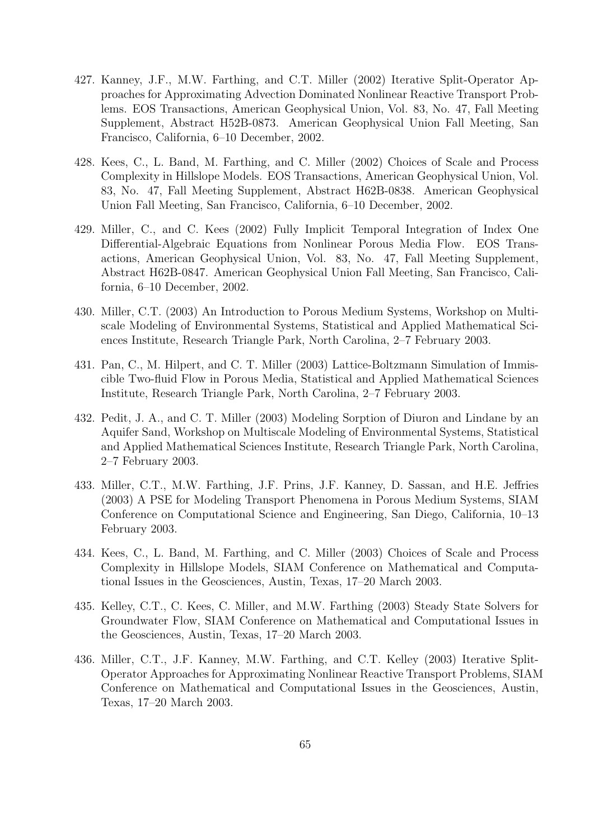- 427. Kanney, J.F., M.W. Farthing, and C.T. Miller (2002) Iterative Split-Operator Approaches for Approximating Advection Dominated Nonlinear Reactive Transport Problems. EOS Transactions, American Geophysical Union, Vol. 83, No. 47, Fall Meeting Supplement, Abstract H52B-0873. American Geophysical Union Fall Meeting, San Francisco, California, 6–10 December, 2002.
- 428. Kees, C., L. Band, M. Farthing, and C. Miller (2002) Choices of Scale and Process Complexity in Hillslope Models. EOS Transactions, American Geophysical Union, Vol. 83, No. 47, Fall Meeting Supplement, Abstract H62B-0838. American Geophysical Union Fall Meeting, San Francisco, California, 6–10 December, 2002.
- 429. Miller, C., and C. Kees (2002) Fully Implicit Temporal Integration of Index One Differential-Algebraic Equations from Nonlinear Porous Media Flow. EOS Transactions, American Geophysical Union, Vol. 83, No. 47, Fall Meeting Supplement, Abstract H62B-0847. American Geophysical Union Fall Meeting, San Francisco, California, 6–10 December, 2002.
- 430. Miller, C.T. (2003) An Introduction to Porous Medium Systems, Workshop on Multiscale Modeling of Environmental Systems, Statistical and Applied Mathematical Sciences Institute, Research Triangle Park, North Carolina, 2–7 February 2003.
- 431. Pan, C., M. Hilpert, and C. T. Miller (2003) Lattice-Boltzmann Simulation of Immiscible Two-fluid Flow in Porous Media, Statistical and Applied Mathematical Sciences Institute, Research Triangle Park, North Carolina, 2–7 February 2003.
- 432. Pedit, J. A., and C. T. Miller (2003) Modeling Sorption of Diuron and Lindane by an Aquifer Sand, Workshop on Multiscale Modeling of Environmental Systems, Statistical and Applied Mathematical Sciences Institute, Research Triangle Park, North Carolina, 2–7 February 2003.
- 433. Miller, C.T., M.W. Farthing, J.F. Prins, J.F. Kanney, D. Sassan, and H.E. Jeffries (2003) A PSE for Modeling Transport Phenomena in Porous Medium Systems, SIAM Conference on Computational Science and Engineering, San Diego, California, 10–13 February 2003.
- 434. Kees, C., L. Band, M. Farthing, and C. Miller (2003) Choices of Scale and Process Complexity in Hillslope Models, SIAM Conference on Mathematical and Computational Issues in the Geosciences, Austin, Texas, 17–20 March 2003.
- 435. Kelley, C.T., C. Kees, C. Miller, and M.W. Farthing (2003) Steady State Solvers for Groundwater Flow, SIAM Conference on Mathematical and Computational Issues in the Geosciences, Austin, Texas, 17–20 March 2003.
- 436. Miller, C.T., J.F. Kanney, M.W. Farthing, and C.T. Kelley (2003) Iterative Split-Operator Approaches for Approximating Nonlinear Reactive Transport Problems, SIAM Conference on Mathematical and Computational Issues in the Geosciences, Austin, Texas, 17–20 March 2003.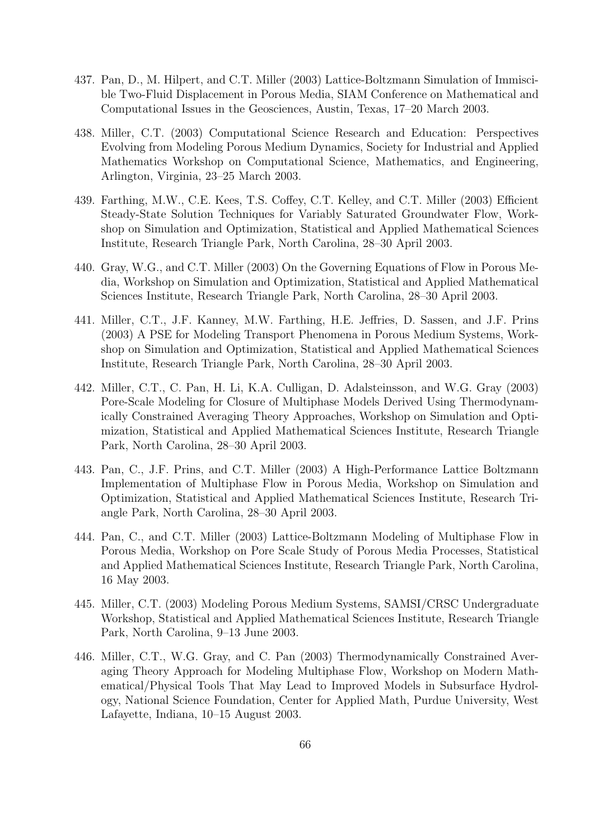- 437. Pan, D., M. Hilpert, and C.T. Miller (2003) Lattice-Boltzmann Simulation of Immiscible Two-Fluid Displacement in Porous Media, SIAM Conference on Mathematical and Computational Issues in the Geosciences, Austin, Texas, 17–20 March 2003.
- 438. Miller, C.T. (2003) Computational Science Research and Education: Perspectives Evolving from Modeling Porous Medium Dynamics, Society for Industrial and Applied Mathematics Workshop on Computational Science, Mathematics, and Engineering, Arlington, Virginia, 23–25 March 2003.
- 439. Farthing, M.W., C.E. Kees, T.S. Coffey, C.T. Kelley, and C.T. Miller (2003) Efficient Steady-State Solution Techniques for Variably Saturated Groundwater Flow, Workshop on Simulation and Optimization, Statistical and Applied Mathematical Sciences Institute, Research Triangle Park, North Carolina, 28–30 April 2003.
- 440. Gray, W.G., and C.T. Miller (2003) On the Governing Equations of Flow in Porous Media, Workshop on Simulation and Optimization, Statistical and Applied Mathematical Sciences Institute, Research Triangle Park, North Carolina, 28–30 April 2003.
- 441. Miller, C.T., J.F. Kanney, M.W. Farthing, H.E. Jeffries, D. Sassen, and J.F. Prins (2003) A PSE for Modeling Transport Phenomena in Porous Medium Systems, Workshop on Simulation and Optimization, Statistical and Applied Mathematical Sciences Institute, Research Triangle Park, North Carolina, 28–30 April 2003.
- 442. Miller, C.T., C. Pan, H. Li, K.A. Culligan, D. Adalsteinsson, and W.G. Gray (2003) Pore-Scale Modeling for Closure of Multiphase Models Derived Using Thermodynamically Constrained Averaging Theory Approaches, Workshop on Simulation and Optimization, Statistical and Applied Mathematical Sciences Institute, Research Triangle Park, North Carolina, 28–30 April 2003.
- 443. Pan, C., J.F. Prins, and C.T. Miller (2003) A High-Performance Lattice Boltzmann Implementation of Multiphase Flow in Porous Media, Workshop on Simulation and Optimization, Statistical and Applied Mathematical Sciences Institute, Research Triangle Park, North Carolina, 28–30 April 2003.
- 444. Pan, C., and C.T. Miller (2003) Lattice-Boltzmann Modeling of Multiphase Flow in Porous Media, Workshop on Pore Scale Study of Porous Media Processes, Statistical and Applied Mathematical Sciences Institute, Research Triangle Park, North Carolina, 16 May 2003.
- 445. Miller, C.T. (2003) Modeling Porous Medium Systems, SAMSI/CRSC Undergraduate Workshop, Statistical and Applied Mathematical Sciences Institute, Research Triangle Park, North Carolina, 9–13 June 2003.
- 446. Miller, C.T., W.G. Gray, and C. Pan (2003) Thermodynamically Constrained Averaging Theory Approach for Modeling Multiphase Flow, Workshop on Modern Mathematical/Physical Tools That May Lead to Improved Models in Subsurface Hydrology, National Science Foundation, Center for Applied Math, Purdue University, West Lafayette, Indiana, 10–15 August 2003.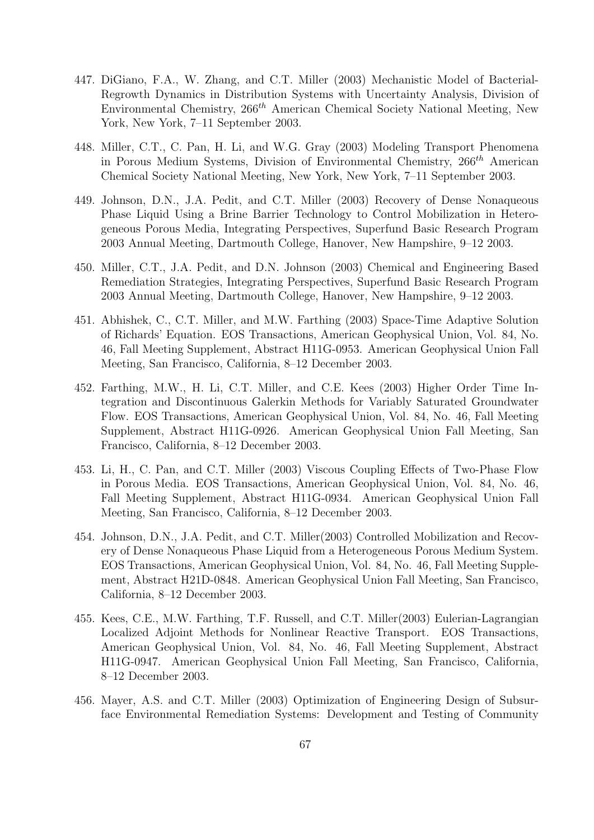- 447. DiGiano, F.A., W. Zhang, and C.T. Miller (2003) Mechanistic Model of Bacterial-Regrowth Dynamics in Distribution Systems with Uncertainty Analysis, Division of Environmental Chemistry,  $266^{th}$  American Chemical Society National Meeting, New York, New York, 7–11 September 2003.
- 448. Miller, C.T., C. Pan, H. Li, and W.G. Gray (2003) Modeling Transport Phenomena in Porous Medium Systems, Division of Environmental Chemistry, 266<sup>th</sup> American Chemical Society National Meeting, New York, New York, 7–11 September 2003.
- 449. Johnson, D.N., J.A. Pedit, and C.T. Miller (2003) Recovery of Dense Nonaqueous Phase Liquid Using a Brine Barrier Technology to Control Mobilization in Heterogeneous Porous Media, Integrating Perspectives, Superfund Basic Research Program 2003 Annual Meeting, Dartmouth College, Hanover, New Hampshire, 9–12 2003.
- 450. Miller, C.T., J.A. Pedit, and D.N. Johnson (2003) Chemical and Engineering Based Remediation Strategies, Integrating Perspectives, Superfund Basic Research Program 2003 Annual Meeting, Dartmouth College, Hanover, New Hampshire, 9–12 2003.
- 451. Abhishek, C., C.T. Miller, and M.W. Farthing (2003) Space-Time Adaptive Solution of Richards' Equation. EOS Transactions, American Geophysical Union, Vol. 84, No. 46, Fall Meeting Supplement, Abstract H11G-0953. American Geophysical Union Fall Meeting, San Francisco, California, 8–12 December 2003.
- 452. Farthing, M.W., H. Li, C.T. Miller, and C.E. Kees (2003) Higher Order Time Integration and Discontinuous Galerkin Methods for Variably Saturated Groundwater Flow. EOS Transactions, American Geophysical Union, Vol. 84, No. 46, Fall Meeting Supplement, Abstract H11G-0926. American Geophysical Union Fall Meeting, San Francisco, California, 8–12 December 2003.
- 453. Li, H., C. Pan, and C.T. Miller (2003) Viscous Coupling Effects of Two-Phase Flow in Porous Media. EOS Transactions, American Geophysical Union, Vol. 84, No. 46, Fall Meeting Supplement, Abstract H11G-0934. American Geophysical Union Fall Meeting, San Francisco, California, 8–12 December 2003.
- 454. Johnson, D.N., J.A. Pedit, and C.T. Miller(2003) Controlled Mobilization and Recovery of Dense Nonaqueous Phase Liquid from a Heterogeneous Porous Medium System. EOS Transactions, American Geophysical Union, Vol. 84, No. 46, Fall Meeting Supplement, Abstract H21D-0848. American Geophysical Union Fall Meeting, San Francisco, California, 8–12 December 2003.
- 455. Kees, C.E., M.W. Farthing, T.F. Russell, and C.T. Miller(2003) Eulerian-Lagrangian Localized Adjoint Methods for Nonlinear Reactive Transport. EOS Transactions, American Geophysical Union, Vol. 84, No. 46, Fall Meeting Supplement, Abstract H11G-0947. American Geophysical Union Fall Meeting, San Francisco, California, 8–12 December 2003.
- 456. Mayer, A.S. and C.T. Miller (2003) Optimization of Engineering Design of Subsurface Environmental Remediation Systems: Development and Testing of Community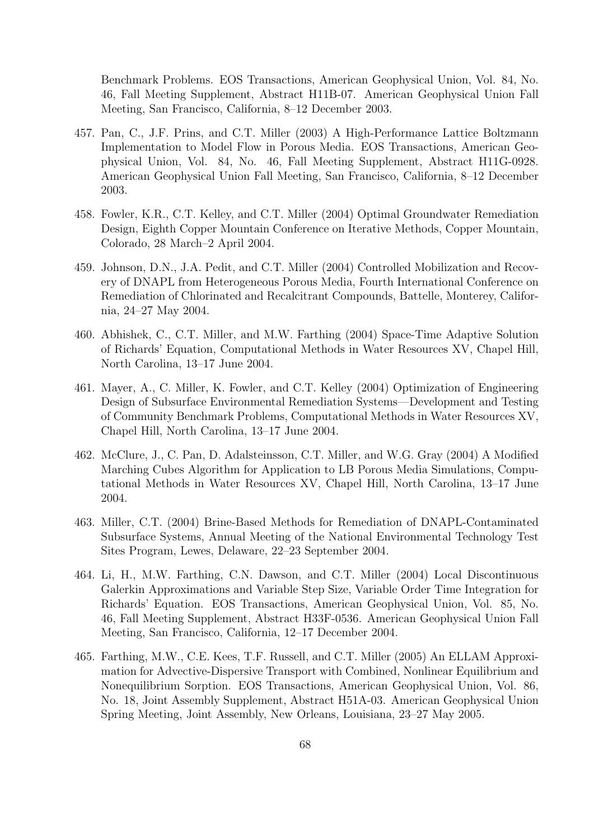Benchmark Problems. EOS Transactions, American Geophysical Union, Vol. 84, No. 46, Fall Meeting Supplement, Abstract H11B-07. American Geophysical Union Fall Meeting, San Francisco, California, 8–12 December 2003.

- 457. Pan, C., J.F. Prins, and C.T. Miller (2003) A High-Performance Lattice Boltzmann Implementation to Model Flow in Porous Media. EOS Transactions, American Geophysical Union, Vol. 84, No. 46, Fall Meeting Supplement, Abstract H11G-0928. American Geophysical Union Fall Meeting, San Francisco, California, 8–12 December 2003.
- 458. Fowler, K.R., C.T. Kelley, and C.T. Miller (2004) Optimal Groundwater Remediation Design, Eighth Copper Mountain Conference on Iterative Methods, Copper Mountain, Colorado, 28 March–2 April 2004.
- 459. Johnson, D.N., J.A. Pedit, and C.T. Miller (2004) Controlled Mobilization and Recovery of DNAPL from Heterogeneous Porous Media, Fourth International Conference on Remediation of Chlorinated and Recalcitrant Compounds, Battelle, Monterey, California, 24–27 May 2004.
- 460. Abhishek, C., C.T. Miller, and M.W. Farthing (2004) Space-Time Adaptive Solution of Richards' Equation, Computational Methods in Water Resources XV, Chapel Hill, North Carolina, 13–17 June 2004.
- 461. Mayer, A., C. Miller, K. Fowler, and C.T. Kelley (2004) Optimization of Engineering Design of Subsurface Environmental Remediation Systems—Development and Testing of Community Benchmark Problems, Computational Methods in Water Resources XV, Chapel Hill, North Carolina, 13–17 June 2004.
- 462. McClure, J., C. Pan, D. Adalsteinsson, C.T. Miller, and W.G. Gray (2004) A Modified Marching Cubes Algorithm for Application to LB Porous Media Simulations, Computational Methods in Water Resources XV, Chapel Hill, North Carolina, 13–17 June 2004.
- 463. Miller, C.T. (2004) Brine-Based Methods for Remediation of DNAPL-Contaminated Subsurface Systems, Annual Meeting of the National Environmental Technology Test Sites Program, Lewes, Delaware, 22–23 September 2004.
- 464. Li, H., M.W. Farthing, C.N. Dawson, and C.T. Miller (2004) Local Discontinuous Galerkin Approximations and Variable Step Size, Variable Order Time Integration for Richards' Equation. EOS Transactions, American Geophysical Union, Vol. 85, No. 46, Fall Meeting Supplement, Abstract H33F-0536. American Geophysical Union Fall Meeting, San Francisco, California, 12–17 December 2004.
- 465. Farthing, M.W., C.E. Kees, T.F. Russell, and C.T. Miller (2005) An ELLAM Approximation for Advective-Dispersive Transport with Combined, Nonlinear Equilibrium and Nonequilibrium Sorption. EOS Transactions, American Geophysical Union, Vol. 86, No. 18, Joint Assembly Supplement, Abstract H51A-03. American Geophysical Union Spring Meeting, Joint Assembly, New Orleans, Louisiana, 23–27 May 2005.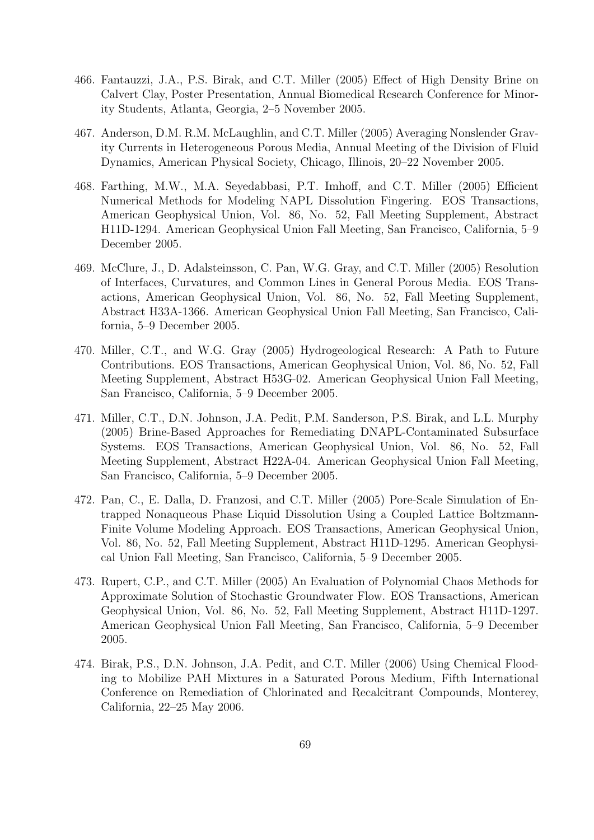- 466. Fantauzzi, J.A., P.S. Birak, and C.T. Miller (2005) Effect of High Density Brine on Calvert Clay, Poster Presentation, Annual Biomedical Research Conference for Minority Students, Atlanta, Georgia, 2–5 November 2005.
- 467. Anderson, D.M. R.M. McLaughlin, and C.T. Miller (2005) Averaging Nonslender Gravity Currents in Heterogeneous Porous Media, Annual Meeting of the Division of Fluid Dynamics, American Physical Society, Chicago, Illinois, 20–22 November 2005.
- 468. Farthing, M.W., M.A. Seyedabbasi, P.T. Imhoff, and C.T. Miller (2005) Efficient Numerical Methods for Modeling NAPL Dissolution Fingering. EOS Transactions, American Geophysical Union, Vol. 86, No. 52, Fall Meeting Supplement, Abstract H11D-1294. American Geophysical Union Fall Meeting, San Francisco, California, 5–9 December 2005.
- 469. McClure, J., D. Adalsteinsson, C. Pan, W.G. Gray, and C.T. Miller (2005) Resolution of Interfaces, Curvatures, and Common Lines in General Porous Media. EOS Transactions, American Geophysical Union, Vol. 86, No. 52, Fall Meeting Supplement, Abstract H33A-1366. American Geophysical Union Fall Meeting, San Francisco, California, 5–9 December 2005.
- 470. Miller, C.T., and W.G. Gray (2005) Hydrogeological Research: A Path to Future Contributions. EOS Transactions, American Geophysical Union, Vol. 86, No. 52, Fall Meeting Supplement, Abstract H53G-02. American Geophysical Union Fall Meeting, San Francisco, California, 5–9 December 2005.
- 471. Miller, C.T., D.N. Johnson, J.A. Pedit, P.M. Sanderson, P.S. Birak, and L.L. Murphy (2005) Brine-Based Approaches for Remediating DNAPL-Contaminated Subsurface Systems. EOS Transactions, American Geophysical Union, Vol. 86, No. 52, Fall Meeting Supplement, Abstract H22A-04. American Geophysical Union Fall Meeting, San Francisco, California, 5–9 December 2005.
- 472. Pan, C., E. Dalla, D. Franzosi, and C.T. Miller (2005) Pore-Scale Simulation of Entrapped Nonaqueous Phase Liquid Dissolution Using a Coupled Lattice Boltzmann-Finite Volume Modeling Approach. EOS Transactions, American Geophysical Union, Vol. 86, No. 52, Fall Meeting Supplement, Abstract H11D-1295. American Geophysical Union Fall Meeting, San Francisco, California, 5–9 December 2005.
- 473. Rupert, C.P., and C.T. Miller (2005) An Evaluation of Polynomial Chaos Methods for Approximate Solution of Stochastic Groundwater Flow. EOS Transactions, American Geophysical Union, Vol. 86, No. 52, Fall Meeting Supplement, Abstract H11D-1297. American Geophysical Union Fall Meeting, San Francisco, California, 5–9 December 2005.
- 474. Birak, P.S., D.N. Johnson, J.A. Pedit, and C.T. Miller (2006) Using Chemical Flooding to Mobilize PAH Mixtures in a Saturated Porous Medium, Fifth International Conference on Remediation of Chlorinated and Recalcitrant Compounds, Monterey, California, 22–25 May 2006.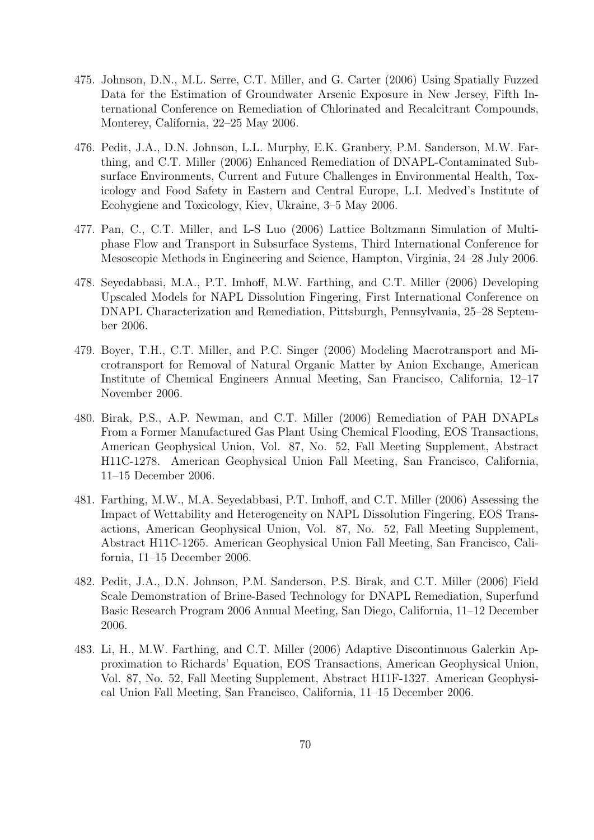- 475. Johnson, D.N., M.L. Serre, C.T. Miller, and G. Carter (2006) Using Spatially Fuzzed Data for the Estimation of Groundwater Arsenic Exposure in New Jersey, Fifth International Conference on Remediation of Chlorinated and Recalcitrant Compounds, Monterey, California, 22–25 May 2006.
- 476. Pedit, J.A., D.N. Johnson, L.L. Murphy, E.K. Granbery, P.M. Sanderson, M.W. Farthing, and C.T. Miller (2006) Enhanced Remediation of DNAPL-Contaminated Subsurface Environments, Current and Future Challenges in Environmental Health, Toxicology and Food Safety in Eastern and Central Europe, L.I. Medved's Institute of Ecohygiene and Toxicology, Kiev, Ukraine, 3–5 May 2006.
- 477. Pan, C., C.T. Miller, and L-S Luo (2006) Lattice Boltzmann Simulation of Multiphase Flow and Transport in Subsurface Systems, Third International Conference for Mesoscopic Methods in Engineering and Science, Hampton, Virginia, 24–28 July 2006.
- 478. Seyedabbasi, M.A., P.T. Imhoff, M.W. Farthing, and C.T. Miller (2006) Developing Upscaled Models for NAPL Dissolution Fingering, First International Conference on DNAPL Characterization and Remediation, Pittsburgh, Pennsylvania, 25–28 September 2006.
- 479. Boyer, T.H., C.T. Miller, and P.C. Singer (2006) Modeling Macrotransport and Microtransport for Removal of Natural Organic Matter by Anion Exchange, American Institute of Chemical Engineers Annual Meeting, San Francisco, California, 12–17 November 2006.
- 480. Birak, P.S., A.P. Newman, and C.T. Miller (2006) Remediation of PAH DNAPLs From a Former Manufactured Gas Plant Using Chemical Flooding, EOS Transactions, American Geophysical Union, Vol. 87, No. 52, Fall Meeting Supplement, Abstract H11C-1278. American Geophysical Union Fall Meeting, San Francisco, California, 11–15 December 2006.
- 481. Farthing, M.W., M.A. Seyedabbasi, P.T. Imhoff, and C.T. Miller (2006) Assessing the Impact of Wettability and Heterogeneity on NAPL Dissolution Fingering, EOS Transactions, American Geophysical Union, Vol. 87, No. 52, Fall Meeting Supplement, Abstract H11C-1265. American Geophysical Union Fall Meeting, San Francisco, California, 11–15 December 2006.
- 482. Pedit, J.A., D.N. Johnson, P.M. Sanderson, P.S. Birak, and C.T. Miller (2006) Field Scale Demonstration of Brine-Based Technology for DNAPL Remediation, Superfund Basic Research Program 2006 Annual Meeting, San Diego, California, 11–12 December 2006.
- 483. Li, H., M.W. Farthing, and C.T. Miller (2006) Adaptive Discontinuous Galerkin Approximation to Richards' Equation, EOS Transactions, American Geophysical Union, Vol. 87, No. 52, Fall Meeting Supplement, Abstract H11F-1327. American Geophysical Union Fall Meeting, San Francisco, California, 11–15 December 2006.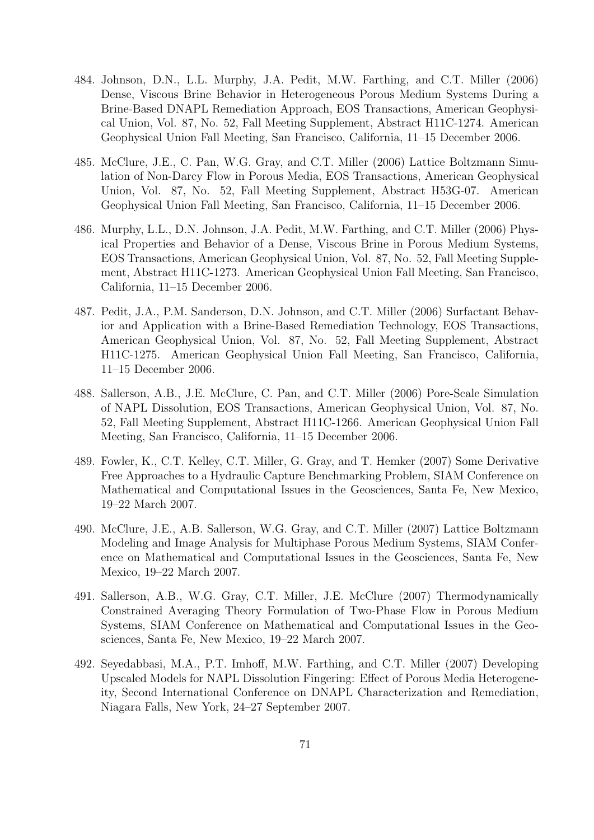- 484. Johnson, D.N., L.L. Murphy, J.A. Pedit, M.W. Farthing, and C.T. Miller (2006) Dense, Viscous Brine Behavior in Heterogeneous Porous Medium Systems During a Brine-Based DNAPL Remediation Approach, EOS Transactions, American Geophysical Union, Vol. 87, No. 52, Fall Meeting Supplement, Abstract H11C-1274. American Geophysical Union Fall Meeting, San Francisco, California, 11–15 December 2006.
- 485. McClure, J.E., C. Pan, W.G. Gray, and C.T. Miller (2006) Lattice Boltzmann Simulation of Non-Darcy Flow in Porous Media, EOS Transactions, American Geophysical Union, Vol. 87, No. 52, Fall Meeting Supplement, Abstract H53G-07. American Geophysical Union Fall Meeting, San Francisco, California, 11–15 December 2006.
- 486. Murphy, L.L., D.N. Johnson, J.A. Pedit, M.W. Farthing, and C.T. Miller (2006) Physical Properties and Behavior of a Dense, Viscous Brine in Porous Medium Systems, EOS Transactions, American Geophysical Union, Vol. 87, No. 52, Fall Meeting Supplement, Abstract H11C-1273. American Geophysical Union Fall Meeting, San Francisco, California, 11–15 December 2006.
- 487. Pedit, J.A., P.M. Sanderson, D.N. Johnson, and C.T. Miller (2006) Surfactant Behavior and Application with a Brine-Based Remediation Technology, EOS Transactions, American Geophysical Union, Vol. 87, No. 52, Fall Meeting Supplement, Abstract H11C-1275. American Geophysical Union Fall Meeting, San Francisco, California, 11–15 December 2006.
- 488. Sallerson, A.B., J.E. McClure, C. Pan, and C.T. Miller (2006) Pore-Scale Simulation of NAPL Dissolution, EOS Transactions, American Geophysical Union, Vol. 87, No. 52, Fall Meeting Supplement, Abstract H11C-1266. American Geophysical Union Fall Meeting, San Francisco, California, 11–15 December 2006.
- 489. Fowler, K., C.T. Kelley, C.T. Miller, G. Gray, and T. Hemker (2007) Some Derivative Free Approaches to a Hydraulic Capture Benchmarking Problem, SIAM Conference on Mathematical and Computational Issues in the Geosciences, Santa Fe, New Mexico, 19–22 March 2007.
- 490. McClure, J.E., A.B. Sallerson, W.G. Gray, and C.T. Miller (2007) Lattice Boltzmann Modeling and Image Analysis for Multiphase Porous Medium Systems, SIAM Conference on Mathematical and Computational Issues in the Geosciences, Santa Fe, New Mexico, 19–22 March 2007.
- 491. Sallerson, A.B., W.G. Gray, C.T. Miller, J.E. McClure (2007) Thermodynamically Constrained Averaging Theory Formulation of Two-Phase Flow in Porous Medium Systems, SIAM Conference on Mathematical and Computational Issues in the Geosciences, Santa Fe, New Mexico, 19–22 March 2007.
- 492. Seyedabbasi, M.A., P.T. Imhoff, M.W. Farthing, and C.T. Miller (2007) Developing Upscaled Models for NAPL Dissolution Fingering: Effect of Porous Media Heterogeneity, Second International Conference on DNAPL Characterization and Remediation, Niagara Falls, New York, 24–27 September 2007.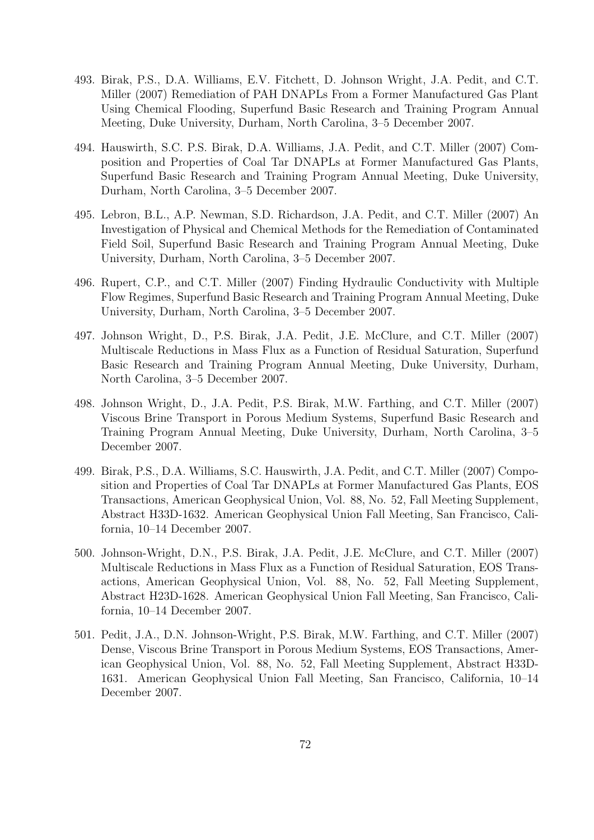- 493. Birak, P.S., D.A. Williams, E.V. Fitchett, D. Johnson Wright, J.A. Pedit, and C.T. Miller (2007) Remediation of PAH DNAPLs From a Former Manufactured Gas Plant Using Chemical Flooding, Superfund Basic Research and Training Program Annual Meeting, Duke University, Durham, North Carolina, 3–5 December 2007.
- 494. Hauswirth, S.C. P.S. Birak, D.A. Williams, J.A. Pedit, and C.T. Miller (2007) Composition and Properties of Coal Tar DNAPLs at Former Manufactured Gas Plants, Superfund Basic Research and Training Program Annual Meeting, Duke University, Durham, North Carolina, 3–5 December 2007.
- 495. Lebron, B.L., A.P. Newman, S.D. Richardson, J.A. Pedit, and C.T. Miller (2007) An Investigation of Physical and Chemical Methods for the Remediation of Contaminated Field Soil, Superfund Basic Research and Training Program Annual Meeting, Duke University, Durham, North Carolina, 3–5 December 2007.
- 496. Rupert, C.P., and C.T. Miller (2007) Finding Hydraulic Conductivity with Multiple Flow Regimes, Superfund Basic Research and Training Program Annual Meeting, Duke University, Durham, North Carolina, 3–5 December 2007.
- 497. Johnson Wright, D., P.S. Birak, J.A. Pedit, J.E. McClure, and C.T. Miller (2007) Multiscale Reductions in Mass Flux as a Function of Residual Saturation, Superfund Basic Research and Training Program Annual Meeting, Duke University, Durham, North Carolina, 3–5 December 2007.
- 498. Johnson Wright, D., J.A. Pedit, P.S. Birak, M.W. Farthing, and C.T. Miller (2007) Viscous Brine Transport in Porous Medium Systems, Superfund Basic Research and Training Program Annual Meeting, Duke University, Durham, North Carolina, 3–5 December 2007.
- 499. Birak, P.S., D.A. Williams, S.C. Hauswirth, J.A. Pedit, and C.T. Miller (2007) Composition and Properties of Coal Tar DNAPLs at Former Manufactured Gas Plants, EOS Transactions, American Geophysical Union, Vol. 88, No. 52, Fall Meeting Supplement, Abstract H33D-1632. American Geophysical Union Fall Meeting, San Francisco, California, 10–14 December 2007.
- 500. Johnson-Wright, D.N., P.S. Birak, J.A. Pedit, J.E. McClure, and C.T. Miller (2007) Multiscale Reductions in Mass Flux as a Function of Residual Saturation, EOS Transactions, American Geophysical Union, Vol. 88, No. 52, Fall Meeting Supplement, Abstract H23D-1628. American Geophysical Union Fall Meeting, San Francisco, California, 10–14 December 2007.
- 501. Pedit, J.A., D.N. Johnson-Wright, P.S. Birak, M.W. Farthing, and C.T. Miller (2007) Dense, Viscous Brine Transport in Porous Medium Systems, EOS Transactions, American Geophysical Union, Vol. 88, No. 52, Fall Meeting Supplement, Abstract H33D-1631. American Geophysical Union Fall Meeting, San Francisco, California, 10–14 December 2007.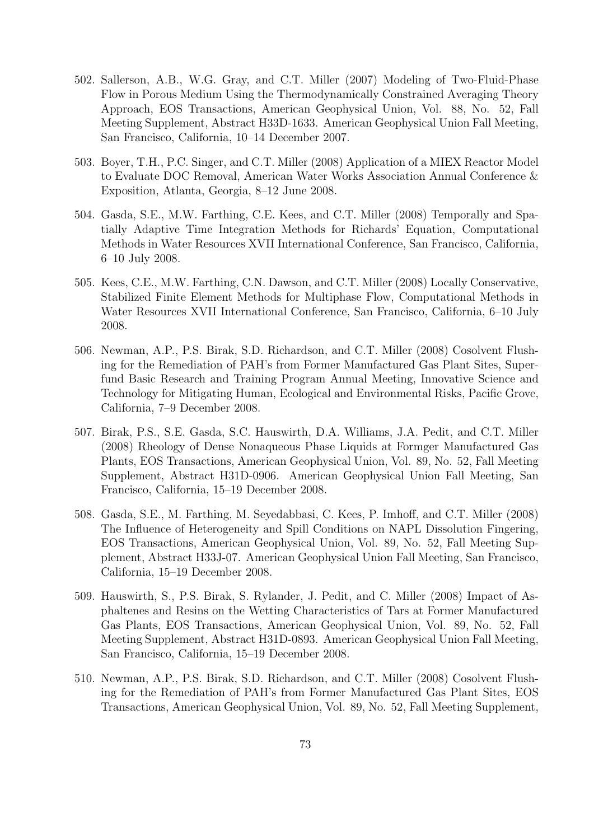- 502. Sallerson, A.B., W.G. Gray, and C.T. Miller (2007) Modeling of Two-Fluid-Phase Flow in Porous Medium Using the Thermodynamically Constrained Averaging Theory Approach, EOS Transactions, American Geophysical Union, Vol. 88, No. 52, Fall Meeting Supplement, Abstract H33D-1633. American Geophysical Union Fall Meeting, San Francisco, California, 10–14 December 2007.
- 503. Boyer, T.H., P.C. Singer, and C.T. Miller (2008) Application of a MIEX Reactor Model to Evaluate DOC Removal, American Water Works Association Annual Conference & Exposition, Atlanta, Georgia, 8–12 June 2008.
- 504. Gasda, S.E., M.W. Farthing, C.E. Kees, and C.T. Miller (2008) Temporally and Spatially Adaptive Time Integration Methods for Richards' Equation, Computational Methods in Water Resources XVII International Conference, San Francisco, California, 6–10 July 2008.
- 505. Kees, C.E., M.W. Farthing, C.N. Dawson, and C.T. Miller (2008) Locally Conservative, Stabilized Finite Element Methods for Multiphase Flow, Computational Methods in Water Resources XVII International Conference, San Francisco, California, 6–10 July 2008.
- 506. Newman, A.P., P.S. Birak, S.D. Richardson, and C.T. Miller (2008) Cosolvent Flushing for the Remediation of PAH's from Former Manufactured Gas Plant Sites, Superfund Basic Research and Training Program Annual Meeting, Innovative Science and Technology for Mitigating Human, Ecological and Environmental Risks, Pacific Grove, California, 7–9 December 2008.
- 507. Birak, P.S., S.E. Gasda, S.C. Hauswirth, D.A. Williams, J.A. Pedit, and C.T. Miller (2008) Rheology of Dense Nonaqueous Phase Liquids at Formger Manufactured Gas Plants, EOS Transactions, American Geophysical Union, Vol. 89, No. 52, Fall Meeting Supplement, Abstract H31D-0906. American Geophysical Union Fall Meeting, San Francisco, California, 15–19 December 2008.
- 508. Gasda, S.E., M. Farthing, M. Seyedabbasi, C. Kees, P. Imhoff, and C.T. Miller (2008) The Influence of Heterogeneity and Spill Conditions on NAPL Dissolution Fingering, EOS Transactions, American Geophysical Union, Vol. 89, No. 52, Fall Meeting Supplement, Abstract H33J-07. American Geophysical Union Fall Meeting, San Francisco, California, 15–19 December 2008.
- 509. Hauswirth, S., P.S. Birak, S. Rylander, J. Pedit, and C. Miller (2008) Impact of Asphaltenes and Resins on the Wetting Characteristics of Tars at Former Manufactured Gas Plants, EOS Transactions, American Geophysical Union, Vol. 89, No. 52, Fall Meeting Supplement, Abstract H31D-0893. American Geophysical Union Fall Meeting, San Francisco, California, 15–19 December 2008.
- 510. Newman, A.P., P.S. Birak, S.D. Richardson, and C.T. Miller (2008) Cosolvent Flushing for the Remediation of PAH's from Former Manufactured Gas Plant Sites, EOS Transactions, American Geophysical Union, Vol. 89, No. 52, Fall Meeting Supplement,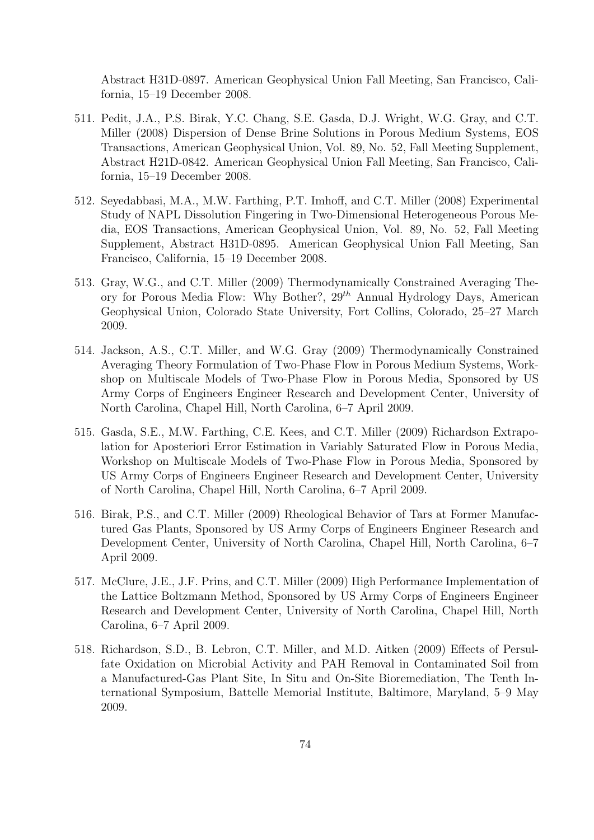Abstract H31D-0897. American Geophysical Union Fall Meeting, San Francisco, California, 15–19 December 2008.

- 511. Pedit, J.A., P.S. Birak, Y.C. Chang, S.E. Gasda, D.J. Wright, W.G. Gray, and C.T. Miller (2008) Dispersion of Dense Brine Solutions in Porous Medium Systems, EOS Transactions, American Geophysical Union, Vol. 89, No. 52, Fall Meeting Supplement, Abstract H21D-0842. American Geophysical Union Fall Meeting, San Francisco, California, 15–19 December 2008.
- 512. Seyedabbasi, M.A., M.W. Farthing, P.T. Imhoff, and C.T. Miller (2008) Experimental Study of NAPL Dissolution Fingering in Two-Dimensional Heterogeneous Porous Media, EOS Transactions, American Geophysical Union, Vol. 89, No. 52, Fall Meeting Supplement, Abstract H31D-0895. American Geophysical Union Fall Meeting, San Francisco, California, 15–19 December 2008.
- 513. Gray, W.G., and C.T. Miller (2009) Thermodynamically Constrained Averaging Theory for Porous Media Flow: Why Bother?,  $29<sup>th</sup>$  Annual Hydrology Days, American Geophysical Union, Colorado State University, Fort Collins, Colorado, 25–27 March 2009.
- 514. Jackson, A.S., C.T. Miller, and W.G. Gray (2009) Thermodynamically Constrained Averaging Theory Formulation of Two-Phase Flow in Porous Medium Systems, Workshop on Multiscale Models of Two-Phase Flow in Porous Media, Sponsored by US Army Corps of Engineers Engineer Research and Development Center, University of North Carolina, Chapel Hill, North Carolina, 6–7 April 2009.
- 515. Gasda, S.E., M.W. Farthing, C.E. Kees, and C.T. Miller (2009) Richardson Extrapolation for Aposteriori Error Estimation in Variably Saturated Flow in Porous Media, Workshop on Multiscale Models of Two-Phase Flow in Porous Media, Sponsored by US Army Corps of Engineers Engineer Research and Development Center, University of North Carolina, Chapel Hill, North Carolina, 6–7 April 2009.
- 516. Birak, P.S., and C.T. Miller (2009) Rheological Behavior of Tars at Former Manufactured Gas Plants, Sponsored by US Army Corps of Engineers Engineer Research and Development Center, University of North Carolina, Chapel Hill, North Carolina, 6–7 April 2009.
- 517. McClure, J.E., J.F. Prins, and C.T. Miller (2009) High Performance Implementation of the Lattice Boltzmann Method, Sponsored by US Army Corps of Engineers Engineer Research and Development Center, University of North Carolina, Chapel Hill, North Carolina, 6–7 April 2009.
- 518. Richardson, S.D., B. Lebron, C.T. Miller, and M.D. Aitken (2009) Effects of Persulfate Oxidation on Microbial Activity and PAH Removal in Contaminated Soil from a Manufactured-Gas Plant Site, In Situ and On-Site Bioremediation, The Tenth International Symposium, Battelle Memorial Institute, Baltimore, Maryland, 5–9 May 2009.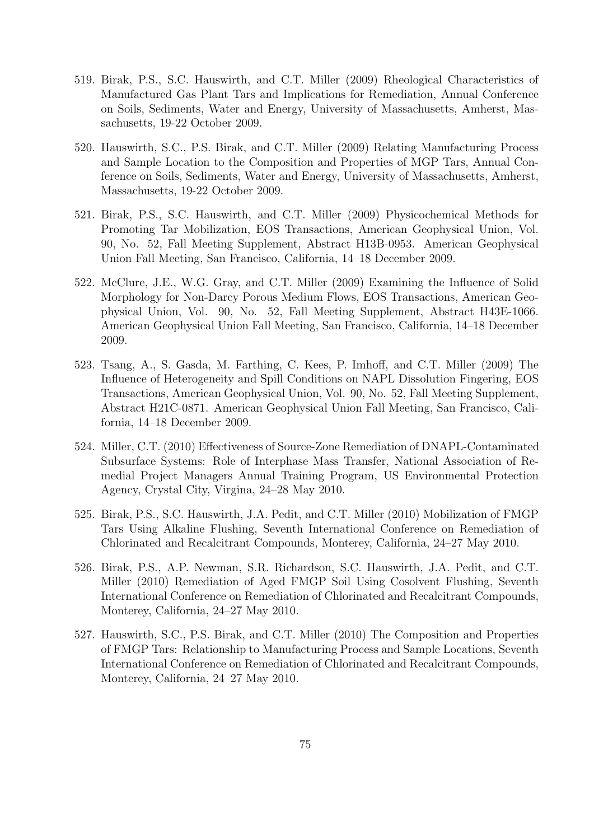- 519. Birak, P.S., S.C. Hauswirth, and C.T. Miller (2009) Rheological Characteristics of Manufactured Gas Plant Tars and Implications for Remediation, Annual Conference on Soils, Sediments, Water and Energy, University of Massachusetts, Amherst, Massachusetts, 19-22 October 2009.
- 520. Hauswirth, S.C., P.S. Birak, and C.T. Miller (2009) Relating Manufacturing Process and Sample Location to the Composition and Properties of MGP Tars, Annual Conference on Soils, Sediments, Water and Energy, University of Massachusetts, Amherst, Massachusetts, 19-22 October 2009.
- 521. Birak, P.S., S.C. Hauswirth, and C.T. Miller (2009) Physicochemical Methods for Promoting Tar Mobilization, EOS Transactions, American Geophysical Union, Vol. 90, No. 52, Fall Meeting Supplement, Abstract H13B-0953. American Geophysical Union Fall Meeting, San Francisco, California, 14–18 December 2009.
- 522. McClure, J.E., W.G. Gray, and C.T. Miller (2009) Examining the Influence of Solid Morphology for Non-Darcy Porous Medium Flows, EOS Transactions, American Geophysical Union, Vol. 90, No. 52, Fall Meeting Supplement, Abstract H43E-1066. American Geophysical Union Fall Meeting, San Francisco, California, 14–18 December 2009.
- 523. Tsang, A., S. Gasda, M. Farthing, C. Kees, P. Imhoff, and C.T. Miller (2009) The Influence of Heterogeneity and Spill Conditions on NAPL Dissolution Fingering, EOS Transactions, American Geophysical Union, Vol. 90, No. 52, Fall Meeting Supplement, Abstract H21C-0871. American Geophysical Union Fall Meeting, San Francisco, California, 14–18 December 2009.
- 524. Miller, C.T. (2010) Effectiveness of Source-Zone Remediation of DNAPL-Contaminated Subsurface Systems: Role of Interphase Mass Transfer, National Association of Remedial Project Managers Annual Training Program, US Environmental Protection Agency, Crystal City, Virgina, 24–28 May 2010.
- 525. Birak, P.S., S.C. Hauswirth, J.A. Pedit, and C.T. Miller (2010) Mobilization of FMGP Tars Using Alkaline Flushing, Seventh International Conference on Remediation of Chlorinated and Recalcitrant Compounds, Monterey, California, 24–27 May 2010.
- 526. Birak, P.S., A.P. Newman, S.R. Richardson, S.C. Hauswirth, J.A. Pedit, and C.T. Miller (2010) Remediation of Aged FMGP Soil Using Cosolvent Flushing, Seventh International Conference on Remediation of Chlorinated and Recalcitrant Compounds, Monterey, California, 24–27 May 2010.
- 527. Hauswirth, S.C., P.S. Birak, and C.T. Miller (2010) The Composition and Properties of FMGP Tars: Relationship to Manufacturing Process and Sample Locations, Seventh International Conference on Remediation of Chlorinated and Recalcitrant Compounds, Monterey, California, 24–27 May 2010.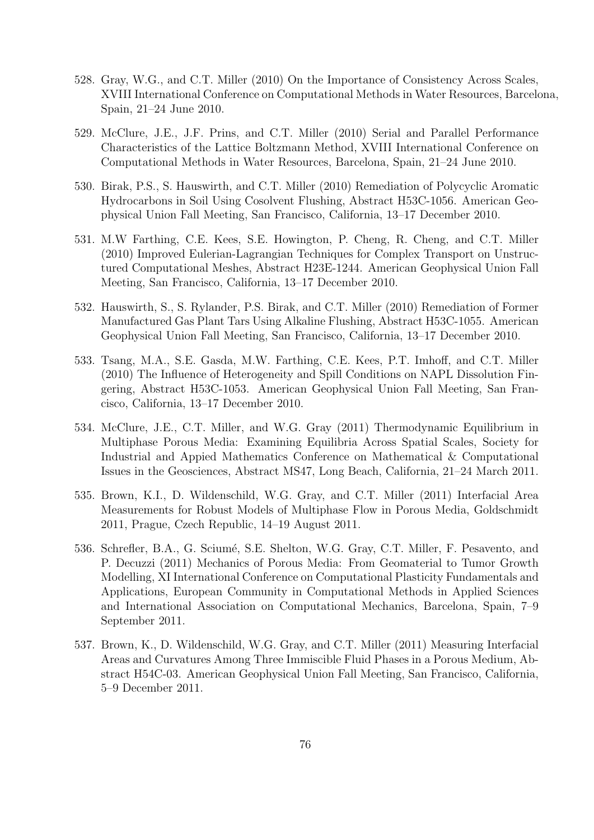- 528. Gray, W.G., and C.T. Miller (2010) On the Importance of Consistency Across Scales, XVIII International Conference on Computational Methods in Water Resources, Barcelona, Spain, 21–24 June 2010.
- 529. McClure, J.E., J.F. Prins, and C.T. Miller (2010) Serial and Parallel Performance Characteristics of the Lattice Boltzmann Method, XVIII International Conference on Computational Methods in Water Resources, Barcelona, Spain, 21–24 June 2010.
- 530. Birak, P.S., S. Hauswirth, and C.T. Miller (2010) Remediation of Polycyclic Aromatic Hydrocarbons in Soil Using Cosolvent Flushing, Abstract H53C-1056. American Geophysical Union Fall Meeting, San Francisco, California, 13–17 December 2010.
- 531. M.W Farthing, C.E. Kees, S.E. Howington, P. Cheng, R. Cheng, and C.T. Miller (2010) Improved Eulerian-Lagrangian Techniques for Complex Transport on Unstructured Computational Meshes, Abstract H23E-1244. American Geophysical Union Fall Meeting, San Francisco, California, 13–17 December 2010.
- 532. Hauswirth, S., S. Rylander, P.S. Birak, and C.T. Miller (2010) Remediation of Former Manufactured Gas Plant Tars Using Alkaline Flushing, Abstract H53C-1055. American Geophysical Union Fall Meeting, San Francisco, California, 13–17 December 2010.
- 533. Tsang, M.A., S.E. Gasda, M.W. Farthing, C.E. Kees, P.T. Imhoff, and C.T. Miller (2010) The Influence of Heterogeneity and Spill Conditions on NAPL Dissolution Fingering, Abstract H53C-1053. American Geophysical Union Fall Meeting, San Francisco, California, 13–17 December 2010.
- 534. McClure, J.E., C.T. Miller, and W.G. Gray (2011) Thermodynamic Equilibrium in Multiphase Porous Media: Examining Equilibria Across Spatial Scales, Society for Industrial and Appied Mathematics Conference on Mathematical & Computational Issues in the Geosciences, Abstract MS47, Long Beach, California, 21–24 March 2011.
- 535. Brown, K.I., D. Wildenschild, W.G. Gray, and C.T. Miller (2011) Interfacial Area Measurements for Robust Models of Multiphase Flow in Porous Media, Goldschmidt 2011, Prague, Czech Republic, 14–19 August 2011.
- 536. Schrefler, B.A., G. Sciumé, S.E. Shelton, W.G. Gray, C.T. Miller, F. Pesavento, and P. Decuzzi (2011) Mechanics of Porous Media: From Geomaterial to Tumor Growth Modelling, XI International Conference on Computational Plasticity Fundamentals and Applications, European Community in Computational Methods in Applied Sciences and International Association on Computational Mechanics, Barcelona, Spain, 7–9 September 2011.
- 537. Brown, K., D. Wildenschild, W.G. Gray, and C.T. Miller (2011) Measuring Interfacial Areas and Curvatures Among Three Immiscible Fluid Phases in a Porous Medium, Abstract H54C-03. American Geophysical Union Fall Meeting, San Francisco, California, 5–9 December 2011.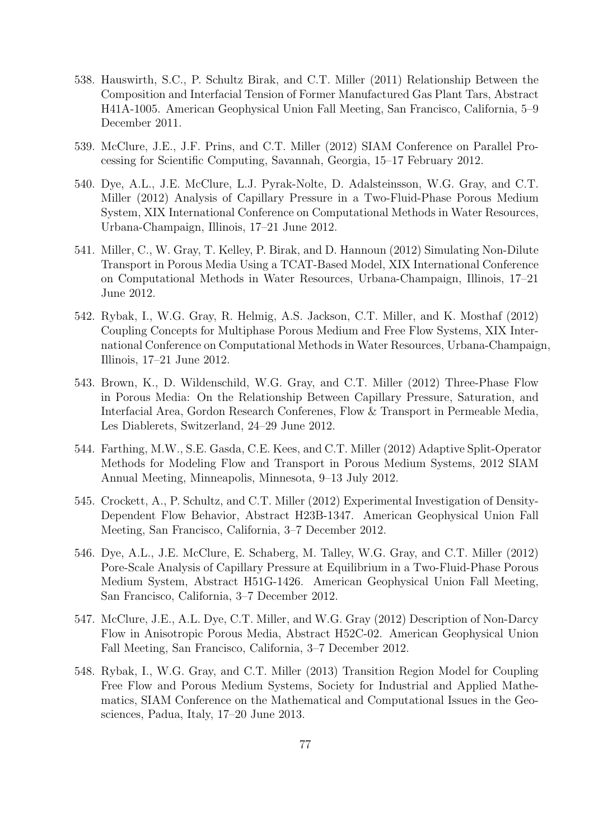- 538. Hauswirth, S.C., P. Schultz Birak, and C.T. Miller (2011) Relationship Between the Composition and Interfacial Tension of Former Manufactured Gas Plant Tars, Abstract H41A-1005. American Geophysical Union Fall Meeting, San Francisco, California, 5–9 December 2011.
- 539. McClure, J.E., J.F. Prins, and C.T. Miller (2012) SIAM Conference on Parallel Processing for Scientific Computing, Savannah, Georgia, 15–17 February 2012.
- 540. Dye, A.L., J.E. McClure, L.J. Pyrak-Nolte, D. Adalsteinsson, W.G. Gray, and C.T. Miller (2012) Analysis of Capillary Pressure in a Two-Fluid-Phase Porous Medium System, XIX International Conference on Computational Methods in Water Resources, Urbana-Champaign, Illinois, 17–21 June 2012.
- 541. Miller, C., W. Gray, T. Kelley, P. Birak, and D. Hannoun (2012) Simulating Non-Dilute Transport in Porous Media Using a TCAT-Based Model, XIX International Conference on Computational Methods in Water Resources, Urbana-Champaign, Illinois, 17–21 June 2012.
- 542. Rybak, I., W.G. Gray, R. Helmig, A.S. Jackson, C.T. Miller, and K. Mosthaf (2012) Coupling Concepts for Multiphase Porous Medium and Free Flow Systems, XIX International Conference on Computational Methods in Water Resources, Urbana-Champaign, Illinois, 17–21 June 2012.
- 543. Brown, K., D. Wildenschild, W.G. Gray, and C.T. Miller (2012) Three-Phase Flow in Porous Media: On the Relationship Between Capillary Pressure, Saturation, and Interfacial Area, Gordon Research Conferenes, Flow & Transport in Permeable Media, Les Diablerets, Switzerland, 24–29 June 2012.
- 544. Farthing, M.W., S.E. Gasda, C.E. Kees, and C.T. Miller (2012) Adaptive Split-Operator Methods for Modeling Flow and Transport in Porous Medium Systems, 2012 SIAM Annual Meeting, Minneapolis, Minnesota, 9–13 July 2012.
- 545. Crockett, A., P. Schultz, and C.T. Miller (2012) Experimental Investigation of Density-Dependent Flow Behavior, Abstract H23B-1347. American Geophysical Union Fall Meeting, San Francisco, California, 3–7 December 2012.
- 546. Dye, A.L., J.E. McClure, E. Schaberg, M. Talley, W.G. Gray, and C.T. Miller (2012) Pore-Scale Analysis of Capillary Pressure at Equilibrium in a Two-Fluid-Phase Porous Medium System, Abstract H51G-1426. American Geophysical Union Fall Meeting, San Francisco, California, 3–7 December 2012.
- 547. McClure, J.E., A.L. Dye, C.T. Miller, and W.G. Gray (2012) Description of Non-Darcy Flow in Anisotropic Porous Media, Abstract H52C-02. American Geophysical Union Fall Meeting, San Francisco, California, 3–7 December 2012.
- 548. Rybak, I., W.G. Gray, and C.T. Miller (2013) Transition Region Model for Coupling Free Flow and Porous Medium Systems, Society for Industrial and Applied Mathematics, SIAM Conference on the Mathematical and Computational Issues in the Geosciences, Padua, Italy, 17–20 June 2013.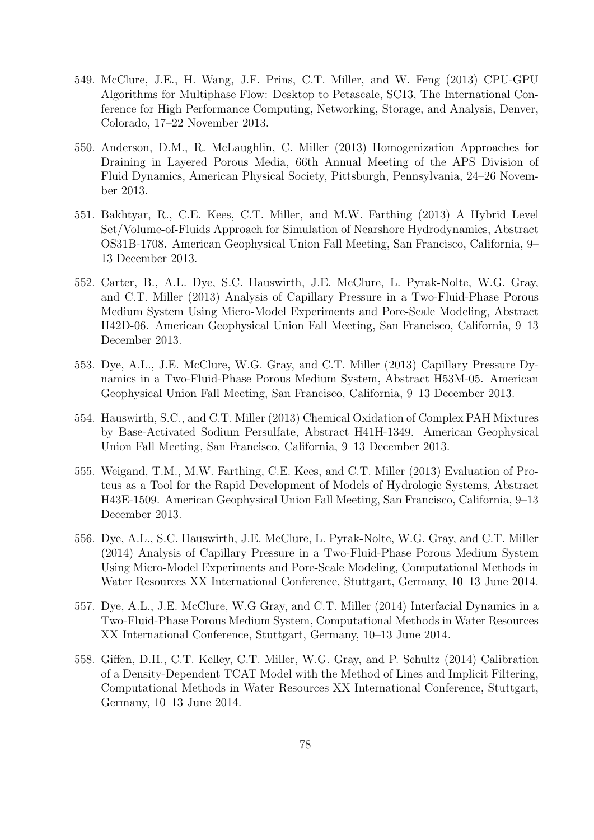- 549. McClure, J.E., H. Wang, J.F. Prins, C.T. Miller, and W. Feng (2013) CPU-GPU Algorithms for Multiphase Flow: Desktop to Petascale, SC13, The International Conference for High Performance Computing, Networking, Storage, and Analysis, Denver, Colorado, 17–22 November 2013.
- 550. Anderson, D.M., R. McLaughlin, C. Miller (2013) Homogenization Approaches for Draining in Layered Porous Media, 66th Annual Meeting of the APS Division of Fluid Dynamics, American Physical Society, Pittsburgh, Pennsylvania, 24–26 November 2013.
- 551. Bakhtyar, R., C.E. Kees, C.T. Miller, and M.W. Farthing (2013) A Hybrid Level Set/Volume-of-Fluids Approach for Simulation of Nearshore Hydrodynamics, Abstract OS31B-1708. American Geophysical Union Fall Meeting, San Francisco, California, 9– 13 December 2013.
- 552. Carter, B., A.L. Dye, S.C. Hauswirth, J.E. McClure, L. Pyrak-Nolte, W.G. Gray, and C.T. Miller (2013) Analysis of Capillary Pressure in a Two-Fluid-Phase Porous Medium System Using Micro-Model Experiments and Pore-Scale Modeling, Abstract H42D-06. American Geophysical Union Fall Meeting, San Francisco, California, 9–13 December 2013.
- 553. Dye, A.L., J.E. McClure, W.G. Gray, and C.T. Miller (2013) Capillary Pressure Dynamics in a Two-Fluid-Phase Porous Medium System, Abstract H53M-05. American Geophysical Union Fall Meeting, San Francisco, California, 9–13 December 2013.
- 554. Hauswirth, S.C., and C.T. Miller (2013) Chemical Oxidation of Complex PAH Mixtures by Base-Activated Sodium Persulfate, Abstract H41H-1349. American Geophysical Union Fall Meeting, San Francisco, California, 9–13 December 2013.
- 555. Weigand, T.M., M.W. Farthing, C.E. Kees, and C.T. Miller (2013) Evaluation of Proteus as a Tool for the Rapid Development of Models of Hydrologic Systems, Abstract H43E-1509. American Geophysical Union Fall Meeting, San Francisco, California, 9–13 December 2013.
- 556. Dye, A.L., S.C. Hauswirth, J.E. McClure, L. Pyrak-Nolte, W.G. Gray, and C.T. Miller (2014) Analysis of Capillary Pressure in a Two-Fluid-Phase Porous Medium System Using Micro-Model Experiments and Pore-Scale Modeling, Computational Methods in Water Resources XX International Conference, Stuttgart, Germany, 10–13 June 2014.
- 557. Dye, A.L., J.E. McClure, W.G Gray, and C.T. Miller (2014) Interfacial Dynamics in a Two-Fluid-Phase Porous Medium System, Computational Methods in Water Resources XX International Conference, Stuttgart, Germany, 10–13 June 2014.
- 558. Giffen, D.H., C.T. Kelley, C.T. Miller, W.G. Gray, and P. Schultz (2014) Calibration of a Density-Dependent TCAT Model with the Method of Lines and Implicit Filtering, Computational Methods in Water Resources XX International Conference, Stuttgart, Germany, 10–13 June 2014.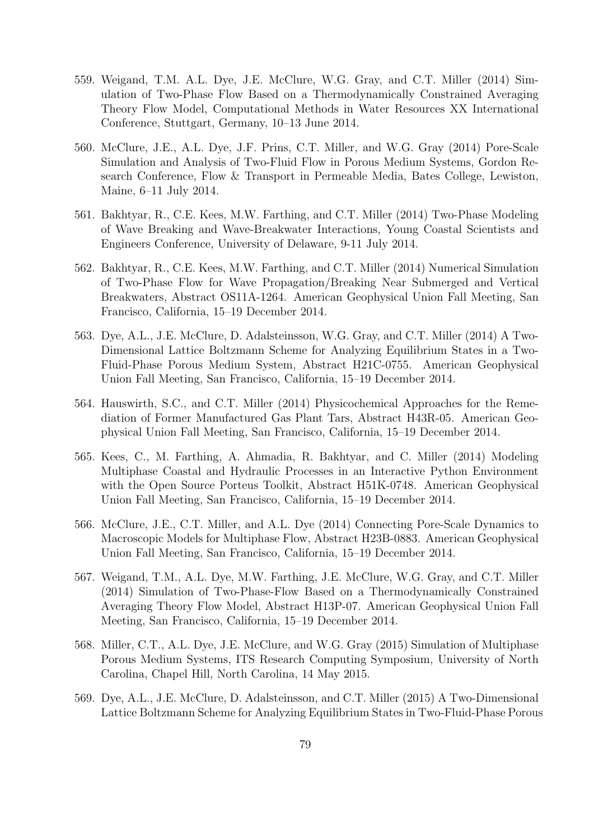- 559. Weigand, T.M. A.L. Dye, J.E. McClure, W.G. Gray, and C.T. Miller (2014) Simulation of Two-Phase Flow Based on a Thermodynamically Constrained Averaging Theory Flow Model, Computational Methods in Water Resources XX International Conference, Stuttgart, Germany, 10–13 June 2014.
- 560. McClure, J.E., A.L. Dye, J.F. Prins, C.T. Miller, and W.G. Gray (2014) Pore-Scale Simulation and Analysis of Two-Fluid Flow in Porous Medium Systems, Gordon Research Conference, Flow & Transport in Permeable Media, Bates College, Lewiston, Maine, 6–11 July 2014.
- 561. Bakhtyar, R., C.E. Kees, M.W. Farthing, and C.T. Miller (2014) Two-Phase Modeling of Wave Breaking and Wave-Breakwater Interactions, Young Coastal Scientists and Engineers Conference, University of Delaware, 9-11 July 2014.
- 562. Bakhtyar, R., C.E. Kees, M.W. Farthing, and C.T. Miller (2014) Numerical Simulation of Two-Phase Flow for Wave Propagation/Breaking Near Submerged and Vertical Breakwaters, Abstract OS11A-1264. American Geophysical Union Fall Meeting, San Francisco, California, 15–19 December 2014.
- 563. Dye, A.L., J.E. McClure, D. Adalsteinsson, W.G. Gray, and C.T. Miller (2014) A Two-Dimensional Lattice Boltzmann Scheme for Analyzing Equilibrium States in a Two-Fluid-Phase Porous Medium System, Abstract H21C-0755. American Geophysical Union Fall Meeting, San Francisco, California, 15–19 December 2014.
- 564. Hauswirth, S.C., and C.T. Miller (2014) Physicochemical Approaches for the Remediation of Former Manufactured Gas Plant Tars, Abstract H43R-05. American Geophysical Union Fall Meeting, San Francisco, California, 15–19 December 2014.
- 565. Kees, C., M. Farthing, A. Ahmadia, R. Bakhtyar, and C. Miller (2014) Modeling Multiphase Coastal and Hydraulic Processes in an Interactive Python Environment with the Open Source Porteus Toolkit, Abstract H51K-0748. American Geophysical Union Fall Meeting, San Francisco, California, 15–19 December 2014.
- 566. McClure, J.E., C.T. Miller, and A.L. Dye (2014) Connecting Pore-Scale Dynamics to Macroscopic Models for Multiphase Flow, Abstract H23B-0883. American Geophysical Union Fall Meeting, San Francisco, California, 15–19 December 2014.
- 567. Weigand, T.M., A.L. Dye, M.W. Farthing, J.E. McClure, W.G. Gray, and C.T. Miller (2014) Simulation of Two-Phase-Flow Based on a Thermodynamically Constrained Averaging Theory Flow Model, Abstract H13P-07. American Geophysical Union Fall Meeting, San Francisco, California, 15–19 December 2014.
- 568. Miller, C.T., A.L. Dye, J.E. McClure, and W.G. Gray (2015) Simulation of Multiphase Porous Medium Systems, ITS Research Computing Symposium, University of North Carolina, Chapel Hill, North Carolina, 14 May 2015.
- 569. Dye, A.L., J.E. McClure, D. Adalsteinsson, and C.T. Miller (2015) A Two-Dimensional Lattice Boltzmann Scheme for Analyzing Equilibrium States in Two-Fluid-Phase Porous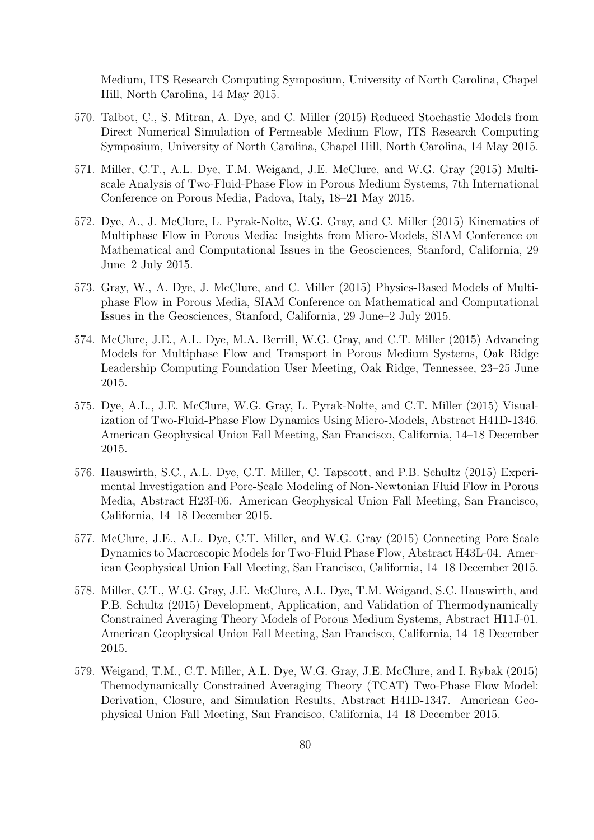Medium, ITS Research Computing Symposium, University of North Carolina, Chapel Hill, North Carolina, 14 May 2015.

- 570. Talbot, C., S. Mitran, A. Dye, and C. Miller (2015) Reduced Stochastic Models from Direct Numerical Simulation of Permeable Medium Flow, ITS Research Computing Symposium, University of North Carolina, Chapel Hill, North Carolina, 14 May 2015.
- 571. Miller, C.T., A.L. Dye, T.M. Weigand, J.E. McClure, and W.G. Gray (2015) Multiscale Analysis of Two-Fluid-Phase Flow in Porous Medium Systems, 7th International Conference on Porous Media, Padova, Italy, 18–21 May 2015.
- 572. Dye, A., J. McClure, L. Pyrak-Nolte, W.G. Gray, and C. Miller (2015) Kinematics of Multiphase Flow in Porous Media: Insights from Micro-Models, SIAM Conference on Mathematical and Computational Issues in the Geosciences, Stanford, California, 29 June–2 July 2015.
- 573. Gray, W., A. Dye, J. McClure, and C. Miller (2015) Physics-Based Models of Multiphase Flow in Porous Media, SIAM Conference on Mathematical and Computational Issues in the Geosciences, Stanford, California, 29 June–2 July 2015.
- 574. McClure, J.E., A.L. Dye, M.A. Berrill, W.G. Gray, and C.T. Miller (2015) Advancing Models for Multiphase Flow and Transport in Porous Medium Systems, Oak Ridge Leadership Computing Foundation User Meeting, Oak Ridge, Tennessee, 23–25 June 2015.
- 575. Dye, A.L., J.E. McClure, W.G. Gray, L. Pyrak-Nolte, and C.T. Miller (2015) Visualization of Two-Fluid-Phase Flow Dynamics Using Micro-Models, Abstract H41D-1346. American Geophysical Union Fall Meeting, San Francisco, California, 14–18 December 2015.
- 576. Hauswirth, S.C., A.L. Dye, C.T. Miller, C. Tapscott, and P.B. Schultz (2015) Experimental Investigation and Pore-Scale Modeling of Non-Newtonian Fluid Flow in Porous Media, Abstract H23I-06. American Geophysical Union Fall Meeting, San Francisco, California, 14–18 December 2015.
- 577. McClure, J.E., A.L. Dye, C.T. Miller, and W.G. Gray (2015) Connecting Pore Scale Dynamics to Macroscopic Models for Two-Fluid Phase Flow, Abstract H43L-04. American Geophysical Union Fall Meeting, San Francisco, California, 14–18 December 2015.
- 578. Miller, C.T., W.G. Gray, J.E. McClure, A.L. Dye, T.M. Weigand, S.C. Hauswirth, and P.B. Schultz (2015) Development, Application, and Validation of Thermodynamically Constrained Averaging Theory Models of Porous Medium Systems, Abstract H11J-01. American Geophysical Union Fall Meeting, San Francisco, California, 14–18 December 2015.
- 579. Weigand, T.M., C.T. Miller, A.L. Dye, W.G. Gray, J.E. McClure, and I. Rybak (2015) Themodynamically Constrained Averaging Theory (TCAT) Two-Phase Flow Model: Derivation, Closure, and Simulation Results, Abstract H41D-1347. American Geophysical Union Fall Meeting, San Francisco, California, 14–18 December 2015.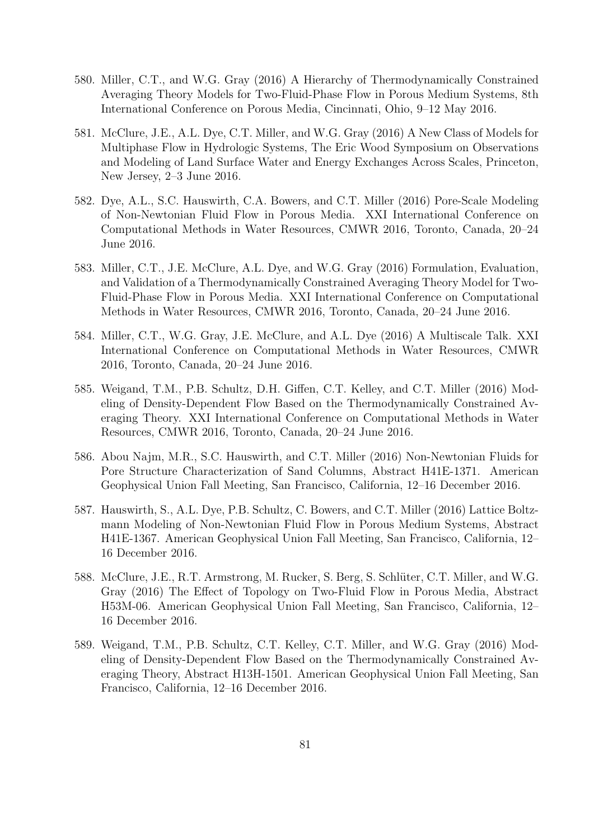- 580. Miller, C.T., and W.G. Gray (2016) A Hierarchy of Thermodynamically Constrained Averaging Theory Models for Two-Fluid-Phase Flow in Porous Medium Systems, 8th International Conference on Porous Media, Cincinnati, Ohio, 9–12 May 2016.
- 581. McClure, J.E., A.L. Dye, C.T. Miller, and W.G. Gray (2016) A New Class of Models for Multiphase Flow in Hydrologic Systems, The Eric Wood Symposium on Observations and Modeling of Land Surface Water and Energy Exchanges Across Scales, Princeton, New Jersey, 2–3 June 2016.
- 582. Dye, A.L., S.C. Hauswirth, C.A. Bowers, and C.T. Miller (2016) Pore-Scale Modeling of Non-Newtonian Fluid Flow in Porous Media. XXI International Conference on Computational Methods in Water Resources, CMWR 2016, Toronto, Canada, 20–24 June 2016.
- 583. Miller, C.T., J.E. McClure, A.L. Dye, and W.G. Gray (2016) Formulation, Evaluation, and Validation of a Thermodynamically Constrained Averaging Theory Model for Two-Fluid-Phase Flow in Porous Media. XXI International Conference on Computational Methods in Water Resources, CMWR 2016, Toronto, Canada, 20–24 June 2016.
- 584. Miller, C.T., W.G. Gray, J.E. McClure, and A.L. Dye (2016) A Multiscale Talk. XXI International Conference on Computational Methods in Water Resources, CMWR 2016, Toronto, Canada, 20–24 June 2016.
- 585. Weigand, T.M., P.B. Schultz, D.H. Giffen, C.T. Kelley, and C.T. Miller (2016) Modeling of Density-Dependent Flow Based on the Thermodynamically Constrained Averaging Theory. XXI International Conference on Computational Methods in Water Resources, CMWR 2016, Toronto, Canada, 20–24 June 2016.
- 586. Abou Najm, M.R., S.C. Hauswirth, and C.T. Miller (2016) Non-Newtonian Fluids for Pore Structure Characterization of Sand Columns, Abstract H41E-1371. American Geophysical Union Fall Meeting, San Francisco, California, 12–16 December 2016.
- 587. Hauswirth, S., A.L. Dye, P.B. Schultz, C. Bowers, and C.T. Miller (2016) Lattice Boltzmann Modeling of Non-Newtonian Fluid Flow in Porous Medium Systems, Abstract H41E-1367. American Geophysical Union Fall Meeting, San Francisco, California, 12– 16 December 2016.
- 588. McClure, J.E., R.T. Armstrong, M. Rucker, S. Berg, S. Schlüter, C.T. Miller, and W.G. Gray (2016) The Effect of Topology on Two-Fluid Flow in Porous Media, Abstract H53M-06. American Geophysical Union Fall Meeting, San Francisco, California, 12– 16 December 2016.
- 589. Weigand, T.M., P.B. Schultz, C.T. Kelley, C.T. Miller, and W.G. Gray (2016) Modeling of Density-Dependent Flow Based on the Thermodynamically Constrained Averaging Theory, Abstract H13H-1501. American Geophysical Union Fall Meeting, San Francisco, California, 12–16 December 2016.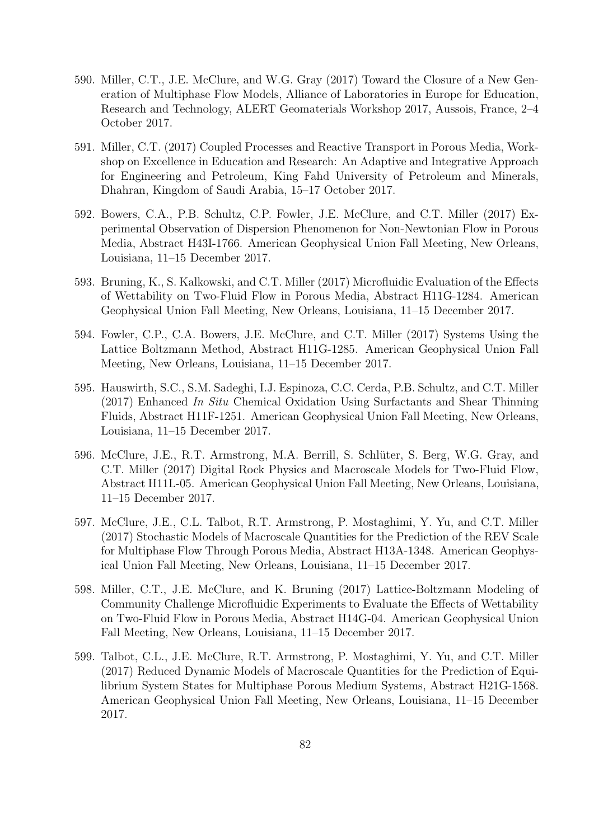- 590. Miller, C.T., J.E. McClure, and W.G. Gray (2017) Toward the Closure of a New Generation of Multiphase Flow Models, Alliance of Laboratories in Europe for Education, Research and Technology, ALERT Geomaterials Workshop 2017, Aussois, France, 2–4 October 2017.
- 591. Miller, C.T. (2017) Coupled Processes and Reactive Transport in Porous Media, Workshop on Excellence in Education and Research: An Adaptive and Integrative Approach for Engineering and Petroleum, King Fahd University of Petroleum and Minerals, Dhahran, Kingdom of Saudi Arabia, 15–17 October 2017.
- 592. Bowers, C.A., P.B. Schultz, C.P. Fowler, J.E. McClure, and C.T. Miller (2017) Experimental Observation of Dispersion Phenomenon for Non-Newtonian Flow in Porous Media, Abstract H43I-1766. American Geophysical Union Fall Meeting, New Orleans, Louisiana, 11–15 December 2017.
- 593. Bruning, K., S. Kalkowski, and C.T. Miller (2017) Microfluidic Evaluation of the Effects of Wettability on Two-Fluid Flow in Porous Media, Abstract H11G-1284. American Geophysical Union Fall Meeting, New Orleans, Louisiana, 11–15 December 2017.
- 594. Fowler, C.P., C.A. Bowers, J.E. McClure, and C.T. Miller (2017) Systems Using the Lattice Boltzmann Method, Abstract H11G-1285. American Geophysical Union Fall Meeting, New Orleans, Louisiana, 11–15 December 2017.
- 595. Hauswirth, S.C., S.M. Sadeghi, I.J. Espinoza, C.C. Cerda, P.B. Schultz, and C.T. Miller (2017) Enhanced In Situ Chemical Oxidation Using Surfactants and Shear Thinning Fluids, Abstract H11F-1251. American Geophysical Union Fall Meeting, New Orleans, Louisiana, 11–15 December 2017.
- 596. McClure, J.E., R.T. Armstrong, M.A. Berrill, S. Schlüter, S. Berg, W.G. Gray, and C.T. Miller (2017) Digital Rock Physics and Macroscale Models for Two-Fluid Flow, Abstract H11L-05. American Geophysical Union Fall Meeting, New Orleans, Louisiana, 11–15 December 2017.
- 597. McClure, J.E., C.L. Talbot, R.T. Armstrong, P. Mostaghimi, Y. Yu, and C.T. Miller (2017) Stochastic Models of Macroscale Quantities for the Prediction of the REV Scale for Multiphase Flow Through Porous Media, Abstract H13A-1348. American Geophysical Union Fall Meeting, New Orleans, Louisiana, 11–15 December 2017.
- 598. Miller, C.T., J.E. McClure, and K. Bruning (2017) Lattice-Boltzmann Modeling of Community Challenge Microfluidic Experiments to Evaluate the Effects of Wettability on Two-Fluid Flow in Porous Media, Abstract H14G-04. American Geophysical Union Fall Meeting, New Orleans, Louisiana, 11–15 December 2017.
- 599. Talbot, C.L., J.E. McClure, R.T. Armstrong, P. Mostaghimi, Y. Yu, and C.T. Miller (2017) Reduced Dynamic Models of Macroscale Quantities for the Prediction of Equilibrium System States for Multiphase Porous Medium Systems, Abstract H21G-1568. American Geophysical Union Fall Meeting, New Orleans, Louisiana, 11–15 December 2017.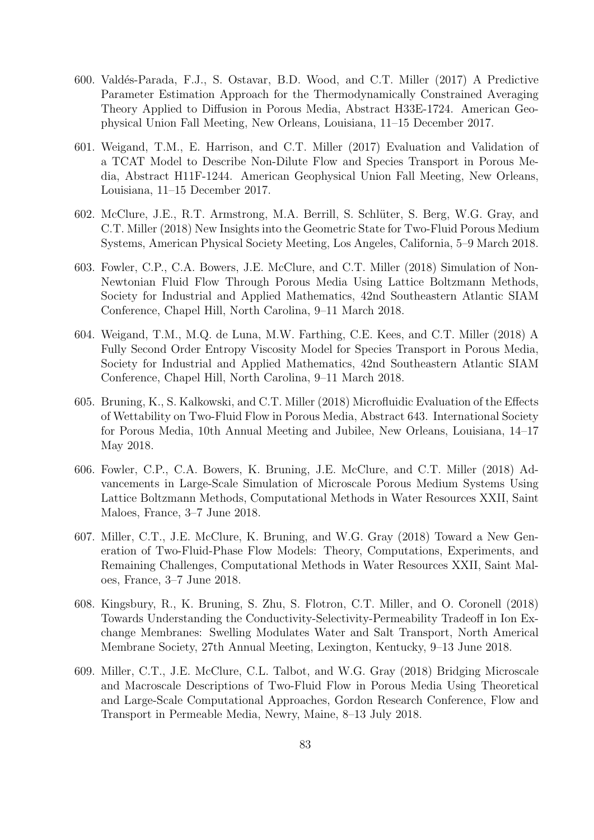- 600. Valdés-Parada, F.J., S. Ostavar, B.D. Wood, and C.T. Miller (2017) A Predictive Parameter Estimation Approach for the Thermodynamically Constrained Averaging Theory Applied to Diffusion in Porous Media, Abstract H33E-1724. American Geophysical Union Fall Meeting, New Orleans, Louisiana, 11–15 December 2017.
- 601. Weigand, T.M., E. Harrison, and C.T. Miller (2017) Evaluation and Validation of a TCAT Model to Describe Non-Dilute Flow and Species Transport in Porous Media, Abstract H11F-1244. American Geophysical Union Fall Meeting, New Orleans, Louisiana, 11–15 December 2017.
- 602. McClure, J.E., R.T. Armstrong, M.A. Berrill, S. Schlüter, S. Berg, W.G. Gray, and C.T. Miller (2018) New Insights into the Geometric State for Two-Fluid Porous Medium Systems, American Physical Society Meeting, Los Angeles, California, 5–9 March 2018.
- 603. Fowler, C.P., C.A. Bowers, J.E. McClure, and C.T. Miller (2018) Simulation of Non-Newtonian Fluid Flow Through Porous Media Using Lattice Boltzmann Methods, Society for Industrial and Applied Mathematics, 42nd Southeastern Atlantic SIAM Conference, Chapel Hill, North Carolina, 9–11 March 2018.
- 604. Weigand, T.M., M.Q. de Luna, M.W. Farthing, C.E. Kees, and C.T. Miller (2018) A Fully Second Order Entropy Viscosity Model for Species Transport in Porous Media, Society for Industrial and Applied Mathematics, 42nd Southeastern Atlantic SIAM Conference, Chapel Hill, North Carolina, 9–11 March 2018.
- 605. Bruning, K., S. Kalkowski, and C.T. Miller (2018) Microfluidic Evaluation of the Effects of Wettability on Two-Fluid Flow in Porous Media, Abstract 643. International Society for Porous Media, 10th Annual Meeting and Jubilee, New Orleans, Louisiana, 14–17 May 2018.
- 606. Fowler, C.P., C.A. Bowers, K. Bruning, J.E. McClure, and C.T. Miller (2018) Advancements in Large-Scale Simulation of Microscale Porous Medium Systems Using Lattice Boltzmann Methods, Computational Methods in Water Resources XXII, Saint Maloes, France, 3–7 June 2018.
- 607. Miller, C.T., J.E. McClure, K. Bruning, and W.G. Gray (2018) Toward a New Generation of Two-Fluid-Phase Flow Models: Theory, Computations, Experiments, and Remaining Challenges, Computational Methods in Water Resources XXII, Saint Maloes, France, 3–7 June 2018.
- 608. Kingsbury, R., K. Bruning, S. Zhu, S. Flotron, C.T. Miller, and O. Coronell (2018) Towards Understanding the Conductivity-Selectivity-Permeability Tradeoff in Ion Exchange Membranes: Swelling Modulates Water and Salt Transport, North Americal Membrane Society, 27th Annual Meeting, Lexington, Kentucky, 9–13 June 2018.
- 609. Miller, C.T., J.E. McClure, C.L. Talbot, and W.G. Gray (2018) Bridging Microscale and Macroscale Descriptions of Two-Fluid Flow in Porous Media Using Theoretical and Large-Scale Computational Approaches, Gordon Research Conference, Flow and Transport in Permeable Media, Newry, Maine, 8–13 July 2018.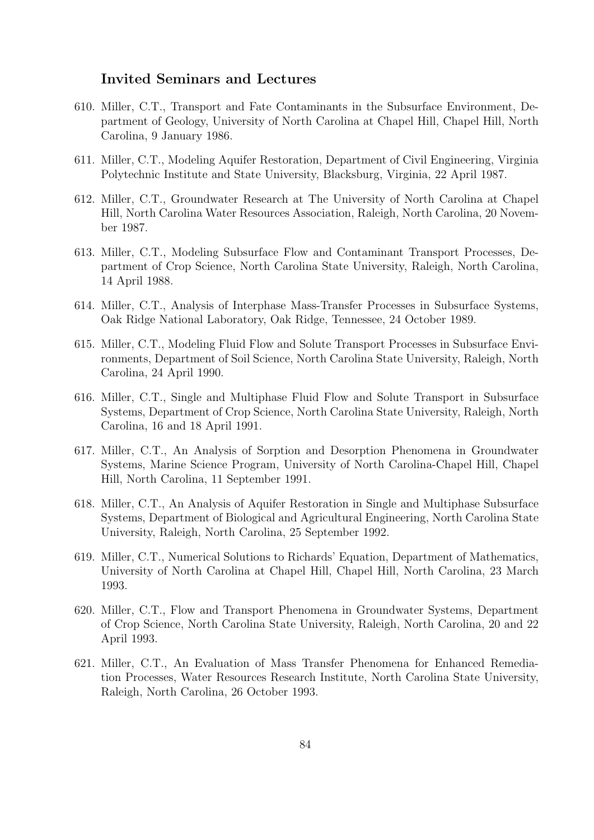## Invited Seminars and Lectures

- 610. Miller, C.T., Transport and Fate Contaminants in the Subsurface Environment, Department of Geology, University of North Carolina at Chapel Hill, Chapel Hill, North Carolina, 9 January 1986.
- 611. Miller, C.T., Modeling Aquifer Restoration, Department of Civil Engineering, Virginia Polytechnic Institute and State University, Blacksburg, Virginia, 22 April 1987.
- 612. Miller, C.T., Groundwater Research at The University of North Carolina at Chapel Hill, North Carolina Water Resources Association, Raleigh, North Carolina, 20 November 1987.
- 613. Miller, C.T., Modeling Subsurface Flow and Contaminant Transport Processes, Department of Crop Science, North Carolina State University, Raleigh, North Carolina, 14 April 1988.
- 614. Miller, C.T., Analysis of Interphase Mass-Transfer Processes in Subsurface Systems, Oak Ridge National Laboratory, Oak Ridge, Tennessee, 24 October 1989.
- 615. Miller, C.T., Modeling Fluid Flow and Solute Transport Processes in Subsurface Environments, Department of Soil Science, North Carolina State University, Raleigh, North Carolina, 24 April 1990.
- 616. Miller, C.T., Single and Multiphase Fluid Flow and Solute Transport in Subsurface Systems, Department of Crop Science, North Carolina State University, Raleigh, North Carolina, 16 and 18 April 1991.
- 617. Miller, C.T., An Analysis of Sorption and Desorption Phenomena in Groundwater Systems, Marine Science Program, University of North Carolina-Chapel Hill, Chapel Hill, North Carolina, 11 September 1991.
- 618. Miller, C.T., An Analysis of Aquifer Restoration in Single and Multiphase Subsurface Systems, Department of Biological and Agricultural Engineering, North Carolina State University, Raleigh, North Carolina, 25 September 1992.
- 619. Miller, C.T., Numerical Solutions to Richards' Equation, Department of Mathematics, University of North Carolina at Chapel Hill, Chapel Hill, North Carolina, 23 March 1993.
- 620. Miller, C.T., Flow and Transport Phenomena in Groundwater Systems, Department of Crop Science, North Carolina State University, Raleigh, North Carolina, 20 and 22 April 1993.
- 621. Miller, C.T., An Evaluation of Mass Transfer Phenomena for Enhanced Remediation Processes, Water Resources Research Institute, North Carolina State University, Raleigh, North Carolina, 26 October 1993.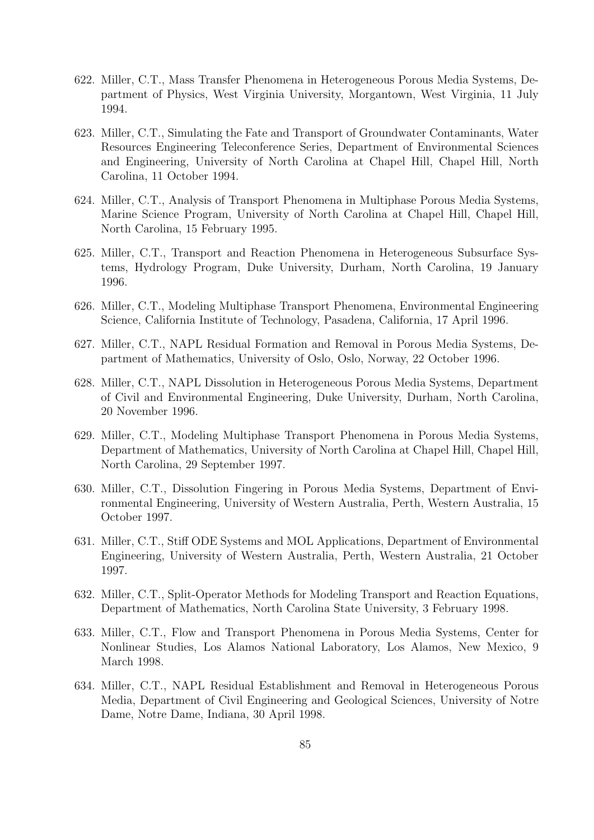- 622. Miller, C.T., Mass Transfer Phenomena in Heterogeneous Porous Media Systems, Department of Physics, West Virginia University, Morgantown, West Virginia, 11 July 1994.
- 623. Miller, C.T., Simulating the Fate and Transport of Groundwater Contaminants, Water Resources Engineering Teleconference Series, Department of Environmental Sciences and Engineering, University of North Carolina at Chapel Hill, Chapel Hill, North Carolina, 11 October 1994.
- 624. Miller, C.T., Analysis of Transport Phenomena in Multiphase Porous Media Systems, Marine Science Program, University of North Carolina at Chapel Hill, Chapel Hill, North Carolina, 15 February 1995.
- 625. Miller, C.T., Transport and Reaction Phenomena in Heterogeneous Subsurface Systems, Hydrology Program, Duke University, Durham, North Carolina, 19 January 1996.
- 626. Miller, C.T., Modeling Multiphase Transport Phenomena, Environmental Engineering Science, California Institute of Technology, Pasadena, California, 17 April 1996.
- 627. Miller, C.T., NAPL Residual Formation and Removal in Porous Media Systems, Department of Mathematics, University of Oslo, Oslo, Norway, 22 October 1996.
- 628. Miller, C.T., NAPL Dissolution in Heterogeneous Porous Media Systems, Department of Civil and Environmental Engineering, Duke University, Durham, North Carolina, 20 November 1996.
- 629. Miller, C.T., Modeling Multiphase Transport Phenomena in Porous Media Systems, Department of Mathematics, University of North Carolina at Chapel Hill, Chapel Hill, North Carolina, 29 September 1997.
- 630. Miller, C.T., Dissolution Fingering in Porous Media Systems, Department of Environmental Engineering, University of Western Australia, Perth, Western Australia, 15 October 1997.
- 631. Miller, C.T., Stiff ODE Systems and MOL Applications, Department of Environmental Engineering, University of Western Australia, Perth, Western Australia, 21 October 1997.
- 632. Miller, C.T., Split-Operator Methods for Modeling Transport and Reaction Equations, Department of Mathematics, North Carolina State University, 3 February 1998.
- 633. Miller, C.T., Flow and Transport Phenomena in Porous Media Systems, Center for Nonlinear Studies, Los Alamos National Laboratory, Los Alamos, New Mexico, 9 March 1998.
- 634. Miller, C.T., NAPL Residual Establishment and Removal in Heterogeneous Porous Media, Department of Civil Engineering and Geological Sciences, University of Notre Dame, Notre Dame, Indiana, 30 April 1998.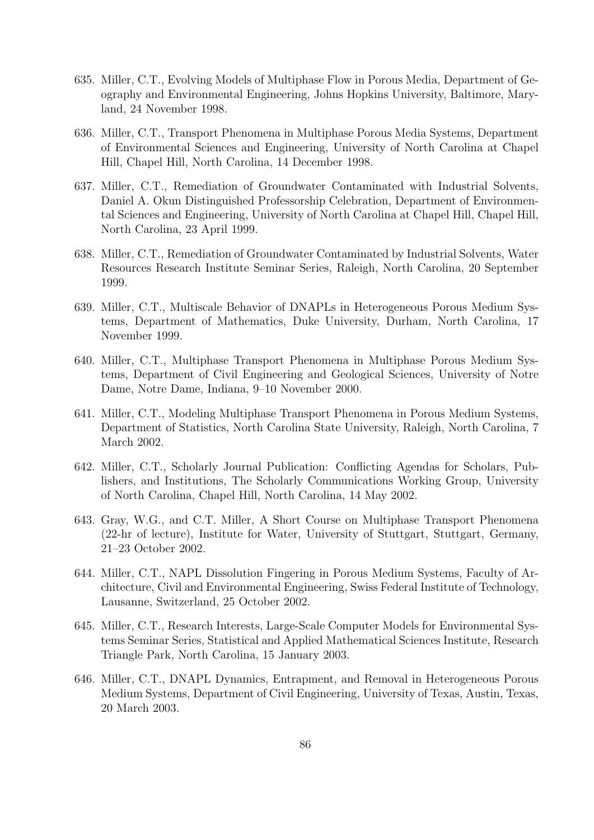- 635. Miller, C.T., Evolving Models of Multiphase Flow in Porous Media, Department of Geography and Environmental Engineering, Johns Hopkins University, Baltimore, Maryland, 24 November 1998.
- 636. Miller, C.T., Transport Phenomena in Multiphase Porous Media Systems, Department of Environmental Sciences and Engineering, University of North Carolina at Chapel Hill, Chapel Hill, North Carolina, 14 December 1998.
- 637. Miller, C.T., Remediation of Groundwater Contaminated with Industrial Solvents, Daniel A. Okun Distinguished Professorship Celebration, Department of Environmental Sciences and Engineering, University of North Carolina at Chapel Hill, Chapel Hill, North Carolina, 23 April 1999.
- 638. Miller, C.T., Remediation of Groundwater Contaminated by Industrial Solvents, Water Resources Research Institute Seminar Series, Raleigh, North Carolina, 20 September 1999.
- 639. Miller, C.T., Multiscale Behavior of DNAPLs in Heterogeneous Porous Medium Systems, Department of Mathematics, Duke University, Durham, North Carolina, 17 November 1999.
- 640. Miller, C.T., Multiphase Transport Phenomena in Multiphase Porous Medium Systems, Department of Civil Engineering and Geological Sciences, University of Notre Dame, Notre Dame, Indiana, 9–10 November 2000.
- 641. Miller, C.T., Modeling Multiphase Transport Phenomena in Porous Medium Systems, Department of Statistics, North Carolina State University, Raleigh, North Carolina, 7 March 2002.
- 642. Miller, C.T., Scholarly Journal Publication: Conflicting Agendas for Scholars, Publishers, and Institutions, The Scholarly Communications Working Group, University of North Carolina, Chapel Hill, North Carolina, 14 May 2002.
- 643. Gray, W.G., and C.T. Miller, A Short Course on Multiphase Transport Phenomena (22-hr of lecture), Institute for Water, University of Stuttgart, Stuttgart, Germany, 21–23 October 2002.
- 644. Miller, C.T., NAPL Dissolution Fingering in Porous Medium Systems, Faculty of Architecture, Civil and Environmental Engineering, Swiss Federal Institute of Technology, Lausanne, Switzerland, 25 October 2002.
- 645. Miller, C.T., Research Interests, Large-Scale Computer Models for Environmental Systems Seminar Series, Statistical and Applied Mathematical Sciences Institute, Research Triangle Park, North Carolina, 15 January 2003.
- 646. Miller, C.T., DNAPL Dynamics, Entrapment, and Removal in Heterogeneous Porous Medium Systems, Department of Civil Engineering, University of Texas, Austin, Texas, 20 March 2003.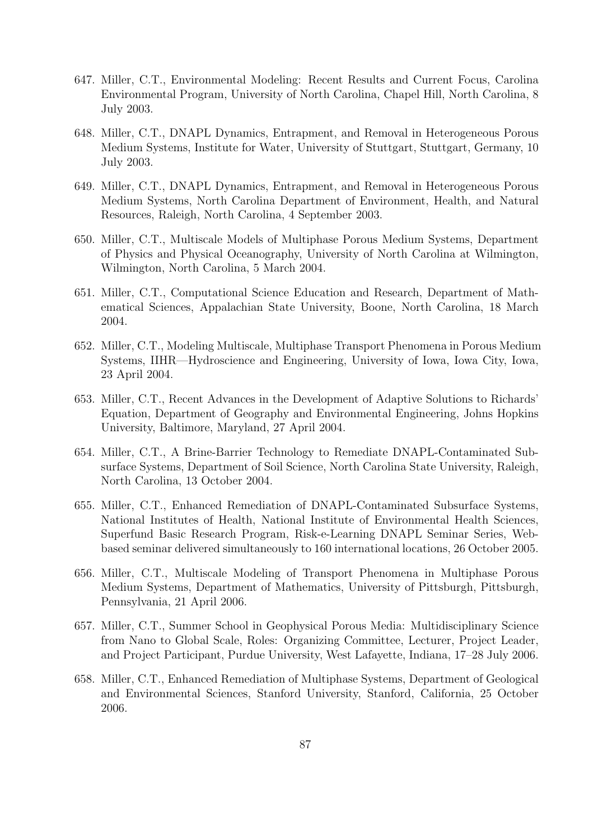- 647. Miller, C.T., Environmental Modeling: Recent Results and Current Focus, Carolina Environmental Program, University of North Carolina, Chapel Hill, North Carolina, 8 July 2003.
- 648. Miller, C.T., DNAPL Dynamics, Entrapment, and Removal in Heterogeneous Porous Medium Systems, Institute for Water, University of Stuttgart, Stuttgart, Germany, 10 July 2003.
- 649. Miller, C.T., DNAPL Dynamics, Entrapment, and Removal in Heterogeneous Porous Medium Systems, North Carolina Department of Environment, Health, and Natural Resources, Raleigh, North Carolina, 4 September 2003.
- 650. Miller, C.T., Multiscale Models of Multiphase Porous Medium Systems, Department of Physics and Physical Oceanography, University of North Carolina at Wilmington, Wilmington, North Carolina, 5 March 2004.
- 651. Miller, C.T., Computational Science Education and Research, Department of Mathematical Sciences, Appalachian State University, Boone, North Carolina, 18 March 2004.
- 652. Miller, C.T., Modeling Multiscale, Multiphase Transport Phenomena in Porous Medium Systems, IIHR—Hydroscience and Engineering, University of Iowa, Iowa City, Iowa, 23 April 2004.
- 653. Miller, C.T., Recent Advances in the Development of Adaptive Solutions to Richards' Equation, Department of Geography and Environmental Engineering, Johns Hopkins University, Baltimore, Maryland, 27 April 2004.
- 654. Miller, C.T., A Brine-Barrier Technology to Remediate DNAPL-Contaminated Subsurface Systems, Department of Soil Science, North Carolina State University, Raleigh, North Carolina, 13 October 2004.
- 655. Miller, C.T., Enhanced Remediation of DNAPL-Contaminated Subsurface Systems, National Institutes of Health, National Institute of Environmental Health Sciences, Superfund Basic Research Program, Risk-e-Learning DNAPL Seminar Series, Webbased seminar delivered simultaneously to 160 international locations, 26 October 2005.
- 656. Miller, C.T., Multiscale Modeling of Transport Phenomena in Multiphase Porous Medium Systems, Department of Mathematics, University of Pittsburgh, Pittsburgh, Pennsylvania, 21 April 2006.
- 657. Miller, C.T., Summer School in Geophysical Porous Media: Multidisciplinary Science from Nano to Global Scale, Roles: Organizing Committee, Lecturer, Project Leader, and Project Participant, Purdue University, West Lafayette, Indiana, 17–28 July 2006.
- 658. Miller, C.T., Enhanced Remediation of Multiphase Systems, Department of Geological and Environmental Sciences, Stanford University, Stanford, California, 25 October 2006.